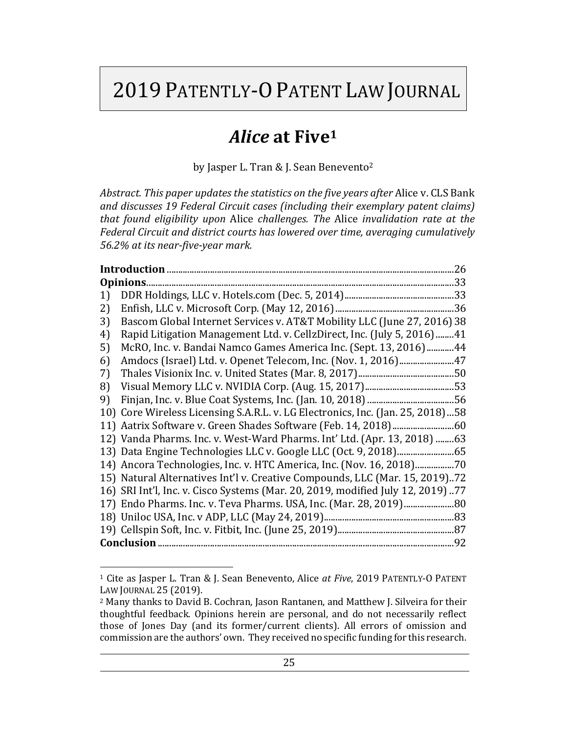# 2019 PATENTLY-O PATENT LAW JOURNAL

# Alice at Five<sup>1</sup>

by Jasper L. Tran & J. Sean Benevento<sup>2</sup>

*Abstract. This paper updates the statistics on the five years after Alice v. CLS Bank* and discusses 19 Federal Circuit cases (including their exemplary patent claims) *that found eligibility upon Alice challenges. The Alice invalidation rate at the* Federal Circuit and district courts has lowered over time, averaging cumulatively *56.2% at its near-five-year mark.*

|    | .26                                                                             |
|----|---------------------------------------------------------------------------------|
|    |                                                                                 |
| 1) |                                                                                 |
| 2) |                                                                                 |
| 3) | Bascom Global Internet Services v. AT&T Mobility LLC (June 27, 2016) 38         |
| 4) | Rapid Litigation Management Ltd. v. CellzDirect, Inc. (July 5, 2016)41          |
| 5) | McRO, Inc. v. Bandai Namco Games America Inc. (Sept. 13, 2016)44                |
| 6) | Amdocs (Israel) Ltd. v. Openet Telecom, Inc. (Nov. 1, 2016)47                   |
| 7) |                                                                                 |
| 8) |                                                                                 |
| 9) |                                                                                 |
|    | 10) Core Wireless Licensing S.A.R.L. v. LG Electronics, Inc. (Jan. 25, 2018)58  |
|    |                                                                                 |
|    | 12) Vanda Pharms. Inc. v. West-Ward Pharms. Int' Ltd. (Apr. 13, 2018) 63        |
|    | 13) Data Engine Technologies LLC v. Google LLC (Oct. 9, 2018) 65                |
|    | 14) Ancora Technologies, Inc. v. HTC America, Inc. (Nov. 16, 2018)70            |
|    | 15) Natural Alternatives Int'l v. Creative Compounds, LLC (Mar. 15, 2019)72     |
|    | 16) SRI Int'l, Inc. v. Cisco Systems (Mar. 20, 2019, modified July 12, 2019) 77 |
|    | 17) Endo Pharms. Inc. v. Teva Pharms. USA, Inc. (Mar. 28, 2019) 80              |
|    |                                                                                 |
|    |                                                                                 |
|    |                                                                                 |

<sup>&</sup>lt;sup>1</sup> Cite as Jasper L. Tran & J. Sean Benevento, Alice *at Five*, 2019 PATENTLY-O PATENT LAW JOURNAL 25 (2019).

<sup>&</sup>lt;sup>2</sup> Many thanks to David B. Cochran, Jason Rantanen, and Matthew J. Silveira for their thoughtful feedback. Opinions herein are personal, and do not necessarily reflect those of Jones Day (and its former/current clients). All errors of omission and commission are the authors' own. They received no specific funding for this research.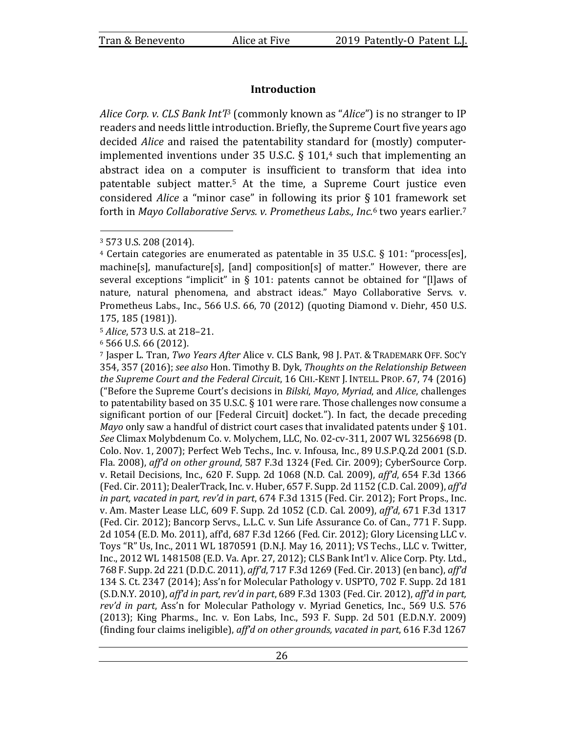# **Introduction**

*Alice Corp.* v. *CLS Bank Int'l<sup>3</sup>* (commonly known as "*Alice*") is no stranger to IP readers and needs little introduction. Briefly, the Supreme Court five years ago decided *Alice* and raised the patentability standard for (mostly) computerimplemented inventions under 35 U.S.C.  $\S$  101,<sup>4</sup> such that implementing an abstract idea on a computer is insufficient to transform that idea into patentable subject matter.<sup>5</sup> At the time, a Supreme Court justice even considered *Alice* a "minor case" in following its prior § 101 framework set forth in *Mayo Collaborative Servs. v. Prometheus Labs., Inc.*<sup>6</sup> two years earlier.<sup>7</sup>

5 *Alice*, 573 U.S. at 218-21.

 $6$  566 U.S. 66 (2012).

<sup>7</sup> Jasper L. Tran, *Two Years After* Alice v. CLS Bank, 98 J. PAT. & TRADEMARK OFF. SOC'Y 354, 357 (2016); see also Hon. Timothy B. Dyk, *Thoughts on the Relationship Between the Supreme Court and the Federal Circuit,* 16 CHI.-KENT J. INTELL. PROP. 67, 74 (2016) ("Before the Supreme Court's decisions in *Bilski, Mayo, Myriad,* and *Alice,* challenges to patentability based on 35 U.S.C.  $\S$  101 were rare. Those challenges now consume a significant portion of our [Federal Circuit] docket."). In fact, the decade preceding *Mayo* only saw a handful of district court cases that invalidated patents under  $\S 101$ . *See* Climax Molybdenum Co. v. Molychem, LLC, No. 02-cv-311, 2007 WL 3256698 (D. Colo. Nov. 1, 2007); Perfect Web Techs., Inc. v. Infousa, Inc., 89 U.S.P.Q.2d 2001 (S.D. Fla. 2008), *aff'd on other ground*, 587 F.3d 1324 (Fed. Cir. 2009); CyberSource Corp. v. Retail Decisions, Inc., 620 F. Supp. 2d 1068 (N.D. Cal. 2009), *affd*, 654 F.3d 1366 (Fed. Cir. 2011); DealerTrack, Inc. v. Huber, 657 F. Supp. 2d 1152 (C.D. Cal. 2009), *aff'd in part, vacated in part, rev'd in part,* 674 F.3d 1315 (Fed. Cir. 2012); Fort Props., Inc. v. Am. Master Lease LLC, 609 F. Supp. 2d 1052 (C.D. Cal. 2009), *aff'd*, 671 F.3d 1317 (Fed. Cir. 2012); Bancorp Servs., L.L.C. v. Sun Life Assurance Co. of Can., 771 F. Supp. 2d 1054 (E.D. Mo. 2011), aff'd, 687 F.3d 1266 (Fed. Cir. 2012); Glory Licensing LLC v. Toys "R" Us, Inc., 2011 WL 1870591 (D.N.J. May 16, 2011); VS Techs., LLC v. Twitter, Inc., 2012 WL 1481508 (E.D. Va. Apr. 27, 2012); CLS Bank Int'l v. Alice Corp. Pty. Ltd., 768 F. Supp. 2d 221 (D.D.C. 2011), aff'd, 717 F.3d 1269 (Fed. Cir. 2013) (en banc), aff'd 134 S. Ct. 2347 (2014); Ass'n for Molecular Pathology v. USPTO, 702 F. Supp. 2d 181  $(S.D.N.Y. 2010)$ ,  $affd$  in part, rev'd in part,  $689$  F.3d 1303 (Fed. Cir. 2012), aff'd in part, rev'd in part, Ass'n for Molecular Pathology v. Myriad Genetics, Inc., 569 U.S. 576  $(2013)$ ; King Pharms., Inc. v. Eon Labs, Inc., 593 F. Supp. 2d 501  $(E.D.N.Y. 2009)$ (finding four claims ineligible), aff'd on other grounds, vacated in part, 616 F.3d 1267

<sup>&</sup>lt;sup>3</sup> 573 U.S. 208 (2014).

 $4$  Certain categories are enumerated as patentable in 35 U.S.C. § 101: "process[es],  $machine[s]$ , manufacture[s], [and] composition[s] of matter." However, there are several exceptions "implicit" in § 101: patents cannot be obtained for "[l]aws of nature, natural phenomena, and abstract ideas." Mayo Collaborative Servs. v. Prometheus Labs., Inc., 566 U.S. 66, 70 (2012) (quoting Diamond v. Diehr, 450 U.S. 175, 185 (1981)).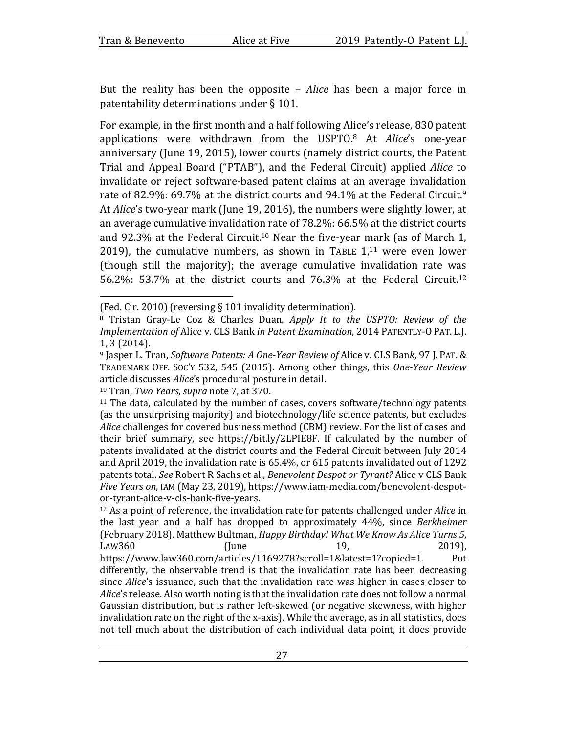But the reality has been the opposite – *Alice* has been a major force in patentability determinations under  $\S$  101.

For example, in the first month and a half following Alice's release, 830 patent applications were withdrawn from the USPTO.<sup>8</sup> At *Alice's* one-year anniversary (June 19, 2015), lower courts (namely district courts, the Patent Trial and Appeal Board ("PTAB"), and the Federal Circuit) applied *Alice* to invalidate or reject software-based patent claims at an average invalidation rate of 82.9%: 69.7% at the district courts and 94.1% at the Federal Circuit.<sup>9</sup> At *Alice's* two-year mark (June 19, 2016), the numbers were slightly lower, at an average cumulative invalidation rate of  $78.2\%$ : 66.5% at the district courts and 92.3% at the Federal Circuit.<sup>10</sup> Near the five-year mark (as of March 1, 2019), the cumulative numbers, as shown in TABLE  $1,11$  were even lower (though still the majority); the average cumulative invalidation rate was 56.2%: 53.7% at the district courts and  $76.3\%$  at the Federal Circuit.<sup>12</sup>

<sup>10</sup> Tran, *Two Years*, *supra* note 7, at 370.

<sup>12</sup> As a point of reference, the invalidation rate for patents challenged under *Alice* in the last year and a half has dropped to approximately 44%, since *Berkheimer* (February 2018). Matthew Bultman, *Happy Birthday! What We Know As Alice Turns 5*, LAW360 (June 19, 2019), https://www.law360.com/articles/1169278?scroll=1&latest=1?copied=1. Put differently, the observable trend is that the invalidation rate has been decreasing since *Alice's* issuance, such that the invalidation rate was higher in cases closer to *Alice*'s release. Also worth noting is that the invalidation rate does not follow a normal Gaussian distribution, but is rather left-skewed (or negative skewness, with higher invalidation rate on the right of the x-axis). While the average, as in all statistics, does not tell much about the distribution of each individual data point, it does provide

<sup>(</sup>Fed. Cir. 2010) (reversing  $\S$  101 invalidity determination).

<sup>&</sup>lt;sup>8</sup> Tristan Gray-Le Coz & Charles Duan, *Apply It to the USPTO: Review of the Implementation of Alice v. CLS Bank in Patent Examination, 2014 PATENTLY-O PAT. L.J.* 1, 3 (2014).

<sup>9</sup> Jasper L. Tran, *Software Patents: A One-Year Review of Alice v. CLS Bank, 97 J. PAT. &* TRADEMARK OFF. SOC'Y 532, 545 (2015). Among other things, this *One-Year Review* article discusses *Alice's* procedural posture in detail.

 $11$  The data, calculated by the number of cases, covers software/technology patents (as the unsurprising majority) and biotechnology/life science patents, but excludes *Alice* challenges for covered business method (CBM) review. For the list of cases and their brief summary, see https://bit.ly/2LPIE8F. If calculated by the number of patents invalidated at the district courts and the Federal Circuit between July 2014 and April 2019, the invalidation rate is  $65.4\%$ , or  $615$  patents invalidated out of 1292 patents total. See Robert R Sachs et al., *Benevolent Despot or Tyrant?* Alice v CLS Bank *Five Years on*, IAM (May 23, 2019), https://www.iam-media.com/benevolent-despotor-tyrant-alice-v-cls-bank-five-years.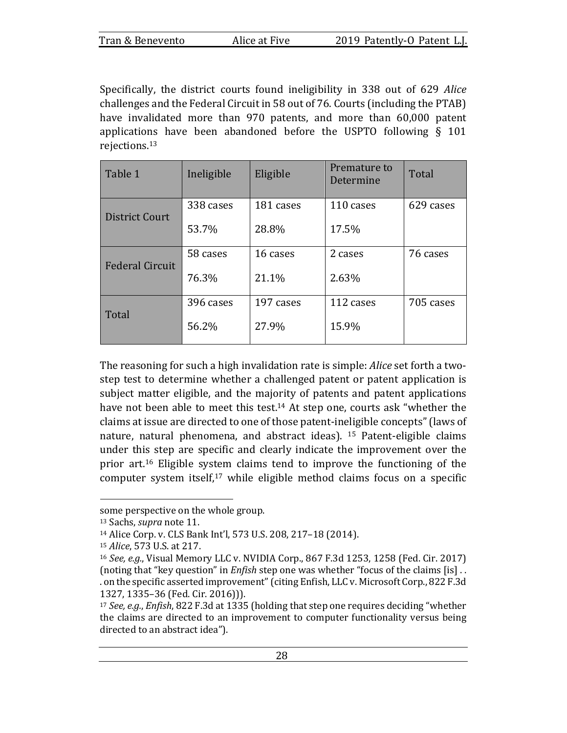Specifically, the district courts found ineligibility in 338 out of 629 Alice challenges and the Federal Circuit in 58 out of 76. Courts (including the PTAB) have invalidated more than 970 patents, and more than 60,000 patent applications have been abandoned before the USPTO following  $\S$  101 rejections.13

| Table 1                | Ineligible | Eligible  | Premature to<br>Determine | Total     |
|------------------------|------------|-----------|---------------------------|-----------|
| District Court         | 338 cases  | 181 cases | 110 cases                 | 629 cases |
|                        | 53.7%      | 28.8%     | 17.5%                     |           |
| <b>Federal Circuit</b> | 58 cases   | 16 cases  | 2 cases                   | 76 cases  |
|                        | 76.3%      | 21.1%     | 2.63%                     |           |
| Total                  | 396 cases  | 197 cases | 112 cases                 | 705 cases |
|                        | 56.2%      | 27.9%     | 15.9%                     |           |

The reasoning for such a high invalidation rate is simple: *Alice* set forth a twostep test to determine whether a challenged patent or patent application is subject matter eligible, and the majority of patents and patent applications have not been able to meet this test.<sup>14</sup> At step one, courts ask "whether the claims at issue are directed to one of those patent-ineligible concepts" (laws of nature, natural phenomena, and abstract ideas). <sup>15</sup> Patent-eligible claims under this step are specific and clearly indicate the improvement over the prior  $art<sup>16</sup>$  Eligible system claims tend to improve the functioning of the computer system itself,<sup>17</sup> while eligible method claims focus on a specific

some perspective on the whole group.

<sup>&</sup>lt;sup>13</sup> Sachs, *supra* note 11.

<sup>14</sup> Alice Corp. v. CLS Bank Int'l, 573 U.S. 208, 217-18 (2014).

<sup>15</sup> *Alice*, 573 U.S. at 217.

<sup>16</sup> *See, e.g.*, Visual Memory LLC v. NVIDIA Corp., 867 F.3d 1253, 1258 (Fed. Cir. 2017) (noting that "key question" in *Enfish* step one was whether "focus of the claims [is] .. . on the specific asserted improvement" (citing Enfish, LLC v. Microsoft Corp., 822 F.3d 1327, 1335-36 (Fed. Cir. 2016))).

<sup>&</sup>lt;sup>17</sup> *See, e.g., Enfish,* 822 F.3d at 1335 (holding that step one requires deciding "whether the claims are directed to an improvement to computer functionality versus being directed to an abstract idea").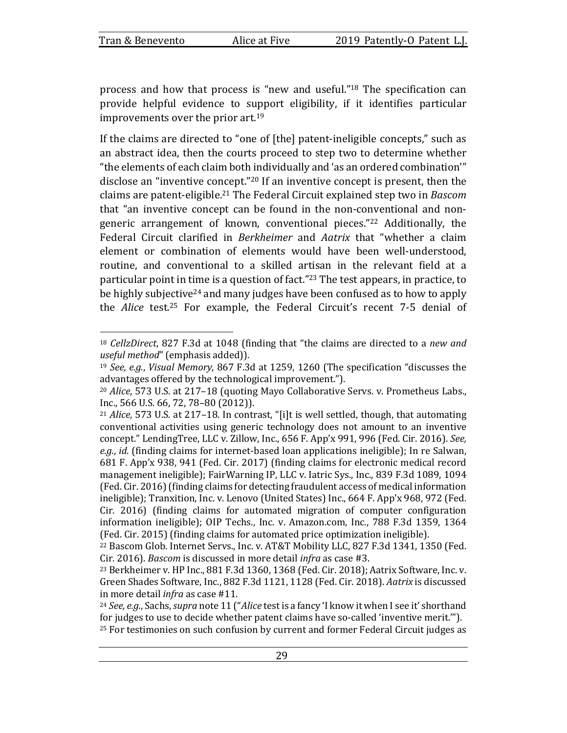process and how that process is "new and useful."<sup>18</sup> The specification can provide helpful evidence to support eligibility, if it identifies particular improvements over the prior  $art.^{19}$ 

If the claims are directed to "one of  $[$ the $]$  patent-ineligible concepts," such as an abstract idea, then the courts proceed to step two to determine whether "the elements of each claim both individually and 'as an ordered combination'" disclose an "inventive concept."<sup>20</sup> If an inventive concept is present, then the claims are patent-eligible.<sup>21</sup> The Federal Circuit explained step two in *Bascom* that "an inventive concept can be found in the non-conventional and nongeneric arrangement of known, conventional pieces."<sup>22</sup> Additionally, the Federal Circuit clarified in *Berkheimer* and *Aatrix* that "whether a claim element or combination of elements would have been well-understood, routine, and conventional to a skilled artisan in the relevant field at a particular point in time is a question of fact."<sup>23</sup> The test appears, in practice, to be highly subjective<sup>24</sup> and many judges have been confused as to how to apply the *Alice* test.<sup>25</sup> For example, the Federal Circuit's recent 7-5 denial of

<sup>&</sup>lt;sup>18</sup> *CellzDirect*, 827 F.3d at 1048 (finding that "the claims are directed to a new and *useful method*" (emphasis added)).

<sup>&</sup>lt;sup>19</sup> *See, e.g., Visual Memory,* 867 F.3d at 1259, 1260 (The specification "discusses the advantages offered by the technological improvement.").

<sup>&</sup>lt;sup>20</sup> Alice, 573 U.S. at 217-18 (quoting Mayo Collaborative Servs. v. Prometheus Labs., Inc., 566 U.S. 66, 72, 78-80 (2012)).

<sup>&</sup>lt;sup>21</sup> *Alice*, 573 U.S. at 217-18. In contrast, "[i]t is well settled, though, that automating conventional activities using generic technology does not amount to an inventive concept." LendingTree, LLC v. Zillow, Inc., 656 F. App'x 991, 996 (Fed. Cir. 2016). See, *e.g.*, *id.* (finding claims for internet-based loan applications ineligible); In re Salwan, 681 F. App'x 938, 941 (Fed. Cir. 2017) (finding claims for electronic medical record management ineligible); FairWarning IP, LLC v. Iatric Sys., Inc., 839 F.3d 1089, 1094 (Fed. Cir. 2016) (finding claims for detecting fraudulent access of medical information ineligible); Tranxition, Inc. v. Lenovo (United States) Inc., 664 F. App'x 968, 972 (Fed.  $Cir. 2016$ ) (finding claims for automated migration of computer configuration information ineligible); OIP Techs., Inc. v. Amazon.com, Inc., 788 F.3d 1359, 1364 (Fed. Cir. 2015) (finding claims for automated price optimization ineligible).

<sup>&</sup>lt;sup>22</sup> Bascom Glob. Internet Servs., Inc. v. AT&T Mobility LLC, 827 F.3d 1341, 1350 (Fed. Cir. 2016). *Bascom* is discussed in more detail *infra* as case #3.

 $23$  Berkheimer v. HP Inc., 881 F.3d 1360, 1368 (Fed. Cir. 2018); Aatrix Software, Inc. v. Green Shades Software, Inc., 882 F.3d 1121, 1128 (Fed. Cir. 2018). Aatrix is discussed in more detail *infra* as case #11.

<sup>&</sup>lt;sup>24</sup> See, e.g., Sachs, *supra* note 11 ("Alice test is a fancy 'I know it when I see it' shorthand for judges to use to decide whether patent claims have so-called 'inventive merit.'").  $25$  For testimonies on such confusion by current and former Federal Circuit judges as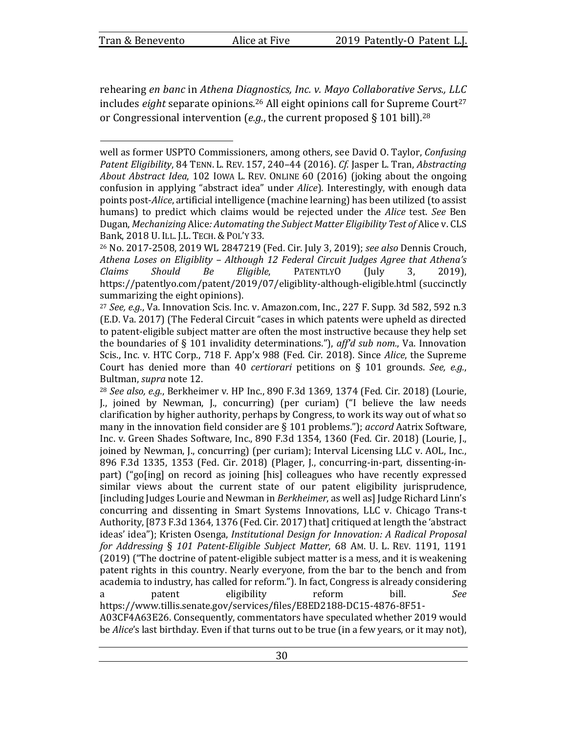rehearing *en banc* in *Athena Diagnostics, Inc. v. Mayo Collaborative Servs., LLC* includes *eight* separate opinions.<sup>26</sup> All eight opinions call for Supreme Court<sup>27</sup> or Congressional intervention  $(e.g.,$  the current proposed § 101 bill).<sup>28</sup>

well as former USPTO Commissioners, among others, see David O. Taylor, *Confusing Patent Eligibility*, 84 TENN. L. REV. 157, 240–44 (2016). Cf. Jasper L. Tran, Abstracting *About Abstract Idea,* 102 IOWA L. REV. ONLINE 60 (2016) (joking about the ongoing confusion in applying "abstract idea" under *Alice*). Interestingly, with enough data points post-*Alice*, artificial intelligence (machine learning) has been utilized (to assist humans) to predict which claims would be rejected under the *Alice* test. See Ben Dugan, *Mechanizing* Alice: Automating the Subject Matter Eligibility Test of Alice v. CLS Bank, 2018 U. ILL. J.L. TECH. & POL'Y 33.

<sup>&</sup>lt;sup>26</sup> No. 2017-2508, 2019 WL 2847219 (Fed. Cir. July 3, 2019); see also Dennis Crouch, Athena Loses on Eligiblity - Although 12 Federal Circuit Judges Agree that Athena's *Claims Should Be Eligible*, PATENTLYO (July 3, 2019), https://patentlyo.com/patent/2019/07/eligiblity-although-eligible.html (succinctly summarizing the eight opinions).

 $27$  *See, e.g.*, Va. Innovation Scis. Inc. v. Amazon.com, Inc., 227 F. Supp. 3d 582, 592 n.3 (E.D. Va. 2017) (The Federal Circuit "cases in which patents were upheld as directed to patent-eligible subject matter are often the most instructive because they help set the boundaries of § 101 invalidity determinations."),  $aff<sup>d</sup>$  sub nom., Va. Innovation Scis., Inc. v. HTC Corp., 718 F. App'x 988 (Fed. Cir. 2018). Since Alice, the Supreme Court has denied more than 40 *certiorari* petitions on § 101 grounds. *See, e.g.*, Bultman, *supra* note 12.

<sup>&</sup>lt;sup>28</sup> *See also, e.g.*, Berkheimer v. HP Inc., 890 F.3d 1369, 1374 (Fed. Cir. 2018) (Lourie, I., joined by Newman, I., concurring) (per curiam)  $(1)$  believe the law needs clarification by higher authority, perhaps by Congress, to work its way out of what so many in the innovation field consider are  $\S$  101 problems."); *accord* Aatrix Software, Inc. v. Green Shades Software, Inc., 890 F.3d 1354, 1360 (Fed. Cir. 2018) (Lourie, J., joined by Newman, J., concurring) (per curiam); Interval Licensing LLC v. AOL, Inc., 896 F.3d 1335, 1353 (Fed. Cir. 2018) (Plager, J., concurring-in-part, dissenting-inpart) ("go[ing] on record as joining [his] colleagues who have recently expressed similar views about the current state of our patent eligibility jurisprudence, [including Judges Lourie and Newman in *Berkheimer*, as well as] Judge Richard Linn's concurring and dissenting in Smart Systems Innovations, LLC v. Chicago Trans-t Authority, [873 F.3d 1364, 1376 (Fed. Cir. 2017) that] critiqued at length the 'abstract ideas' idea"); Kristen Osenga, *Institutional Design for Innovation: A Radical Proposal for Addressing*  § *101 Patent-Eligible Subject Matter*, 68 AM. U. L. REV. 1191, 1191  $(2019)$  ("The doctrine of patent-eligible subject matter is a mess, and it is weakening patent rights in this country. Nearly everyone, from the bar to the bench and from academia to industry, has called for reform."). In fact, Congress is already considering a patent eligibility reform bill. See

https://www.tillis.senate.gov/services/files/E8ED2188-DC15-4876-8F51- A03CF4A63E26. Consequently, commentators have speculated whether 2019 would be *Alice*'s last birthday. Even if that turns out to be true (in a few years, or it may not),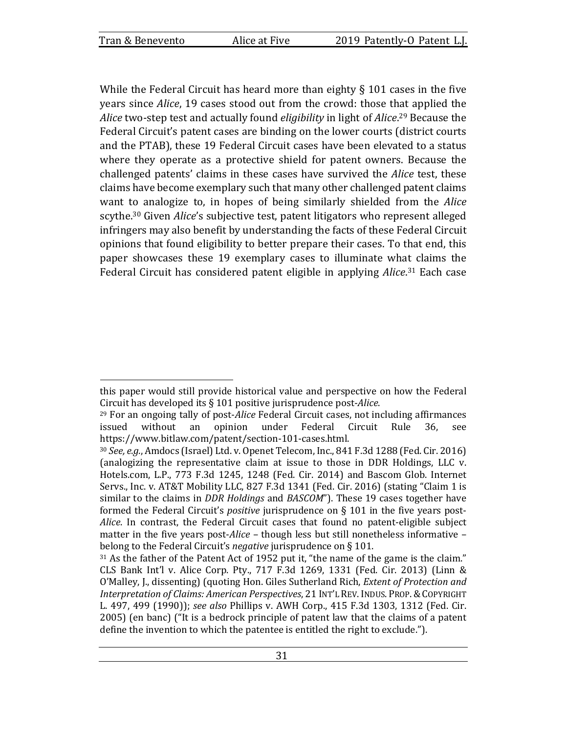While the Federal Circuit has heard more than eighty  $\S$  101 cases in the five years since *Alice*, 19 cases stood out from the crowd: those that applied the Alice two-step test and actually found *eligibility* in light of Alice.<sup>29</sup> Because the Federal Circuit's patent cases are binding on the lower courts (district courts and the PTAB), these 19 Federal Circuit cases have been elevated to a status where they operate as a protective shield for patent owners. Because the challenged patents' claims in these cases have survived the *Alice* test, these claims have become exemplary such that many other challenged patent claims want to analogize to, in hopes of being similarly shielded from the *Alice* scythe.<sup>30</sup> Given *Alice's* subjective test, patent litigators who represent alleged infringers may also benefit by understanding the facts of these Federal Circuit opinions that found eligibility to better prepare their cases. To that end, this paper showcases these 19 exemplary cases to illuminate what claims the Federal Circuit has considered patent eligible in applying Alice.<sup>31</sup> Each case

this paper would still provide historical value and perspective on how the Federal Circuit has developed its § 101 positive jurisprudence post-*Alice*.

<sup>&</sup>lt;sup>29</sup> For an ongoing tally of post-*Alice* Federal Circuit cases, not including affirmances issued without an opinion under Federal Circuit Rule 36, see https://www.bitlaw.com/patent/section-101-cases.html.

<sup>&</sup>lt;sup>30</sup> *See, e.g.*, Amdocs (Israel) Ltd. v. Openet Telecom, Inc., 841 F.3d 1288 (Fed. Cir. 2016) (analogizing the representative claim at issue to those in DDR Holdings, LLC v. Hotels.com, L.P., 773 F.3d 1245, 1248 (Fed. Cir. 2014) and Bascom Glob. Internet Servs., Inc. v. AT&T Mobility LLC, 827 F.3d 1341 (Fed. Cir. 2016) (stating "Claim 1 is similar to the claims in *DDR Holdings* and *BASCOM*"). These 19 cases together have formed the Federal Circuit's *positive* jurisprudence on § 101 in the five years post-*Alice*. In contrast, the Federal Circuit cases that found no patent-eligible subject matter in the five years post-*Alice* – though less but still nonetheless informative – belong to the Federal Circuit's *negative* jurisprudence on § 101.

 $31$  As the father of the Patent Act of 1952 put it, "the name of the game is the claim." CLS Bank Int'l v. Alice Corp. Pty., 717 F.3d 1269, 1331 (Fed. Cir. 2013) (Linn & O'Malley, J., dissenting) (quoting Hon. Giles Sutherland Rich, *Extent of Protection and Interpretation of Claims: American Perspectives*, 21 INT'L REV. INDUS. PROP. & COPYRIGHT L. 497, 499 (1990)); see also Phillips v. AWH Corp., 415 F.3d 1303, 1312 (Fed. Cir.  $2005$ ) (en banc) ("It is a bedrock principle of patent law that the claims of a patent define the invention to which the patentee is entitled the right to exclude.").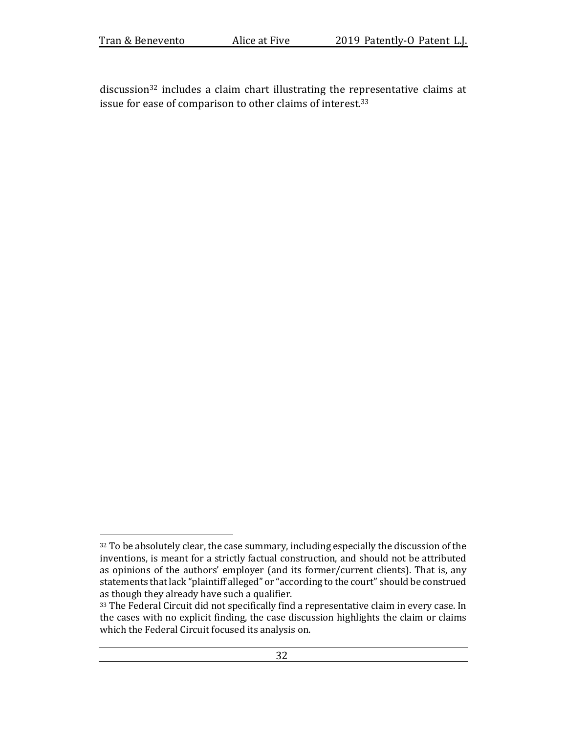| Tran & Benevento | Alice at Five | 2019 Patently-O Patent L.J. |
|------------------|---------------|-----------------------------|
|------------------|---------------|-----------------------------|

 $disclusion<sup>32</sup>$  includes a claim chart illustrating the representative claims at issue for ease of comparison to other claims of interest.<sup>33</sup>

<sup>32</sup> To be absolutely clear, the case summary, including especially the discussion of the inventions, is meant for a strictly factual construction, and should not be attributed as opinions of the authors' employer (and its former/current clients). That is, any statements that lack "plaintiff alleged" or "according to the court" should be construed as though they already have such a qualifier.

<sup>33</sup> The Federal Circuit did not specifically find a representative claim in every case. In the cases with no explicit finding, the case discussion highlights the claim or claims which the Federal Circuit focused its analysis on.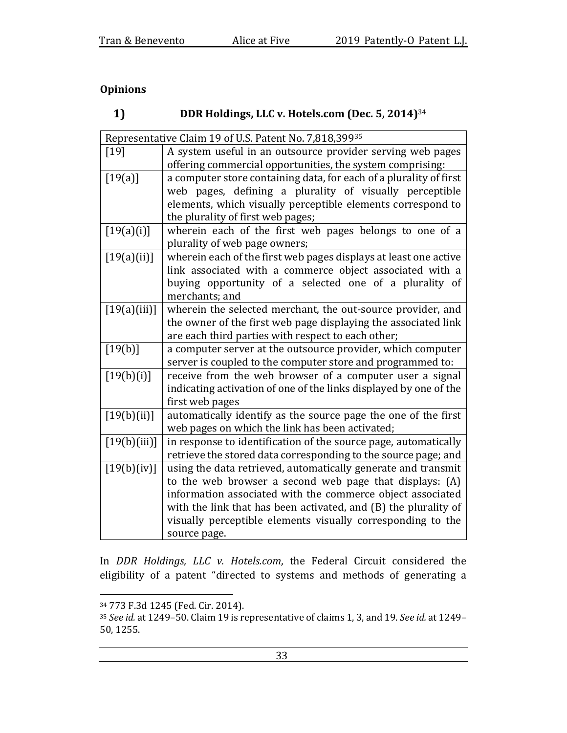# **Opinions**

#### $1)$ DDR Holdings, LLC v. Hotels.com (Dec. 5, 2014)<sup>34</sup>

| Representative Claim 19 of U.S. Patent No. 7,818,39935 |                                                                    |  |
|--------------------------------------------------------|--------------------------------------------------------------------|--|
| $[19]$                                                 | A system useful in an outsource provider serving web pages         |  |
|                                                        | offering commercial opportunities, the system comprising:          |  |
| $[19(a)]$                                              | a computer store containing data, for each of a plurality of first |  |
|                                                        | web pages, defining a plurality of visually perceptible            |  |
|                                                        | elements, which visually perceptible elements correspond to        |  |
|                                                        | the plurality of first web pages;                                  |  |
| [19(a)(i)]                                             | wherein each of the first web pages belongs to one of a            |  |
|                                                        | plurality of web page owners;                                      |  |
| $[19(a)(ii)]$                                          | wherein each of the first web pages displays at least one active   |  |
|                                                        | link associated with a commerce object associated with a           |  |
|                                                        | buying opportunity of a selected one of a plurality of             |  |
|                                                        | merchants; and                                                     |  |
| [19(a)(iii)]                                           | wherein the selected merchant, the out-source provider, and        |  |
|                                                        | the owner of the first web page displaying the associated link     |  |
|                                                        | are each third parties with respect to each other;                 |  |
| $[19(b)]$                                              | a computer server at the outsource provider, which computer        |  |
|                                                        | server is coupled to the computer store and programmed to:         |  |
| [19(b)(i)]                                             | receive from the web browser of a computer user a signal           |  |
|                                                        | indicating activation of one of the links displayed by one of the  |  |
|                                                        | first web pages                                                    |  |
| [19(b)(ii)]                                            | automatically identify as the source page the one of the first     |  |
|                                                        | web pages on which the link has been activated;                    |  |
| [19(b)(iii)]                                           | in response to identification of the source page, automatically    |  |
|                                                        | retrieve the stored data corresponding to the source page; and     |  |
| [19(b)(iv)]                                            | using the data retrieved, automatically generate and transmit      |  |
|                                                        | to the web browser a second web page that displays: (A)            |  |
|                                                        | information associated with the commerce object associated         |  |
|                                                        | with the link that has been activated, and (B) the plurality of    |  |
|                                                        | visually perceptible elements visually corresponding to the        |  |
|                                                        | source page.                                                       |  |

In *DDR Holdings, LLC v. Hotels.com*, the Federal Circuit considered the eligibility of a patent "directed to systems and methods of generating a

<sup>34 773</sup> F.3d 1245 (Fed. Cir. 2014).

<sup>&</sup>lt;sup>35</sup> See id. at 1249-50. Claim 19 is representative of claims 1, 3, and 19. See id. at 1249-50, 1255.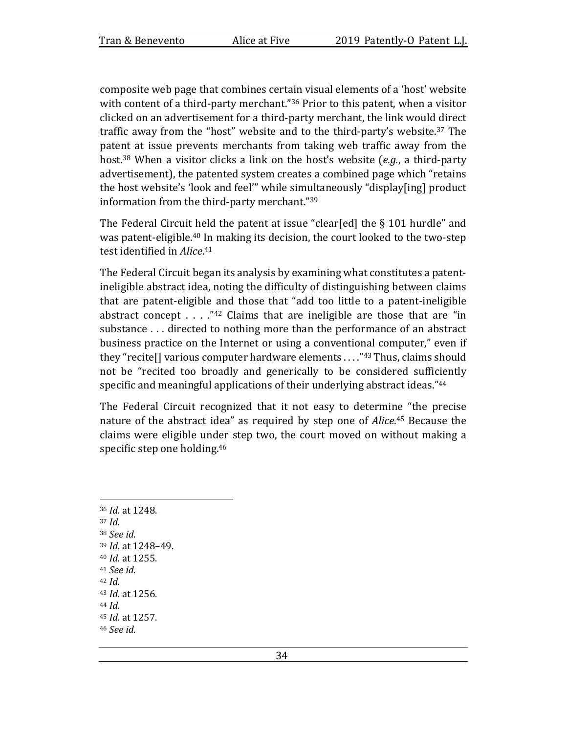composite web page that combines certain visual elements of a 'host' website with content of a third-party merchant." $36$  Prior to this patent, when a visitor clicked on an advertisement for a third-party merchant, the link would direct traffic away from the "host" website and to the third-party's website.<sup>37</sup> The patent at issue prevents merchants from taking web traffic away from the host.<sup>38</sup> When a visitor clicks a link on the host's website (*e.g.*, a third-party advertisement), the patented system creates a combined page which "retains the host website's 'look and feel'" while simultaneously "display[ing] product information from the third-party merchant."39

The Federal Circuit held the patent at issue "clear[ed] the  $\S$  101 hurdle" and was patent-eligible.<sup>40</sup> In making its decision, the court looked to the two-step test identified in Alice.<sup>41</sup>

The Federal Circuit began its analysis by examining what constitutes a patentineligible abstract idea, noting the difficulty of distinguishing between claims that are patent-eligible and those that "add too little to a patent-ineligible abstract concept  $\ldots$  ."<sup>42</sup> Claims that are ineligible are those that are "in substance ... directed to nothing more than the performance of an abstract business practice on the Internet or using a conventional computer," even if they "recite [] various computer hardware elements  $\ldots$ ."<sup>43</sup> Thus, claims should not be "recited too broadly and generically to be considered sufficiently specific and meaningful applications of their underlying abstract ideas."<sup>44</sup>

The Federal Circuit recognized that it not easy to determine "the precise nature of the abstract idea" as required by step one of *Alice*.<sup>45</sup> Because the claims were eligible under step two, the court moved on without making a specific step one holding. $46$ 

<sup>36</sup> *Id.* at 1248.  $37$  *Id.* <sup>38</sup> *See id.*  <sup>39</sup> *Id.* at 1248–49. <sup>40</sup> *Id.* at 1255. <sup>41</sup> *See id.*   $42$  *Id.* 43 *Id.* at 1256.  $44$  *Id.* <sup>45</sup> *Id.* at 1257. <sup>46</sup> *See id.*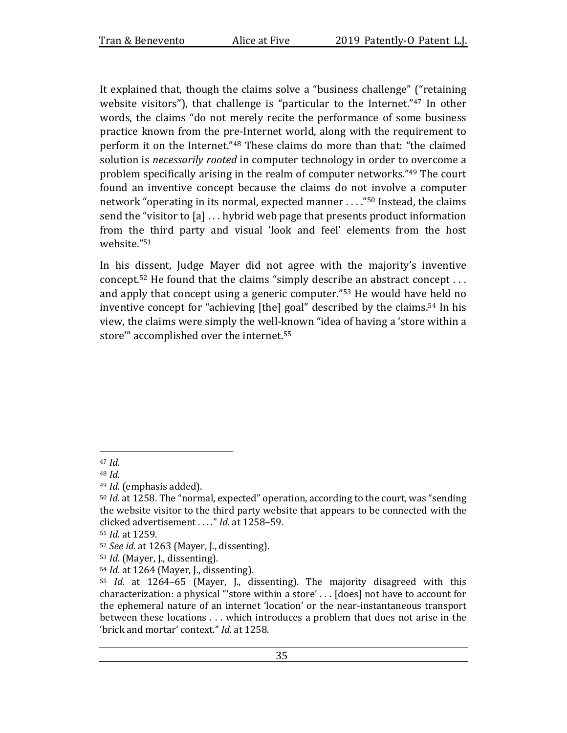It explained that, though the claims solve a "business challenge" ("retaining website visitors"), that challenge is "particular to the Internet." $47$  In other words, the claims "do not merely recite the performance of some business practice known from the pre-Internet world, along with the requirement to perform it on the Internet."<sup>48</sup> These claims do more than that: "the claimed solution is *necessarily rooted* in computer technology in order to overcome a problem specifically arising in the realm of computer networks."<sup>49</sup> The court found an inventive concept because the claims do not involve a computer network "operating in its normal, expected manner  $\ldots$ ."<sup>50</sup> Instead, the claims send the "visitor to  $[a] \ldots$  hybrid web page that presents product information from the third party and visual 'look and feel' elements from the host website."51

In his dissent, Judge Mayer did not agree with the majority's inventive concept.<sup>52</sup> He found that the claims "simply describe an abstract concept . . . and apply that concept using a generic computer."<sup>53</sup> He would have held no inventive concept for "achieving  $[$ the $]$  goal" described by the claims.<sup>54</sup> In his view, the claims were simply the well-known "idea of having a 'store within a store" accomplished over the internet.<sup>55</sup>

 $47$  *Id.* 

<sup>48</sup> *Id.* 

<sup>&</sup>lt;sup>49</sup> *Id.* (emphasis added).

<sup>&</sup>lt;sup>50</sup> *Id.* at 1258. The "normal, expected" operation, according to the court, was "sending the website visitor to the third party website that appears to be connected with the clicked advertisement . . . ." *Id.* at 1258-59.

<sup>51</sup> *Id.* at 1259.

<sup>52</sup> *See id.* at 1263 (Mayer, J., dissenting).

<sup>&</sup>lt;sup>53</sup> *Id.* (Mayer, J., dissenting).

<sup>&</sup>lt;sup>54</sup> *Id.* at 1264 (Mayer, J., dissenting).

<sup>55</sup> *Id.* at 1264–65 (Mayer, J., dissenting). The majority disagreed with this characterization: a physical "store within a store'  $\ldots$  [does] not have to account for the ephemeral nature of an internet 'location' or the near-instantaneous transport between these locations . . . which introduces a problem that does not arise in the 'brick and mortar' context." *Id.* at 1258.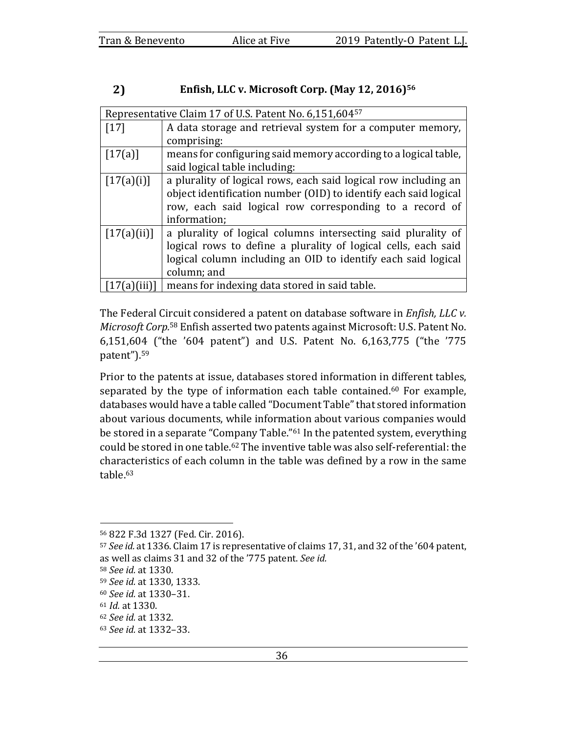#### 2) Enfish, LLC v. Microsoft Corp. (May 12, 2016)<sup>56</sup>

| Representative Claim 17 of U.S. Patent No. 6,151,60457 |                                                                  |  |
|--------------------------------------------------------|------------------------------------------------------------------|--|
| $[17]$                                                 | A data storage and retrieval system for a computer memory,       |  |
|                                                        | comprising:                                                      |  |
| [17(a)]                                                | means for configuring said memory according to a logical table,  |  |
|                                                        | said logical table including:                                    |  |
| [17(a)(i)]                                             | a plurality of logical rows, each said logical row including an  |  |
|                                                        | object identification number (OID) to identify each said logical |  |
|                                                        | row, each said logical row corresponding to a record of          |  |
|                                                        | information;                                                     |  |
| [17(a)(ii)]                                            | a plurality of logical columns intersecting said plurality of    |  |
|                                                        | logical rows to define a plurality of logical cells, each said   |  |
|                                                        | logical column including an OID to identify each said logical    |  |
|                                                        | column; and                                                      |  |
|                                                        | means for indexing data stored in said table.                    |  |

The Federal Circuit considered a patent on database software in *Enfish, LLC v. Microsoft Corp.*<sup>58</sup> Enfish asserted two patents against Microsoft: U.S. Patent No. 6,151,604 ("the '604 patent") and U.S. Patent No. 6,163,775 ("the '775 patent").59

Prior to the patents at issue, databases stored information in different tables, separated by the type of information each table contained.<sup>60</sup> For example, databases would have a table called "Document Table" that stored information about various documents, while information about various companies would be stored in a separate "Company Table."<sup>61</sup> In the patented system, everything could be stored in one table.<sup>62</sup> The inventive table was also self-referential: the characteristics of each column in the table was defined by a row in the same table.<sup>63</sup>

<sup>56 822</sup> F.3d 1327 (Fed. Cir. 2016).

<sup>57</sup> *See id.* at 1336. Claim 17 is representative of claims 17, 31, and 32 of the '604 patent, as well as claims 31 and 32 of the '775 patent. See id.

<sup>58</sup> *See id.* at 1330.

<sup>59</sup> *See id.* at 1330, 1333.

<sup>60</sup> *See id.* at 1330–31.

<sup>61</sup> *Id.* at 1330.

<sup>62</sup> *See id.* at 1332.

<sup>63</sup> *See id.* at 1332–33.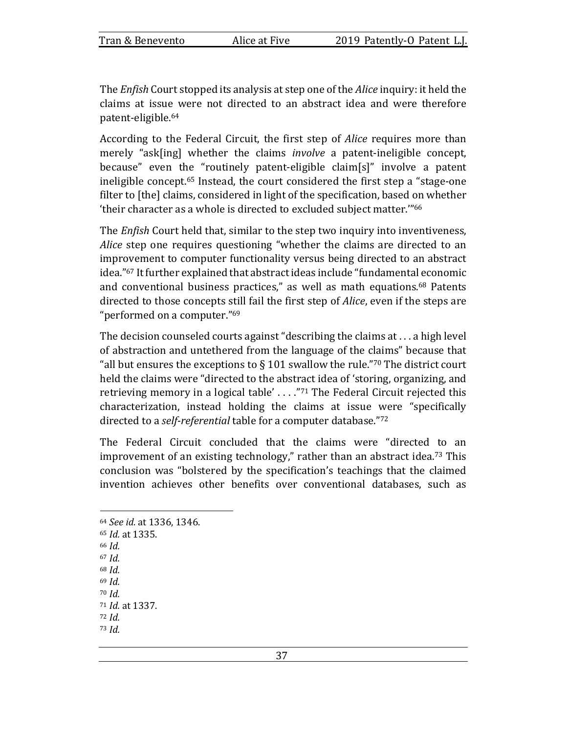The *Enfish* Court stopped its analysis at step one of the *Alice* inquiry: it held the claims at issue were not directed to an abstract idea and were therefore patent-eligible.64

According to the Federal Circuit, the first step of *Alice* requires more than merely "ask[ing] whether the claims *involve* a patent-ineligible concept, because" even the "routinely patent-eligible claim[s]" involve a patent ineligible concept.<sup>65</sup> Instead, the court considered the first step a "stage-one" filter to [the] claims, considered in light of the specification, based on whether 'their character as a whole is directed to excluded subject matter."<sup>66</sup>

The *Enfish* Court held that, similar to the step two inquiry into inventiveness, *Alice* step one requires questioning "whether the claims are directed to an improvement to computer functionality versus being directed to an abstract idea."<sup>67</sup> It further explained that abstract ideas include "fundamental economic and conventional business practices," as well as math equations.<sup>68</sup> Patents directed to those concepts still fail the first step of *Alice*, even if the steps are "performed on a computer."<sup>69</sup>

The decision counseled courts against "describing the claims at  $\dots$  a high level of abstraction and untethered from the language of the claims" because that "all but ensures the exceptions to  $\S$  101 swallow the rule."<sup>70</sup> The district court held the claims were "directed to the abstract idea of 'storing, organizing, and retrieving memory in a logical table'  $\dots$ ."<sup>71</sup> The Federal Circuit rejected this characterization, instead holding the claims at issue were "specifically directed to a *self-referential* table for a computer database."72

The Federal Circuit concluded that the claims were "directed to an improvement of an existing technology," rather than an abstract idea.<sup>73</sup> This conclusion was "bolstered by the specification's teachings that the claimed invention achieves other benefits over conventional databases, such as

<sup>64</sup> *See id.* at 1336, 1346. 65 *Id.* at 1335. <sup>66</sup> *Id.* <sup>67</sup> *Id.* <sup>68</sup> *Id.* <sup>69</sup> *Id.* <sup>70</sup> *Id.* 71 *Id.* at 1337. <sup>72</sup> *Id.* <sup>73</sup> *Id.*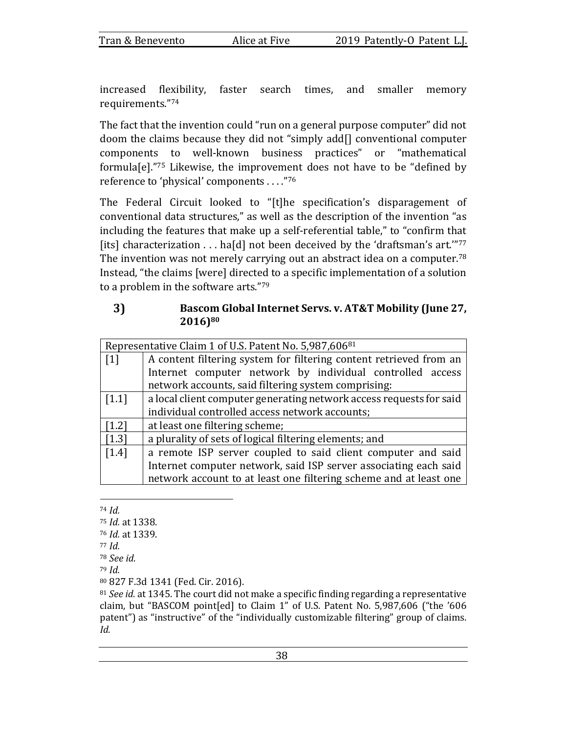increased flexibility, faster search times, and smaller memory requirements."74

The fact that the invention could "run on a general purpose computer" did not doom the claims because they did not "simply add $\prod$  conventional computer components to well-known business practices" or "mathematical formula[e]."75 Likewise, the improvement does not have to be "defined by reference to 'physical' components ...."76

The Federal Circuit looked to "[t]he specification's disparagement of conventional data structures," as well as the description of the invention "as including the features that make up a self-referential table," to "confirm that [its] characterization  $\dots$  ha[d] not been deceived by the 'draftsman's art."<sup>77</sup> The invention was not merely carrying out an abstract idea on a computer.<sup>78</sup> Instead, "the claims [were] directed to a specific implementation of a solution to a problem in the software arts." $79$ 

## Bascom Global Internet Servs. v. AT&T Mobility (June 27, 3) **2016)80**

| Representative Claim 1 of U.S. Patent No. 5,987,60681 |                                                                     |  |
|-------------------------------------------------------|---------------------------------------------------------------------|--|
| $\lceil 1 \rceil$                                     | A content filtering system for filtering content retrieved from an  |  |
|                                                       | Internet computer network by individual controlled access           |  |
|                                                       | network accounts, said filtering system comprising:                 |  |
| $\left[1.1\right]$                                    | a local client computer generating network access requests for said |  |
|                                                       | individual controlled access network accounts;                      |  |
| [1.2]                                                 | at least one filtering scheme;                                      |  |
| $[1.3]$                                               | a plurality of sets of logical filtering elements; and              |  |
| $[1.4]$                                               | a remote ISP server coupled to said client computer and said        |  |
|                                                       | Internet computer network, said ISP server associating each said    |  |
|                                                       | network account to at least one filtering scheme and at least one   |  |

<sup>74</sup> *Id.*

- 75 *Id.* at 1338.
- <sup>76</sup> *Id.* at 1339.
- <sup>77</sup> *Id.*
- <sup>78</sup> *See id.*
- <sup>79</sup> *Id.*

<sup>80 827</sup> F.3d 1341 (Fed. Cir. 2016).

<sup>81</sup> *See id.* at 1345. The court did not make a specific finding regarding a representative claim, but "BASCOM point[ed] to Claim 1" of U.S. Patent No. 5,987,606 ("the '606 patent") as "instructive" of the "individually customizable filtering" group of claims. *Id.*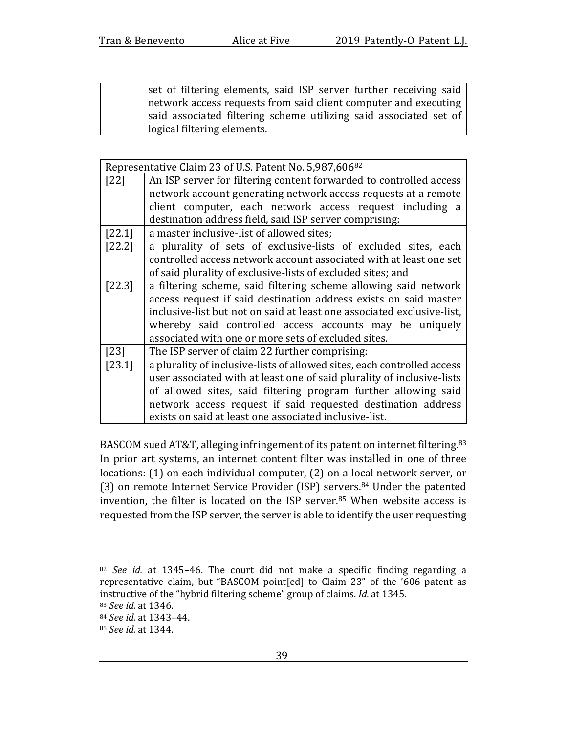set of filtering elements, said ISP server further receiving said network access requests from said client computer and executing said associated filtering scheme utilizing said associated set of logical filtering elements.

| Representative Claim 23 of U.S. Patent No. 5,987,606 <sup>82</sup> |                                                                         |  |
|--------------------------------------------------------------------|-------------------------------------------------------------------------|--|
| [22]                                                               | An ISP server for filtering content forwarded to controlled access      |  |
|                                                                    | network account generating network access requests at a remote          |  |
|                                                                    | client computer, each network access request including a                |  |
|                                                                    | destination address field, said ISP server comprising:                  |  |
| [22.1]                                                             | a master inclusive-list of allowed sites;                               |  |
| $[22.2]$                                                           | a plurality of sets of exclusive-lists of excluded sites, each          |  |
|                                                                    | controlled access network account associated with at least one set      |  |
|                                                                    | of said plurality of exclusive-lists of excluded sites; and             |  |
| $[22.3]$                                                           | a filtering scheme, said filtering scheme allowing said network         |  |
|                                                                    | access request if said destination address exists on said master        |  |
|                                                                    | inclusive-list but not on said at least one associated exclusive-list,  |  |
|                                                                    | whereby said controlled access accounts may be uniquely                 |  |
|                                                                    | associated with one or more sets of excluded sites.                     |  |
| [23]                                                               | The ISP server of claim 22 further comprising:                          |  |
| $[23.1]$                                                           | a plurality of inclusive-lists of allowed sites, each controlled access |  |
|                                                                    | user associated with at least one of said plurality of inclusive-lists  |  |
|                                                                    | of allowed sites, said filtering program further allowing said          |  |
|                                                                    | network access request if said requested destination address            |  |
|                                                                    | exists on said at least one associated inclusive-list.                  |  |

BASCOM sued AT&T, alleging infringement of its patent on internet filtering.<sup>83</sup> In prior art systems, an internet content filter was installed in one of three locations: (1) on each individual computer, (2) on a local network server, or (3) on remote Internet Service Provider (ISP) servers.<sup>84</sup> Under the patented invention, the filter is located on the ISP server. $85$  When website access is requested from the ISP server, the server is able to identify the user requesting

<sup>&</sup>lt;sup>82</sup> *See id.* at 1345-46. The court did not make a specific finding regarding a representative claim, but "BASCOM point[ed] to Claim 23" of the '606 patent as instructive of the "hybrid filtering scheme" group of claims. *Id.* at 1345.

<sup>83</sup> *See id.* at 1346.

<sup>84</sup> *See id.* at 1343–44.

<sup>85</sup> *See id.* at 1344.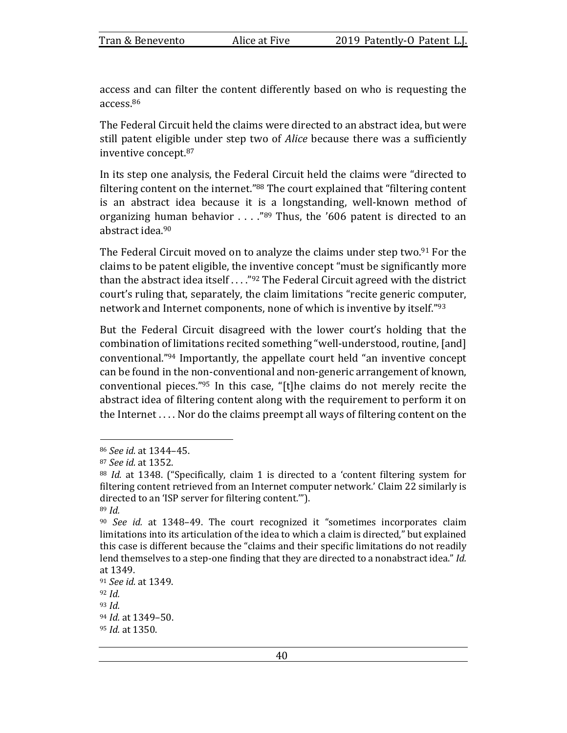access and can filter the content differently based on who is requesting the access.86

The Federal Circuit held the claims were directed to an abstract idea, but were still patent eligible under step two of *Alice* because there was a sufficiently inventive concept.<sup>87</sup>

In its step one analysis, the Federal Circuit held the claims were "directed to filtering content on the internet."<sup>88</sup> The court explained that "filtering content" is an abstract idea because it is a longstanding, well-known method of organizing human behavior  $\ldots$  ."<sup>89</sup> Thus, the '606 patent is directed to an abstract idea.<sup>90</sup>

The Federal Circuit moved on to analyze the claims under step two.<sup>91</sup> For the claims to be patent eligible, the inventive concept "must be significantly more than the abstract idea itself  $\ldots$  "92 The Federal Circuit agreed with the district court's ruling that, separately, the claim limitations "recite generic computer, network and Internet components, none of which is inventive by itself."93

But the Federal Circuit disagreed with the lower court's holding that the combination of limitations recited something "well-understood, routine, [and] conventional."<sup>94</sup> Importantly, the appellate court held "an inventive concept" can be found in the non-conventional and non-generic arrangement of known, conventional pieces."<sup>95</sup> In this case, "[t]he claims do not merely recite the abstract idea of filtering content along with the requirement to perform it on the Internet  $\dots$ . Nor do the claims preempt all ways of filtering content on the

<sup>86</sup> *See id.* at 1344–45.

<sup>87</sup> *See id.* at 1352.

<sup>&</sup>lt;sup>88</sup> *Id.* at 1348. ("Specifically, claim 1 is directed to a 'content filtering system for filtering content retrieved from an Internet computer network.' Claim 22 similarly is directed to an 'ISP server for filtering content.""). <sup>89</sup> *Id.*

<sup>&</sup>lt;sup>90</sup> *See id.* at 1348–49. The court recognized it "sometimes incorporates claim limitations into its articulation of the idea to which a claim is directed," but explained this case is different because the "claims and their specific limitations do not readily lend themselves to a step-one finding that they are directed to a nonabstract idea." *Id.* at 1349.

<sup>91</sup> *See id.* at 1349. <sup>92</sup> *Id.*

<sup>93</sup> *Id.*

<sup>94</sup> *Id.* at 1349-50.

<sup>95</sup> *Id.* at 1350.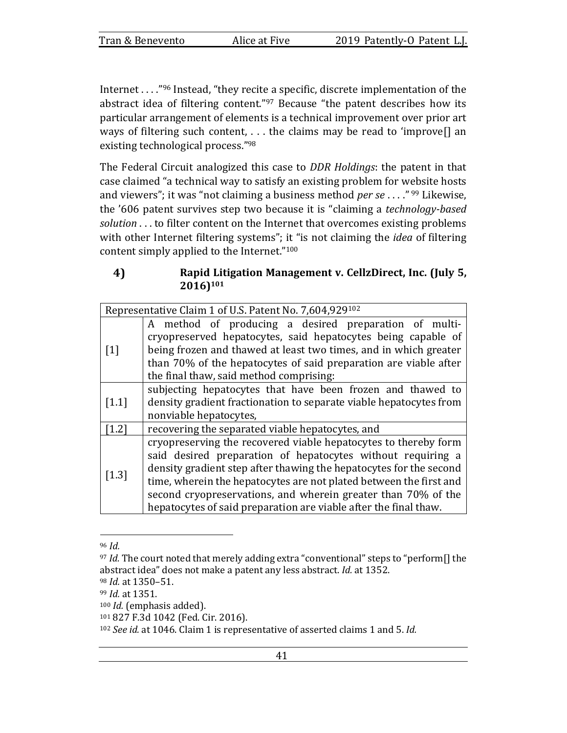Internet  $\ldots$ ."<sup>96</sup> Instead, "they recite a specific, discrete implementation of the abstract idea of filtering content." $97$  Because "the patent describes how its particular arrangement of elements is a technical improvement over prior art ways of filtering such content,  $\dots$  the claims may be read to 'improve[] an existing technological process."98

The Federal Circuit analogized this case to *DDR Holdings*: the patent in that case claimed "a technical way to satisfy an existing problem for website hosts and viewers"; it was "not claiming a business method *per se* . . . ."<sup>99</sup> Likewise, the '606 patent survives step two because it is "claiming a *technology-based* solution . . . to filter content on the Internet that overcomes existing problems with other Internet filtering systems"; it "is not claiming the *idea* of filtering content simply applied to the Internet." $100$ 

## 4) Rapid Litigation Management v. CellzDirect, Inc. (July 5, **2016)101**

| Representative Claim 1 of U.S. Patent No. 7,604,929102 |                                                                                                                                                                                                                                                                                                                                                                                                                 |  |
|--------------------------------------------------------|-----------------------------------------------------------------------------------------------------------------------------------------------------------------------------------------------------------------------------------------------------------------------------------------------------------------------------------------------------------------------------------------------------------------|--|
| $\lceil 1 \rceil$                                      | A method of producing a desired preparation of multi-<br>cryopreserved hepatocytes, said hepatocytes being capable of<br>being frozen and thawed at least two times, and in which greater<br>than 70% of the hepatocytes of said preparation are viable after<br>the final thaw, said method comprising:                                                                                                        |  |
| $\left[1.1\right]$                                     | subjecting hepatocytes that have been frozen and thawed to<br>density gradient fractionation to separate viable hepatocytes from<br>nonviable hepatocytes,                                                                                                                                                                                                                                                      |  |
| $1.2$ ]                                                | recovering the separated viable hepatocytes, and                                                                                                                                                                                                                                                                                                                                                                |  |
| $[1.3]$                                                | cryopreserving the recovered viable hepatocytes to thereby form<br>said desired preparation of hepatocytes without requiring a<br>density gradient step after thawing the hepatocytes for the second<br>time, wherein the hepatocytes are not plated between the first and<br>second cryopreservations, and wherein greater than 70% of the<br>hepatocytes of said preparation are viable after the final thaw. |  |

<sup>96</sup> *Id.*

<sup>&</sup>lt;sup>97</sup> *Id.* The court noted that merely adding extra "conventional" steps to "perform<sup>[]</sup> the abstract idea" does not make a patent any less abstract. *Id.* at 1352.

<sup>98</sup> *Id.* at 1350–51.

<sup>99</sup> *Id.* at 1351.

<sup>&</sup>lt;sup>100</sup> *Id.* (emphasis added).

<sup>101 827</sup> F.3d 1042 (Fed. Cir. 2016).

<sup>102</sup> *See id.* at 1046. Claim 1 is representative of asserted claims 1 and 5. *Id.*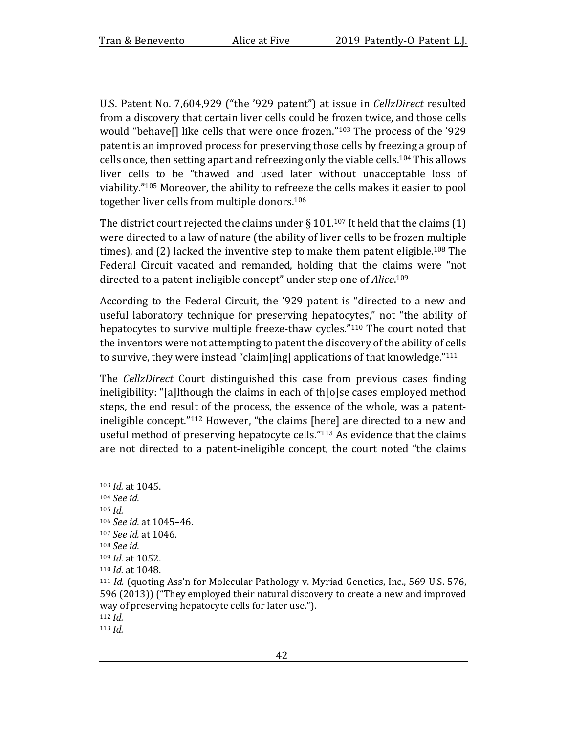U.S. Patent No. 7,604,929 ("the '929 patent") at issue in *CellzDirect* resulted from a discovery that certain liver cells could be frozen twice, and those cells would "behave[] like cells that were once frozen." $103$  The process of the '929 patent is an improved process for preserving those cells by freezing a group of cells once, then setting apart and refreezing only the viable cells.<sup>104</sup> This allows liver cells to be "thawed and used later without unacceptable loss of viability."<sup>105</sup> Moreover, the ability to refreeze the cells makes it easier to pool together liver cells from multiple donors.<sup>106</sup>

The district court rejected the claims under § 101.<sup>107</sup> It held that the claims (1) were directed to a law of nature (the ability of liver cells to be frozen multiple times), and (2) lacked the inventive step to make them patent eligible.<sup>108</sup> The Federal Circuit vacated and remanded, holding that the claims were "not directed to a patent-ineligible concept" under step one of *Alice*.<sup>109</sup>

According to the Federal Circuit, the '929 patent is "directed to a new and useful laboratory technique for preserving hepatocytes," not "the ability of hepatocytes to survive multiple freeze-thaw cycles."<sup>110</sup> The court noted that the inventors were not attempting to patent the discovery of the ability of cells to survive, they were instead "claim[ing] applications of that knowledge." $111$ 

The *CellzDirect* Court distinguished this case from previous cases finding ineligibility: "[a]lthough the claims in each of th[o]se cases employed method steps, the end result of the process, the essence of the whole, was a patentineligible concept."<sup>112</sup> However, "the claims [here] are directed to a new and useful method of preserving hepatocyte cells."<sup>113</sup> As evidence that the claims are not directed to a patent-ineligible concept, the court noted "the claims"

<sup>103</sup> *Id.* at 1045. <sup>104</sup> *See id.* <sup>105</sup> *Id.* 106 *See id.* at 1045-46. 107 *See id.* at 1046. <sup>108</sup> *See id.* 109 *Id.* at 1052. 110 *Id.* at 1048. <sup>111</sup> *Id.* (quoting Ass'n for Molecular Pathology v. Myriad Genetics, Inc., 569 U.S. 576, 596 (2013)) ("They employed their natural discovery to create a new and improved way of preserving hepatocyte cells for later use."). <sup>112</sup> *Id.* <sup>113</sup> *Id.*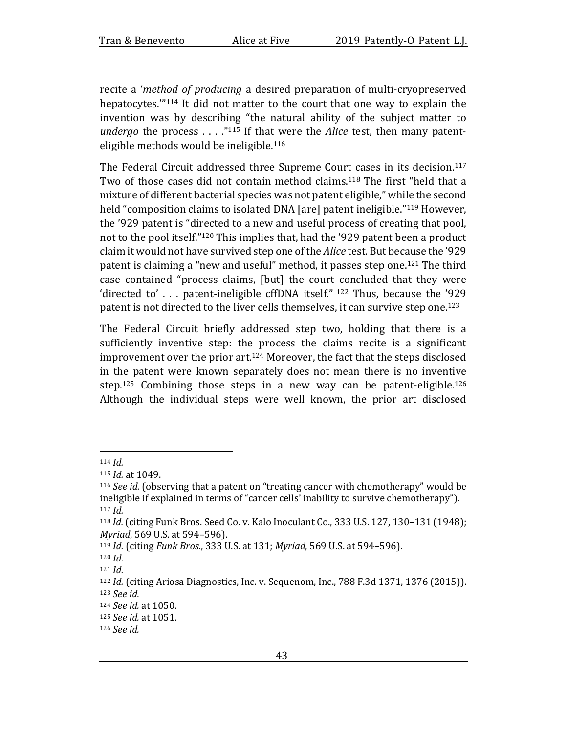recite a *'method of producing* a desired preparation of multi-cryopreserved hepatocytes. $114$  It did not matter to the court that one way to explain the invention was by describing "the natural ability of the subject matter to *undergo* the process . . . ."<sup>115</sup> If that were the *Alice* test, then many patenteligible methods would be ineligible.<sup>116</sup>

The Federal Circuit addressed three Supreme Court cases in its decision.<sup>117</sup> Two of those cases did not contain method claims.<sup>118</sup> The first "held that a mixture of different bacterial species was not patent eligible," while the second held "composition claims to isolated DNA [are] patent ineligible."<sup>119</sup> However, the '929 patent is "directed to a new and useful process of creating that pool, not to the pool itself."<sup>120</sup> This implies that, had the '929 patent been a product claim it would not have survived step one of the *Alice* test. But because the '929 patent is claiming a "new and useful" method, it passes step one.<sup>121</sup> The third case contained "process claims, [but] the court concluded that they were 'directed to'  $\ldots$  patent-ineligible cffDNA itself." 122 Thus, because the '929 patent is not directed to the liver cells themselves, it can survive step one.<sup>123</sup>

The Federal Circuit briefly addressed step two, holding that there is a sufficiently inventive step: the process the claims recite is a significant improvement over the prior art.<sup>124</sup> Moreover, the fact that the steps disclosed in the patent were known separately does not mean there is no inventive step.<sup>125</sup> Combining those steps in a new way can be patent-eligible.<sup>126</sup> Although the individual steps were well known, the prior art disclosed

<sup>114</sup> *Id.*

<sup>115</sup> *Id.* at 1049.

<sup>&</sup>lt;sup>116</sup> *See id.* (observing that a patent on "treating cancer with chemotherapy" would be ineligible if explained in terms of "cancer cells' inability to survive chemotherapy"). <sup>117</sup> *Id.*

<sup>118</sup> *Id.* (citing Funk Bros. Seed Co. v. Kalo Inoculant Co., 333 U.S. 127, 130–131 (1948); *Myriad*, 569 U.S. at 594-596).

<sup>119</sup> *Id.* (citing *Funk Bros.*, 333 U.S. at 131; *Myriad*, 569 U.S. at 594–596).

<sup>120</sup> *Id.*

<sup>121</sup> *Id.*

<sup>&</sup>lt;sup>122</sup> *Id.* (citing Ariosa Diagnostics, Inc. v. Sequenom, Inc., 788 F.3d 1371, 1376 (2015)). <sup>123</sup> *See id.*

<sup>124</sup> *See id.* at 1050.

<sup>125</sup> *See id.* at 1051.

<sup>126</sup> *See id.*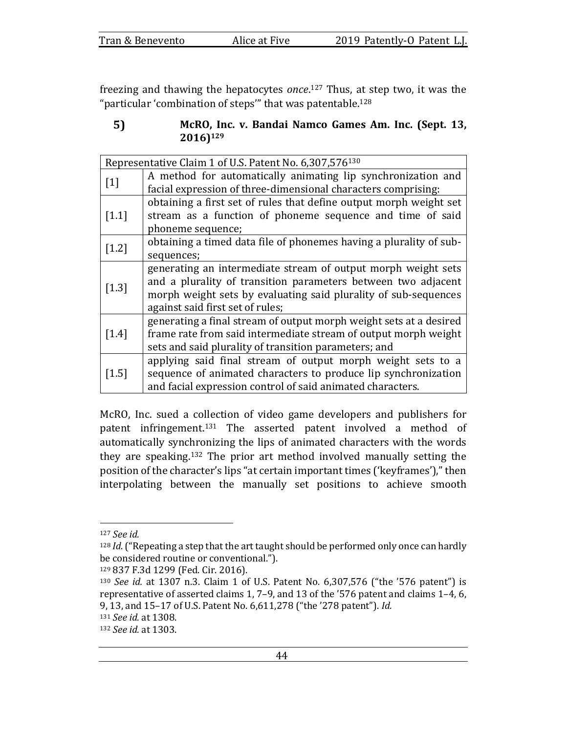| Tran & Benevento |  |
|------------------|--|
|------------------|--|

freezing and thawing the hepatocytes once.<sup>127</sup> Thus, at step two, it was the "particular 'combination of steps" that was patentable.<sup>128</sup>

### 5) McRO, Inc. v. Bandai Namco Games Am. Inc. (Sept. 13, **2016)129**

| Representative Claim 1 of U.S. Patent No. 6,307,576 <sup>130</sup> |                                                                    |  |
|--------------------------------------------------------------------|--------------------------------------------------------------------|--|
|                                                                    | A method for automatically animating lip synchronization and       |  |
| $[1]$                                                              | facial expression of three-dimensional characters comprising:      |  |
|                                                                    | obtaining a first set of rules that define output morph weight set |  |
| $[1.1]$                                                            | stream as a function of phoneme sequence and time of said          |  |
|                                                                    | phoneme sequence;                                                  |  |
|                                                                    | obtaining a timed data file of phonemes having a plurality of sub- |  |
| $[1.2]$                                                            | sequences;                                                         |  |
|                                                                    | generating an intermediate stream of output morph weight sets      |  |
| $[1.3]$                                                            | and a plurality of transition parameters between two adjacent      |  |
|                                                                    | morph weight sets by evaluating said plurality of sub-sequences    |  |
|                                                                    | against said first set of rules;                                   |  |
|                                                                    | generating a final stream of output morph weight sets at a desired |  |
| $[1.4]$                                                            | frame rate from said intermediate stream of output morph weight    |  |
|                                                                    | sets and said plurality of transition parameters; and              |  |
|                                                                    | applying said final stream of output morph weight sets to a        |  |
| $[1.5]$                                                            | sequence of animated characters to produce lip synchronization     |  |
|                                                                    | and facial expression control of said animated characters.         |  |

McRO, Inc. sued a collection of video game developers and publishers for patent infringement.<sup>131</sup> The asserted patent involved a method of automatically synchronizing the lips of animated characters with the words they are speaking.<sup>132</sup> The prior art method involved manually setting the position of the character's lips "at certain important times ('keyframes')," then interpolating between the manually set positions to achieve smooth

<sup>127</sup> *See id.*

<sup>&</sup>lt;sup>128</sup> *Id.* ("Repeating a step that the art taught should be performed only once can hardly be considered routine or conventional.").

<sup>129 837</sup> F.3d 1299 (Fed. Cir. 2016).

<sup>130</sup> *See id.* at 1307 n.3. Claim 1 of U.S. Patent No. 6,307,576 ("the '576 patent") is representative of asserted claims 1, 7-9, and 13 of the '576 patent and claims 1-4, 6, 9, 13, and 15-17 of U.S. Patent No. 6,611,278 ("the '278 patent"). *Id.* 

<sup>131</sup> *See id.* at 1308.

<sup>132</sup> *See id.* at 1303.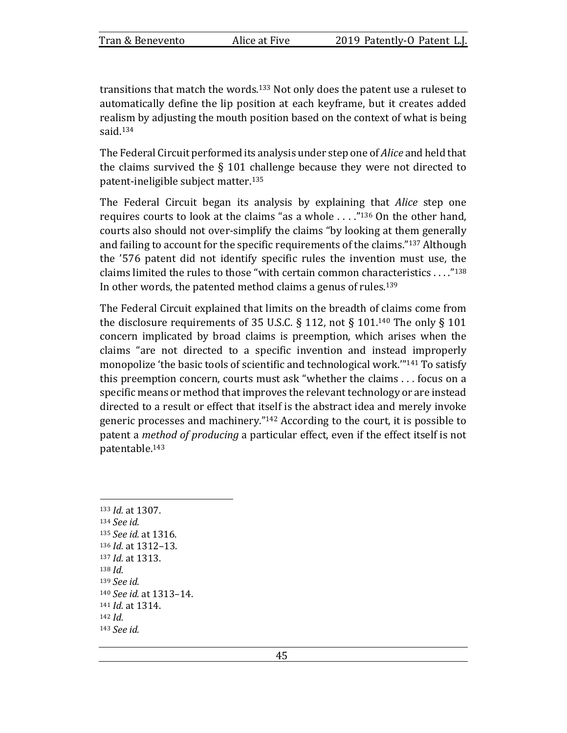transitions that match the words.<sup>133</sup> Not only does the patent use a ruleset to automatically define the lip position at each keyframe, but it creates added realism by adjusting the mouth position based on the context of what is being said.134

The Federal Circuit performed its analysis under step one of *Alice* and held that the claims survived the  $\S$  101 challenge because they were not directed to patent-ineligible subject matter.<sup>135</sup>

The Federal Circuit began its analysis by explaining that *Alice* step one requires courts to look at the claims "as a whole  $\ldots$ ."<sup>136</sup> On the other hand, courts also should not over-simplify the claims "by looking at them generally and failing to account for the specific requirements of the claims." $137$  Although the '576 patent did not identify specific rules the invention must use, the claims limited the rules to those "with certain common characteristics ...."<sup>138</sup> In other words, the patented method claims a genus of rules.<sup>139</sup>

The Federal Circuit explained that limits on the breadth of claims come from the disclosure requirements of 35 U.S.C. § 112, not § 101.<sup>140</sup> The only § 101 concern implicated by broad claims is preemption, which arises when the claims "are not directed to a specific invention and instead improperly monopolize 'the basic tools of scientific and technological work."<sup>141</sup> To satisfy this preemption concern, courts must ask "whether the claims  $\dots$  focus on a specific means or method that improves the relevant technology or are instead directed to a result or effect that itself is the abstract idea and merely invoke generic processes and machinery."<sup>142</sup> According to the court, it is possible to patent a *method of producing* a particular effect, even if the effect itself is not patentable.143

133 *Id.* at 1307. <sup>134</sup> *See id.* 135 *See id.* at 1316. 136 *Id.* at 1312-13. 137 *Id.* at 1313. <sup>138</sup> *Id.* <sup>139</sup> *See id.* <sup>140</sup> *See id.* at 1313–14. 141 *Id.* at 1314. <sup>142</sup> *Id.* <sup>143</sup> *See id.*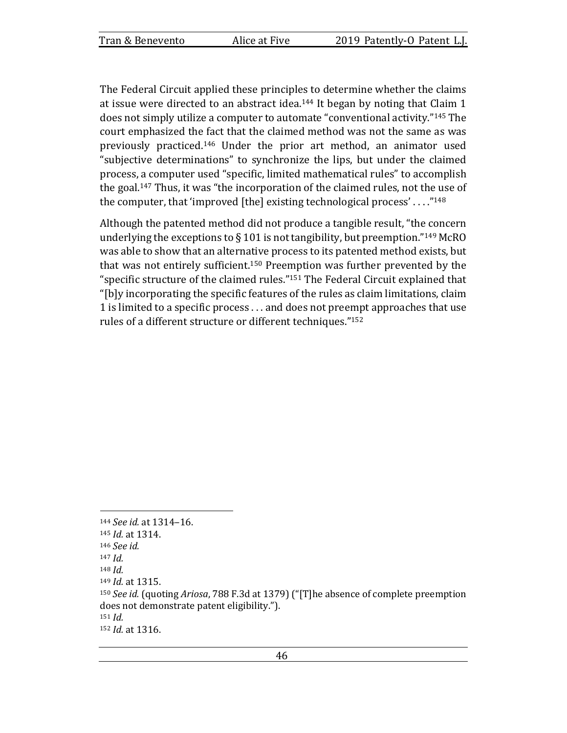The Federal Circuit applied these principles to determine whether the claims at issue were directed to an abstract idea.<sup>144</sup> It began by noting that Claim 1 does not simply utilize a computer to automate "conventional activity."<sup>145</sup> The court emphasized the fact that the claimed method was not the same as was previously practiced.<sup>146</sup> Under the prior art method, an animator used "subjective determinations" to synchronize the lips, but under the claimed process, a computer used "specific, limited mathematical rules" to accomplish the goal.<sup>147</sup> Thus, it was "the incorporation of the claimed rules, not the use of the computer, that 'improved [the] existing technological process' ...."<sup>148</sup>

Although the patented method did not produce a tangible result, "the concern underlying the exceptions to  $\S 101$  is not tangibility, but preemption."<sup>149</sup> McRO was able to show that an alternative process to its patented method exists, but that was not entirely sufficient.<sup>150</sup> Preemption was further prevented by the "specific structure of the claimed rules." $151$  The Federal Circuit explained that "[b]y incorporating the specific features of the rules as claim limitations, claim 1 is limited to a specific process . . . and does not preempt approaches that use rules of a different structure or different techniques."<sup>152</sup>

<sup>144</sup> *See id.* at 1314-16.

<sup>145</sup> *Id.* at 1314.

<sup>146</sup> *See id.*

<sup>147</sup> *Id.*

<sup>148</sup> *Id.*

<sup>149</sup> *Id.* at 1315.

<sup>150</sup> *See id.* (quoting *Ariosa*, 788 F.3d at 1379) ("[T]he absence of complete preemption does not demonstrate patent eligibility."). <sup>151</sup> *Id.*

<sup>152</sup> *Id.* at 1316.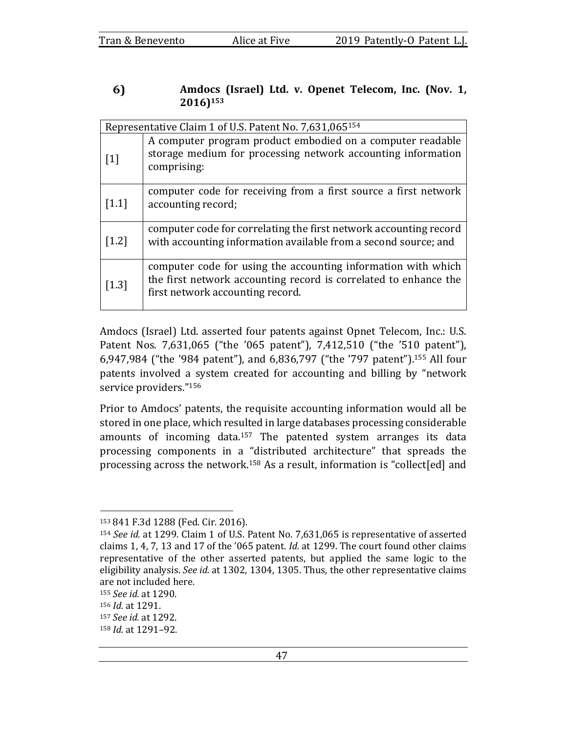#### 6) Amdocs (Israel) Ltd. v. Openet Telecom, Inc. (Nov. 1, **2016)153**

| Representative Claim 1 of U.S. Patent No. 7,631,065154 |                                                                                                                                                                       |  |  |  |  |
|--------------------------------------------------------|-----------------------------------------------------------------------------------------------------------------------------------------------------------------------|--|--|--|--|
| $[1]$                                                  | A computer program product embodied on a computer readable<br>storage medium for processing network accounting information<br>comprising:                             |  |  |  |  |
| $[1.1]$                                                | computer code for receiving from a first source a first network<br>accounting record;                                                                                 |  |  |  |  |
| $[1.2]$                                                | computer code for correlating the first network accounting record<br>with accounting information available from a second source; and                                  |  |  |  |  |
| $[1.3]$                                                | computer code for using the accounting information with which<br>the first network accounting record is correlated to enhance the<br>first network accounting record. |  |  |  |  |

Amdocs (Israel) Ltd. asserted four patents against Opnet Telecom, Inc.: U.S. Patent Nos. 7,631,065 ("the '065 patent"), 7,412,510 ("the '510 patent"), 6,947,984 ("the '984 patent"), and 6,836,797 ("the '797 patent").<sup>155</sup> All four patents involved a system created for accounting and billing by "network service providers."156

Prior to Amdocs' patents, the requisite accounting information would all be stored in one place, which resulted in large databases processing considerable amounts of incoming data.<sup>157</sup> The patented system arranges its data processing components in a "distributed architecture" that spreads the processing across the network.<sup>158</sup> As a result, information is "collect[ed] and

<sup>153 841</sup> F.3d 1288 (Fed. Cir. 2016).

<sup>&</sup>lt;sup>154</sup> *See id.* at 1299. Claim 1 of U.S. Patent No. 7,631,065 is representative of asserted claims 1, 4, 7, 13 and 17 of the '065 patent. *Id.* at 1299. The court found other claims representative of the other asserted patents, but applied the same logic to the eligibility analysis. See id. at 1302, 1304, 1305. Thus, the other representative claims are not included here.

<sup>155</sup> *See id.* at 1290.

<sup>156</sup> *Id.* at 1291.

<sup>157</sup> *See id.* at 1292.

<sup>158</sup> *Id.* at 1291-92.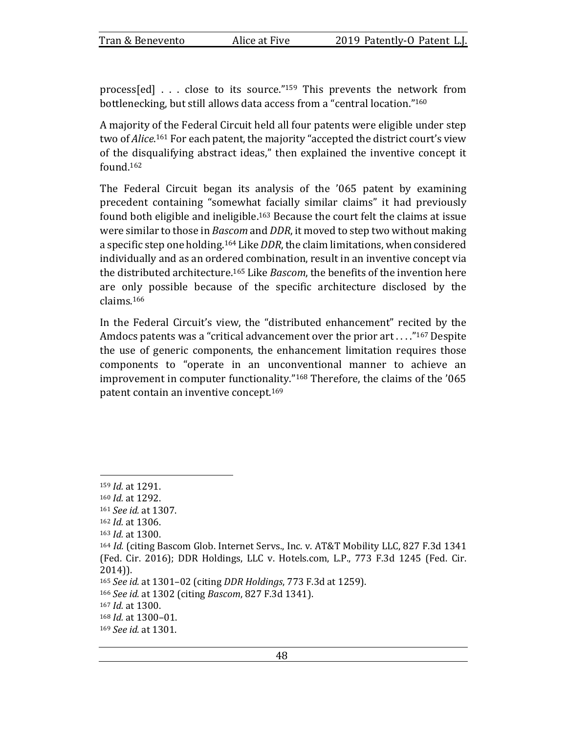process[ed]  $\ldots$  close to its source."<sup>159</sup> This prevents the network from bottlenecking, but still allows data access from a "central location."<sup>160</sup>

A majority of the Federal Circuit held all four patents were eligible under step two of *Alice*.<sup>161</sup> For each patent, the majority "accepted the district court's view of the disqualifying abstract ideas," then explained the inventive concept it found.162

The Federal Circuit began its analysis of the '065 patent by examining precedent containing "somewhat facially similar claims" it had previously found both eligible and ineligible.<sup>163</sup> Because the court felt the claims at issue were similar to those in *Bascom* and *DDR*, it moved to step two without making a specific step one holding.<sup>164</sup> Like *DDR*, the claim limitations, when considered individually and as an ordered combination, result in an inventive concept via the distributed architecture.<sup>165</sup> Like *Bascom*, the benefits of the invention here are only possible because of the specific architecture disclosed by the claims.166

In the Federal Circuit's view, the "distributed enhancement" recited by the Amdocs patents was a "critical advancement over the prior  $art \dots$ "<sup>167</sup> Despite the use of generic components, the enhancement limitation requires those components to "operate in an unconventional manner to achieve an improvement in computer functionality."<sup>168</sup> Therefore, the claims of the '065 patent contain an inventive concept.<sup>169</sup>

<sup>159</sup> *Id.* at 1291.

<sup>160</sup> *Id.* at 1292.

<sup>161</sup> *See id.* at 1307.

<sup>162</sup> *Id.* at 1306.

<sup>163</sup> *Id.* at 1300.

<sup>164</sup> *Id.* (citing Bascom Glob. Internet Servs., Inc. v. AT&T Mobility LLC, 827 F.3d 1341 (Fed. Cir. 2016); DDR Holdings, LLC v. Hotels.com, L.P., 773 F.3d 1245 (Fed. Cir. 2014)).

<sup>165</sup> *See id.* at 1301-02 (citing *DDR Holdings*, 773 F.3d at 1259).

<sup>166</sup> *See id.* at 1302 (citing *Bascom*, 827 F.3d 1341).

<sup>167</sup> *Id.* at 1300.

<sup>168</sup> *Id.* at 1300-01.

<sup>169</sup> *See id.* at 1301.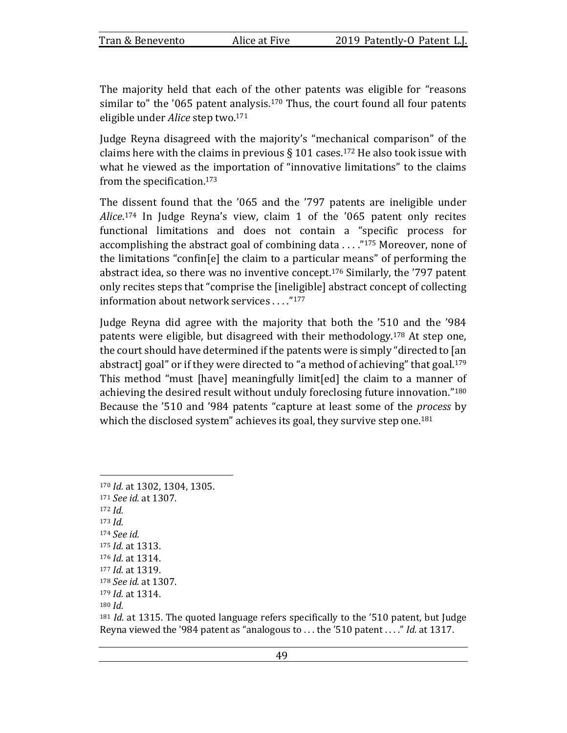The majority held that each of the other patents was eligible for "reasons" similar to" the '065 patent analysis.<sup>170</sup> Thus, the court found all four patents eligible under *Alice* step two.<sup>171</sup>

Judge Reyna disagreed with the majority's "mechanical comparison" of the claims here with the claims in previous  $\S$  101 cases.<sup>172</sup> He also took issue with what he viewed as the importation of "innovative limitations" to the claims from the specification. $173$ 

The dissent found that the '065 and the '797 patents are ineligible under Alice.<sup>174</sup> In Judge Reyna's view, claim 1 of the '065 patent only recites functional limitations and does not contain a "specific process for accomplishing the abstract goal of combining data  $\dots$ ."<sup>175</sup> Moreover, none of the limitations "confin[e] the claim to a particular means" of performing the abstract idea, so there was no inventive concept.<sup>176</sup> Similarly, the  $'797$  patent only recites steps that "comprise the [ineligible] abstract concept of collecting information about network services ...."<sup>177</sup>

Judge Reyna did agree with the majority that both the '510 and the '984 patents were eligible, but disagreed with their methodology.<sup>178</sup> At step one, the court should have determined if the patents were is simply "directed to [an abstract] goal" or if they were directed to "a method of achieving" that goal.<sup>179</sup> This method "must [have] meaningfully limit[ed] the claim to a manner of achieving the desired result without unduly foreclosing future innovation."<sup>180</sup> Because the '510 and '984 patents "capture at least some of the *process* by which the disclosed system" achieves its goal, they survive step one.<sup>181</sup>

<sup>170</sup> *Id.* at 1302, 1304, 1305. 171 *See id.* at 1307. <sup>172</sup> *Id.* <sup>173</sup> *Id.* <sup>174</sup> *See id.* 175 *Id.* at 1313. 176 *Id.* at 1314. 177 *Id.* at 1319. <sup>178</sup> *See id.* at 1307. 179 *Id.* at 1314. <sup>180</sup> *Id.*

 $181$  *Id.* at 1315. The quoted language refers specifically to the '510 patent, but Judge Reyna viewed the '984 patent as "analogous to ... the '510 patent ...." *Id.* at 1317.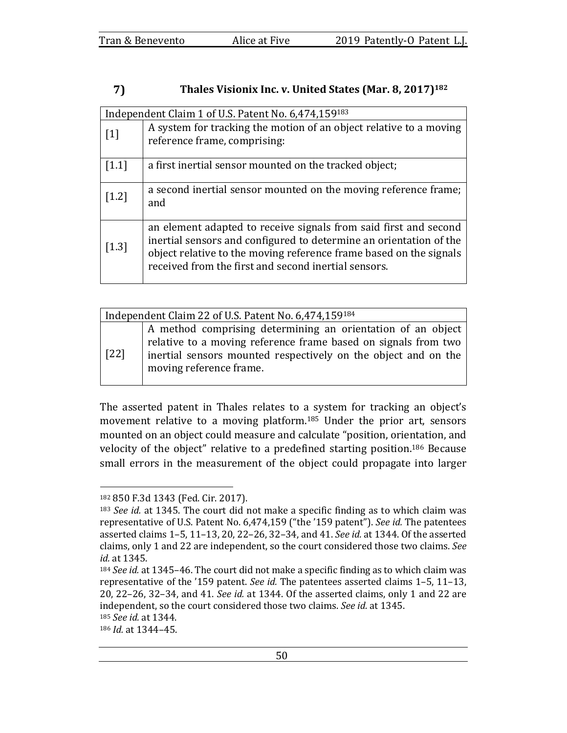#### 7) Thales Visionix Inc. v. United States (Mar. 8, 2017)<sup>182</sup>

|         | Independent Claim 1 of U.S. Patent No. 6,474,159183                                                                                                                                                                                                                  |  |  |  |  |  |
|---------|----------------------------------------------------------------------------------------------------------------------------------------------------------------------------------------------------------------------------------------------------------------------|--|--|--|--|--|
| $[1]$   | A system for tracking the motion of an object relative to a moving<br>reference frame, comprising:                                                                                                                                                                   |  |  |  |  |  |
| $[1.1]$ | a first inertial sensor mounted on the tracked object;                                                                                                                                                                                                               |  |  |  |  |  |
| $[1.2]$ | a second inertial sensor mounted on the moving reference frame;<br>and                                                                                                                                                                                               |  |  |  |  |  |
| $[1.3]$ | an element adapted to receive signals from said first and second<br>inertial sensors and configured to determine an orientation of the<br>object relative to the moving reference frame based on the signals<br>received from the first and second inertial sensors. |  |  |  |  |  |

| Independent Claim 22 of U.S. Patent No. 6,474,159184 |                                                                                                                                                                                                                            |  |  |  |  |
|------------------------------------------------------|----------------------------------------------------------------------------------------------------------------------------------------------------------------------------------------------------------------------------|--|--|--|--|
| $[22]$                                               | A method comprising determining an orientation of an object<br>relative to a moving reference frame based on signals from two<br>inertial sensors mounted respectively on the object and on the<br>moving reference frame. |  |  |  |  |

The asserted patent in Thales relates to a system for tracking an object's movement relative to a moving platform.<sup>185</sup> Under the prior art, sensors mounted on an object could measure and calculate "position, orientation, and velocity of the object" relative to a predefined starting position.<sup>186</sup> Because small errors in the measurement of the object could propagate into larger

<sup>182 850</sup> F.3d 1343 (Fed. Cir. 2017).

<sup>&</sup>lt;sup>183</sup> *See id.* at 1345. The court did not make a specific finding as to which claim was representative of U.S. Patent No. 6,474,159 ("the '159 patent"). See id. The patentees asserted claims 1-5, 11-13, 20, 22-26, 32-34, and 41. *See id.* at 1344. Of the asserted claims, only 1 and 22 are independent, so the court considered those two claims. See *id.* at 1345.

<sup>184</sup> *See id.* at 1345-46. The court did not make a specific finding as to which claim was representative of the '159 patent. *See id.* The patentees asserted claims 1-5, 11-13, 20, 22–26, 32–34, and 41. *See id.* at 1344. Of the asserted claims, only 1 and 22 are independent, so the court considered those two claims. See id. at 1345.

<sup>185</sup> *See id.* at 1344.

<sup>186</sup> *Id.* at 1344-45.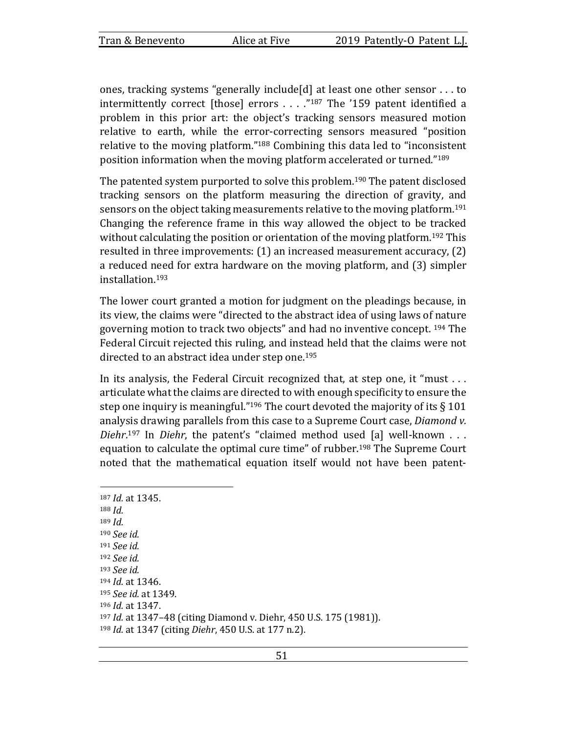ones, tracking systems "generally include[d] at least one other sensor  $\dots$  to intermittently correct [those] errors  $\dots$  ."187 The '159 patent identified a problem in this prior art: the object's tracking sensors measured motion relative to earth, while the error-correcting sensors measured "position relative to the moving platform."<sup>188</sup> Combining this data led to "inconsistent position information when the moving platform accelerated or turned."<sup>189</sup>

The patented system purported to solve this problem.<sup>190</sup> The patent disclosed tracking sensors on the platform measuring the direction of gravity, and sensors on the object taking measurements relative to the moving platform.<sup>191</sup> Changing the reference frame in this way allowed the object to be tracked without calculating the position or orientation of the moving platform.<sup>192</sup> This resulted in three improvements:  $(1)$  an increased measurement accuracy,  $(2)$ a reduced need for extra hardware on the moving platform, and (3) simpler installation.193

The lower court granted a motion for judgment on the pleadings because, in its view, the claims were "directed to the abstract idea of using laws of nature governing motion to track two objects" and had no inventive concept. <sup>194</sup> The Federal Circuit rejected this ruling, and instead held that the claims were not directed to an abstract idea under step one.<sup>195</sup>

In its analysis, the Federal Circuit recognized that, at step one, it "must  $\dots$ articulate what the claims are directed to with enough specificity to ensure the step one inquiry is meaningful."<sup>196</sup> The court devoted the majority of its  $\S 101$ analysis drawing parallels from this case to a Supreme Court case, *Diamond v. Diehr*.<sup>197</sup> In *Diehr*, the patent's "claimed method used [a] well-known . . . equation to calculate the optimal cure time" of rubber.<sup>198</sup> The Supreme Court noted that the mathematical equation itself would not have been patent-

<sup>187</sup> *Id.* at 1345. <sup>188</sup> *Id.* <sup>189</sup> *Id.* <sup>190</sup> *See id.* <sup>191</sup> *See id.* <sup>192</sup> *See id.* <sup>193</sup> *See id.* 194 *Id.* at 1346. <sup>195</sup> *See id.* at 1349. 196 *Id.* at 1347. 197 *Id.* at 1347-48 (citing Diamond v. Diehr, 450 U.S. 175 (1981)). 198 *Id.* at 1347 (citing *Diehr*, 450 U.S. at 177 n.2).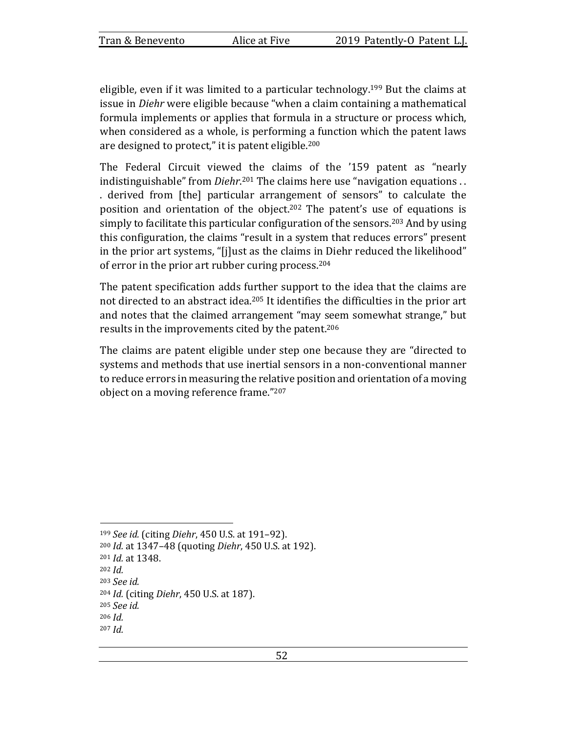eligible, even if it was limited to a particular technology.<sup>199</sup> But the claims at issue in *Diehr* were eligible because "when a claim containing a mathematical formula implements or applies that formula in a structure or process which, when considered as a whole, is performing a function which the patent laws are designed to protect," it is patent eligible.<sup>200</sup>

The Federal Circuit viewed the claims of the '159 patent as "nearly indistinguishable" from *Diehr*.<sup>201</sup> The claims here use "navigation equations . . . derived from [the] particular arrangement of sensors" to calculate the position and orientation of the object.<sup>202</sup> The patent's use of equations is simply to facilitate this particular configuration of the sensors.<sup>203</sup> And by using this configuration, the claims "result in a system that reduces errors" present in the prior art systems, "[j]ust as the claims in Diehr reduced the likelihood" of error in the prior art rubber curing process.<sup>204</sup>

The patent specification adds further support to the idea that the claims are not directed to an abstract idea.<sup>205</sup> It identifies the difficulties in the prior art and notes that the claimed arrangement "may seem somewhat strange," but results in the improvements cited by the patent.<sup>206</sup>

The claims are patent eligible under step one because they are "directed to systems and methods that use inertial sensors in a non-conventional manner to reduce errors in measuring the relative position and orientation of a moving object on a moving reference frame."207

- <sup>202</sup> *Id.*
- <sup>203</sup> *See id.*

<sup>199</sup> *See id.* (citing *Diehr*, 450 U.S. at 191-92).

<sup>200</sup> *Id.* at 1347-48 (quoting *Diehr*, 450 U.S. at 192).

<sup>201</sup> *Id.* at 1348.

<sup>204</sup> *Id.* (citing *Diehr*, 450 U.S. at 187).

<sup>205</sup> *See id.*

<sup>206</sup> *Id.*

<sup>207</sup> *Id.*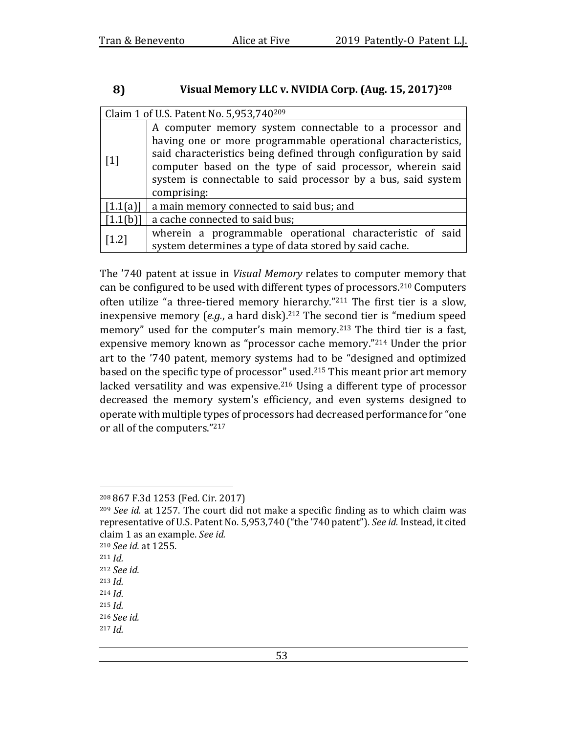#### 8) Visual Memory LLC v. NVIDIA Corp. (Aug. 15, 2017)<sup>208</sup>

|                   | Claim 1 of U.S. Patent No. 5,953,740209                                                                                                                                                                                                                                                                                                   |
|-------------------|-------------------------------------------------------------------------------------------------------------------------------------------------------------------------------------------------------------------------------------------------------------------------------------------------------------------------------------------|
| $\lceil 1 \rceil$ | A computer memory system connectable to a processor and<br>having one or more programmable operational characteristics,<br>said characteristics being defined through configuration by said<br>computer based on the type of said processor, wherein said<br>system is connectable to said processor by a bus, said system<br>comprising: |
| [1.1(a)]          | a main memory connected to said bus; and                                                                                                                                                                                                                                                                                                  |
| [1.1(b)]          | a cache connected to said bus;                                                                                                                                                                                                                                                                                                            |
| $[1.2]$           | wherein a programmable operational characteristic of said<br>system determines a type of data stored by said cache.                                                                                                                                                                                                                       |

The '740 patent at issue in *Visual Memory* relates to computer memory that can be configured to be used with different types of processors.<sup>210</sup> Computers often utilize "a three-tiered memory hierarchy."<sup>211</sup> The first tier is a slow, inexpensive memory  $(e.g., a hard disk).$ <sup>212</sup> The second tier is "medium speed memory" used for the computer's main memory.<sup>213</sup> The third tier is a fast, expensive memory known as "processor cache memory." $214$  Under the prior art to the '740 patent, memory systems had to be "designed and optimized based on the specific type of processor" used.<sup>215</sup> This meant prior art memory lacked versatility and was expensive.<sup>216</sup> Using a different type of processor decreased the memory system's efficiency, and even systems designed to operate with multiple types of processors had decreased performance for "one or all of the computers."217

<sup>215</sup> *Id.*

<sup>208 867</sup> F.3d 1253 (Fed. Cir. 2017)

 $^{209}$  *See id.* at 1257. The court did not make a specific finding as to which claim was representative of U.S. Patent No. 5,953,740 ("the '740 patent"). See id. Instead, it cited claim 1 as an example. See id.

<sup>210</sup> *See id.* at 1255.

<sup>211</sup> *Id.*

<sup>212</sup> *See id.*

<sup>213</sup> *Id.*

<sup>214</sup> *Id.*

<sup>216</sup> *See id.*

<sup>217</sup> *Id.*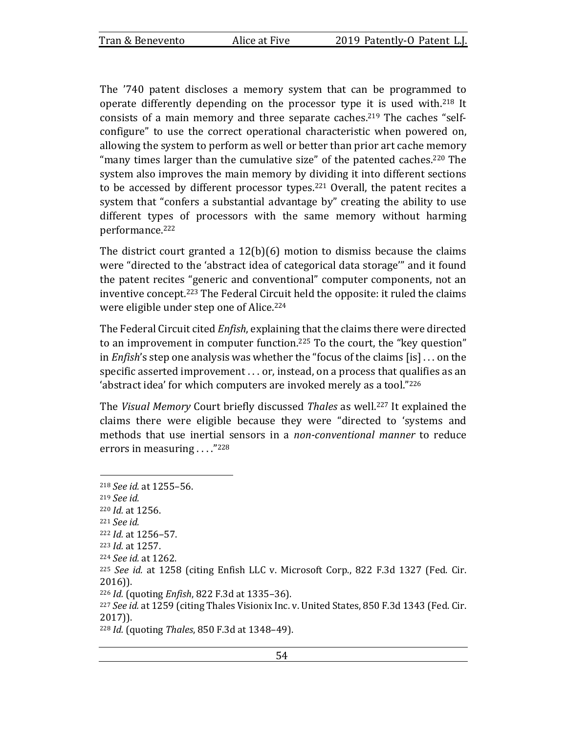The '740 patent discloses a memory system that can be programmed to operate differently depending on the processor type it is used with.<sup>218</sup> It consists of a main memory and three separate caches.<sup>219</sup> The caches "selfconfigure" to use the correct operational characteristic when powered on, allowing the system to perform as well or better than prior art cache memory "many times larger than the cumulative size" of the patented caches.<sup>220</sup> The system also improves the main memory by dividing it into different sections to be accessed by different processor types.<sup>221</sup> Overall, the patent recites a system that "confers a substantial advantage by" creating the ability to use different types of processors with the same memory without harming performance.222

The district court granted a  $12(b)(6)$  motion to dismiss because the claims were "directed to the 'abstract idea of categorical data storage'" and it found the patent recites "generic and conventional" computer components, not an inventive concept.<sup>223</sup> The Federal Circuit held the opposite: it ruled the claims were eligible under step one of Alice.<sup>224</sup>

The Federal Circuit cited *Enfish*, explaining that the claims there were directed to an improvement in computer function.<sup>225</sup> To the court, the "key question" in *Enfish*'s step one analysis was whether the "focus of the claims [is] ... on the specific asserted improvement  $\dots$  or, instead, on a process that qualifies as an 'abstract idea' for which computers are invoked merely as a tool." $226$ 

The *Visual Memory* Court briefly discussed Thales as well.<sup>227</sup> It explained the claims there were eligible because they were "directed to 'systems and methods that use inertial sensors in a *non-conventional manner* to reduce errors in measuring  $\ldots$ ."<sup>228</sup>

<sup>218</sup> *See id.* at 1255–56. <sup>219</sup> *See id.* 220 *Id.* at 1256. <sup>221</sup> *See id.* 222 *Id.* at 1256-57. 223 *Id.* at 1257. <sup>224</sup> *See id.* at 1262. <sup>225</sup> See id. at 1258 (citing Enfish LLC v. Microsoft Corp., 822 F.3d 1327 (Fed. Cir. 2016)). 226 *Id.* (quoting *Enfish*, 822 F.3d at 1335–36). <sup>227</sup> See id. at 1259 (citing Thales Visionix Inc. v. United States, 850 F.3d 1343 (Fed. Cir. 2017)). 228 *Id.* (quoting *Thales*, 850 F.3d at 1348-49).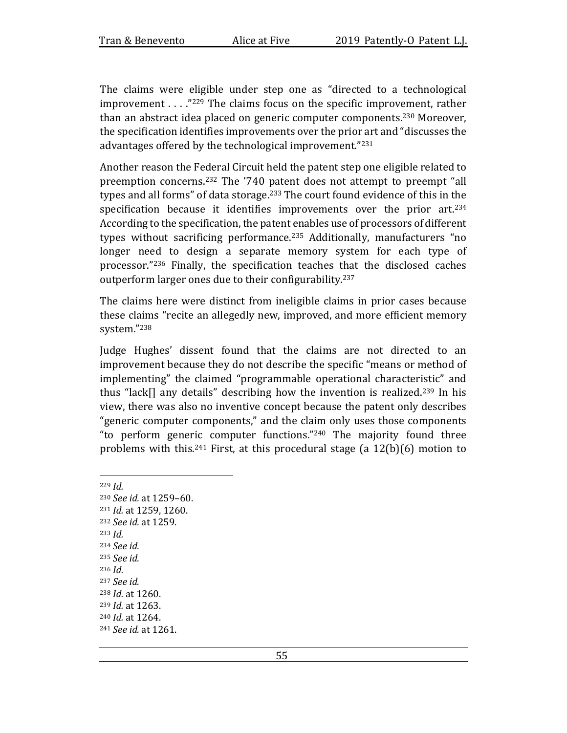The claims were eligible under step one as "directed to a technological improvement  $\ldots$  ."<sup>229</sup> The claims focus on the specific improvement, rather than an abstract idea placed on generic computer components.<sup>230</sup> Moreover, the specification identifies improvements over the prior art and "discusses the advantages offered by the technological improvement."<sup>231</sup>

Another reason the Federal Circuit held the patent step one eligible related to preemption concerns.<sup>232</sup> The '740 patent does not attempt to preempt "all types and all forms" of data storage.<sup>233</sup> The court found evidence of this in the specification because it identifies improvements over the prior  $art.^{234}$ According to the specification, the patent enables use of processors of different types without sacrificing performance.<sup>235</sup> Additionally, manufacturers "no longer need to design a separate memory system for each type of processor."<sup>236</sup> Finally, the specification teaches that the disclosed caches outperform larger ones due to their configurability.<sup>237</sup>

The claims here were distinct from ineligible claims in prior cases because these claims "recite an allegedly new, improved, and more efficient memory system."238

Judge Hughes' dissent found that the claims are not directed to an improvement because they do not describe the specific "means or method of implementing" the claimed "programmable operational characteristic" and thus "lack[] any details" describing how the invention is realized.<sup>239</sup> In his view, there was also no inventive concept because the patent only describes "generic computer components," and the claim only uses those components "to perform generic computer functions." $240$  The majority found three problems with this.<sup>241</sup> First, at this procedural stage (a  $12(b)(6)$  motion to

<sup>229</sup> *Id.* <sup>230</sup> *See id.* at 1259-60. 231 *Id.* at 1259, 1260. <sup>232</sup> *See id.* at 1259. <sup>233</sup> *Id.* <sup>234</sup> *See id.* <sup>235</sup> *See id.* <sup>236</sup> *Id.* <sup>237</sup> *See id.* 238 *Id.* at 1260. 239 *Id.* at 1263. 240 *Id.* at 1264. <sup>241</sup> *See id.* at 1261.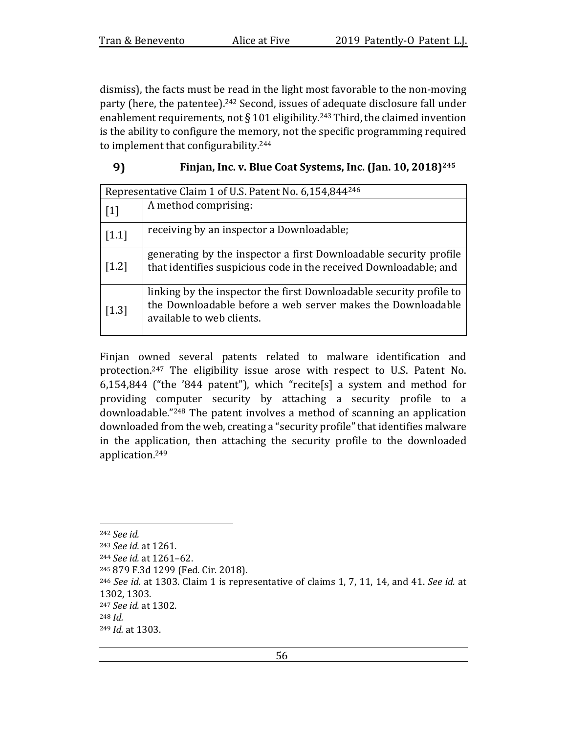dismiss), the facts must be read in the light most favorable to the non-moving party (here, the patentee).<sup>242</sup> Second, issues of adequate disclosure fall under enablement requirements, not § 101 eligibility.<sup>243</sup> Third, the claimed invention is the ability to configure the memory, not the specific programming required to implement that configurability.<sup>244</sup>

| 9) |  |  | Finjan, Inc. v. Blue Coat Systems, Inc. (Jan. 10, 2018) <sup>245</sup> |  |  |  |
|----|--|--|------------------------------------------------------------------------|--|--|--|
|    |  |  |                                                                        |  |  |  |

| Representative Claim 1 of U.S. Patent No. 6,154,844 <sup>246</sup> |                                                                                                                                                                 |  |  |  |  |
|--------------------------------------------------------------------|-----------------------------------------------------------------------------------------------------------------------------------------------------------------|--|--|--|--|
| $\lceil 1 \rceil$                                                  | A method comprising:                                                                                                                                            |  |  |  |  |
| $[1.1]$                                                            | receiving by an inspector a Downloadable;                                                                                                                       |  |  |  |  |
| $[1.2]$                                                            | generating by the inspector a first Downloadable security profile<br>that identifies suspicious code in the received Downloadable; and                          |  |  |  |  |
| $[1.3]$                                                            | linking by the inspector the first Downloadable security profile to<br>the Downloadable before a web server makes the Downloadable<br>available to web clients. |  |  |  |  |

Finjan owned several patents related to malware identification and protection.<sup>247</sup> The eligibility issue arose with respect to U.S. Patent No. 6,154,844 ("the '844 patent"), which "recite[s] a system and method for providing computer security by attaching a security profile to a downloadable."<sup>248</sup> The patent involves a method of scanning an application downloaded from the web, creating a "security profile" that identifies malware in the application, then attaching the security profile to the downloaded application.249

<sup>242</sup> *See id.*

<sup>243</sup> *See id.* at 1261.

<sup>244</sup> *See id.* at 1261-62.

<sup>245 879</sup> F.3d 1299 (Fed. Cir. 2018).

 $246$  *See id.* at 1303. Claim 1 is representative of claims 1, 7, 11, 14, and 41. *See id.* at 1302, 1303.

<sup>&</sup>lt;sup>247</sup> *See id.* at 1302.

<sup>248</sup> *Id.*

<sup>249</sup> *Id.* at 1303.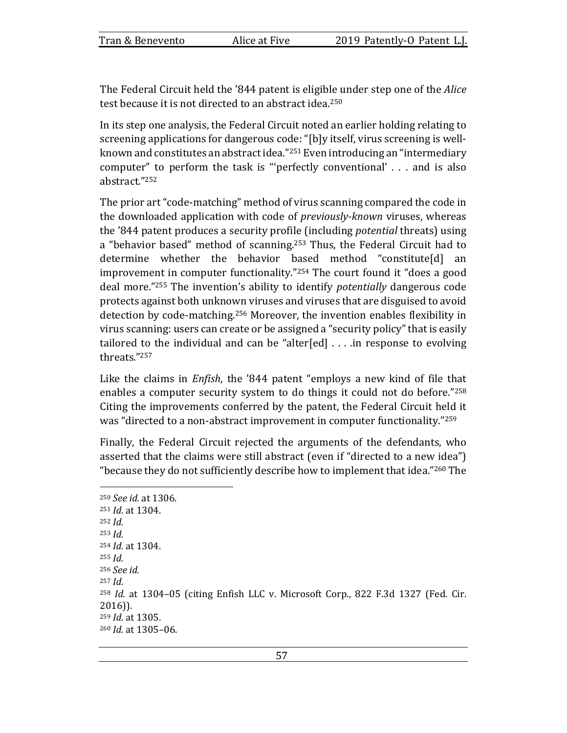The Federal Circuit held the '844 patent is eligible under step one of the *Alice* test because it is not directed to an abstract idea.<sup>250</sup>

In its step one analysis, the Federal Circuit noted an earlier holding relating to screening applications for dangerous code: "[b]y itself, virus screening is wellknown and constitutes an abstract idea."<sup>251</sup> Even introducing an "intermediary computer" to perform the task is "'perfectly conventional'  $\ldots$  and is also abstract."252

The prior art "code-matching" method of virus scanning compared the code in the downloaded application with code of *previously-known* viruses, whereas the '844 patent produces a security profile (including *potential* threats) using a "behavior based" method of scanning.<sup>253</sup> Thus, the Federal Circuit had to determine whether the behavior based method "constitute[d] an improvement in computer functionality."<sup>254</sup> The court found it "does a good deal more."<sup>255</sup> The invention's ability to identify *potentially* dangerous code protects against both unknown viruses and viruses that are disguised to avoid detection by code-matching.<sup>256</sup> Moreover, the invention enables flexibility in virus scanning: users can create or be assigned a "security policy" that is easily tailored to the individual and can be "alter[ed]  $\ldots$  in response to evolving threats."257

Like the claims in *Enfish*, the '844 patent "employs a new kind of file that enables a computer security system to do things it could not do before." $258$ Citing the improvements conferred by the patent, the Federal Circuit held it was "directed to a non-abstract improvement in computer functionality."<sup>259</sup>

Finally, the Federal Circuit rejected the arguments of the defendants, who asserted that the claims were still abstract (even if "directed to a new idea") "because they do not sufficiently describe how to implement that idea."<sup>260</sup> The

```
250 See id. at 1306.
251 Id. at 1304.
252 Id.
253 Id.
254 Id. at 1304.
255 Id.
256 See	id.
257 Id.
<sup>258</sup> Id. at 1304–05 (citing Enfish LLC v. Microsoft Corp., 822 F.3d 1327 (Fed. Cir.
2016)).
259 Id. at 1305.
260 Id. at 1305-06.
```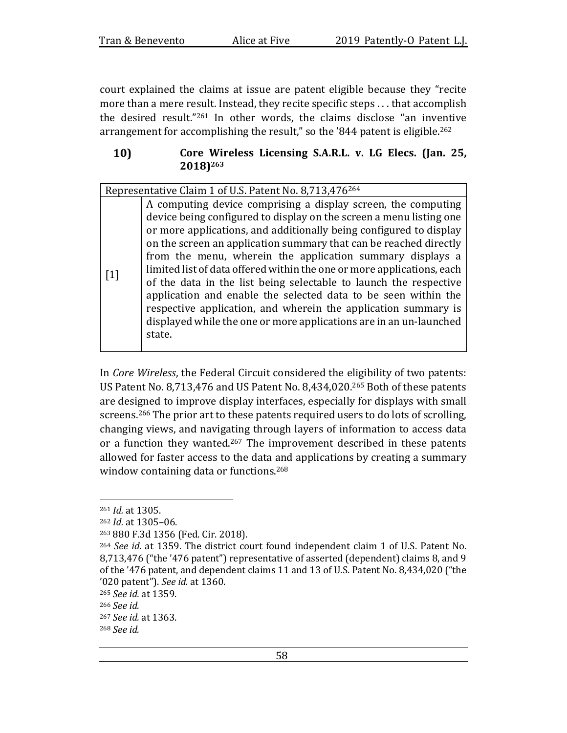| Tran & Benevento | Alice at Five | 2019 Patently-O Patent L.J. |
|------------------|---------------|-----------------------------|

court explained the claims at issue are patent eligible because they "recite more than a mere result. Instead, they recite specific steps ... that accomplish the desired result."<sup>261</sup> In other words, the claims disclose "an inventive arrangement for accomplishing the result," so the '844 patent is eligible.<sup>262</sup>

### 10) Core Wireless Licensing S.A.R.L. v. LG Elecs. (Jan. 25, **2018)263**

Representative Claim 1 of U.S. Patent No. 8,713,476<sup>264</sup>

[1] A computing device comprising a display screen, the computing device being configured to display on the screen a menu listing one or more applications, and additionally being configured to display on the screen an application summary that can be reached directly from the menu, wherein the application summary displays a limited list of data offered within the one or more applications, each of the data in the list being selectable to launch the respective application and enable the selected data to be seen within the respective application, and wherein the application summary is displayed while the one or more applications are in an un-launched state.

In Core Wireless, the Federal Circuit considered the eligibility of two patents: US Patent No. 8,713,476 and US Patent No. 8,434,020.<sup>265</sup> Both of these patents are designed to improve display interfaces, especially for displays with small screens.<sup>266</sup> The prior art to these patents required users to do lots of scrolling, changing views, and navigating through layers of information to access data or a function they wanted.<sup>267</sup> The improvement described in these patents allowed for faster access to the data and applications by creating a summary window containing data or functions.<sup>268</sup>

<sup>261</sup> *Id.* at 1305.

<sup>262</sup> *Id.* at 1305-06.

<sup>263 880</sup> F.3d 1356 (Fed. Cir. 2018).

<sup>&</sup>lt;sup>264</sup> *See id.* at 1359. The district court found independent claim 1 of U.S. Patent No. 8,713,476 ("the '476 patent") representative of asserted (dependent) claims 8, and 9 of the '476 patent, and dependent claims 11 and 13 of U.S. Patent No. 8,434,020 ("the '020 patent"). *See id.* at 1360.

<sup>265</sup> *See id.* at 1359.

<sup>266</sup> *See id.*

<sup>267</sup> *See id.* at 1363.

<sup>268</sup> *See id.*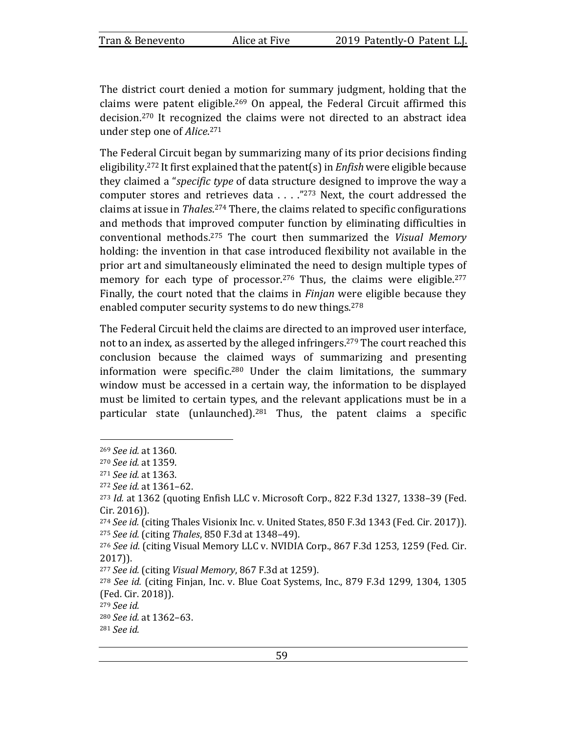The district court denied a motion for summary judgment, holding that the claims were patent eligible.<sup>269</sup> On appeal, the Federal Circuit affirmed this decision.<sup>270</sup> It recognized the claims were not directed to an abstract idea under step one of *Alice*.<sup>271</sup>

The Federal Circuit began by summarizing many of its prior decisions finding eligibility.<sup>272</sup> It first explained that the patent(s) in *Enfish* were eligible because they claimed a "*specific type* of data structure designed to improve the way a computer stores and retrieves data . . . . "273 Next, the court addressed the claims at issue in *Thales*.<sup>274</sup> There, the claims related to specific configurations and methods that improved computer function by eliminating difficulties in conventional methods.<sup>275</sup> The court then summarized the *Visual Memory* holding: the invention in that case introduced flexibility not available in the prior art and simultaneously eliminated the need to design multiple types of memory for each type of processor.<sup>276</sup> Thus, the claims were eligible.<sup>277</sup> Finally, the court noted that the claims in *Finjan* were eligible because they enabled computer security systems to do new things.<sup>278</sup>

The Federal Circuit held the claims are directed to an improved user interface, not to an index, as asserted by the alleged infringers.<sup>279</sup> The court reached this conclusion because the claimed ways of summarizing and presenting information were specific.<sup>280</sup> Under the claim limitations, the summary window must be accessed in a certain way, the information to be displayed must be limited to certain types, and the relevant applications must be in a particular state (unlaunched).<sup>281</sup> Thus, the patent claims a specific

<sup>269</sup> *See id.* at 1360.

<sup>270</sup> *See id.* at 1359.

<sup>271</sup> *See id.* at 1363.

<sup>272</sup> *See id.* at 1361–62.

<sup>&</sup>lt;sup>273</sup> *Id.* at 1362 (quoting Enfish LLC v. Microsoft Corp., 822 F.3d 1327, 1338-39 (Fed. Cir. 2016)).

<sup>&</sup>lt;sup>274</sup> See id. (citing Thales Visionix Inc. v. United States, 850 F.3d 1343 (Fed. Cir. 2017)). 275 *See id.* (citing *Thales*, 850 F.3d at 1348-49).

<sup>&</sup>lt;sup>276</sup> See id. (citing Visual Memory LLC v. NVIDIA Corp., 867 F.3d 1253, 1259 (Fed. Cir. 2017)).

<sup>&</sup>lt;sup>277</sup> See id. (citing Visual Memory, 867 F.3d at 1259).

 $278$  *See id.* (citing Finjan, Inc. v. Blue Coat Systems, Inc., 879 F.3d 1299, 1304, 1305 (Fed. Cir. 2018)).

<sup>279</sup> *See id.*

<sup>280</sup> *See id.* at 1362–63.

<sup>281</sup> *See id.*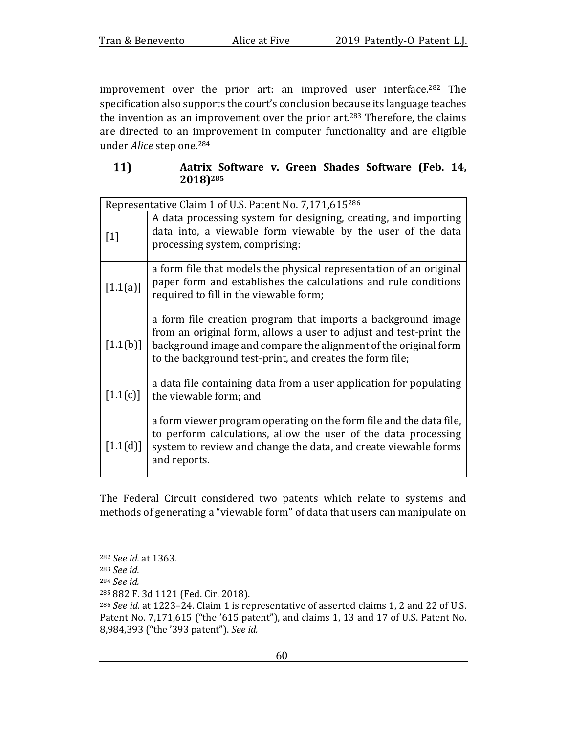| Tran & Benevento | Alice at Five | 2019 Patently-O Patent L.J. |
|------------------|---------------|-----------------------------|
|                  |               |                             |

improvement over the prior art: an improved user interface.<sup>282</sup> The specification also supports the court's conclusion because its language teaches the invention as an improvement over the prior art.<sup>283</sup> Therefore, the claims are directed to an improvement in computer functionality and are eligible under *Alice* step one.<sup>284</sup>

| 11) |                      |  |  | Aatrix Software v. Green Shades Software (Feb. 14, |  |
|-----|----------------------|--|--|----------------------------------------------------|--|
|     | 2018) <sup>285</sup> |  |  |                                                    |  |

| Representative Claim 1 of U.S. Patent No. 7,171,615286 |                                                                                                                                                                                                                                                                  |  |  |
|--------------------------------------------------------|------------------------------------------------------------------------------------------------------------------------------------------------------------------------------------------------------------------------------------------------------------------|--|--|
| $[1]$                                                  | A data processing system for designing, creating, and importing<br>data into, a viewable form viewable by the user of the data<br>processing system, comprising:                                                                                                 |  |  |
| $[1.1(a)]$                                             | a form file that models the physical representation of an original<br>paper form and establishes the calculations and rule conditions<br>required to fill in the viewable form;                                                                                  |  |  |
| [1.1(b)]                                               | a form file creation program that imports a background image<br>from an original form, allows a user to adjust and test-print the<br>background image and compare the alignment of the original form<br>to the background test-print, and creates the form file; |  |  |
| [1.1(c)]                                               | a data file containing data from a user application for populating<br>the viewable form; and                                                                                                                                                                     |  |  |
| [1.1(d)]                                               | a form viewer program operating on the form file and the data file,<br>to perform calculations, allow the user of the data processing<br>system to review and change the data, and create viewable forms<br>and reports.                                         |  |  |

The Federal Circuit considered two patents which relate to systems and methods of generating a "viewable form" of data that users can manipulate on

<sup>282</sup> *See id.* at 1363.

<sup>283</sup> *See id.*

<sup>284</sup> *See id.*

<sup>285 882</sup> F. 3d 1121 (Fed. Cir. 2018).

<sup>&</sup>lt;sup>286</sup> See id. at 1223-24. Claim 1 is representative of asserted claims 1, 2 and 22 of U.S. Patent No. 7,171,615 ("the '615 patent"), and claims 1, 13 and 17 of U.S. Patent No. 8,984,393 ("the '393 patent"). See id.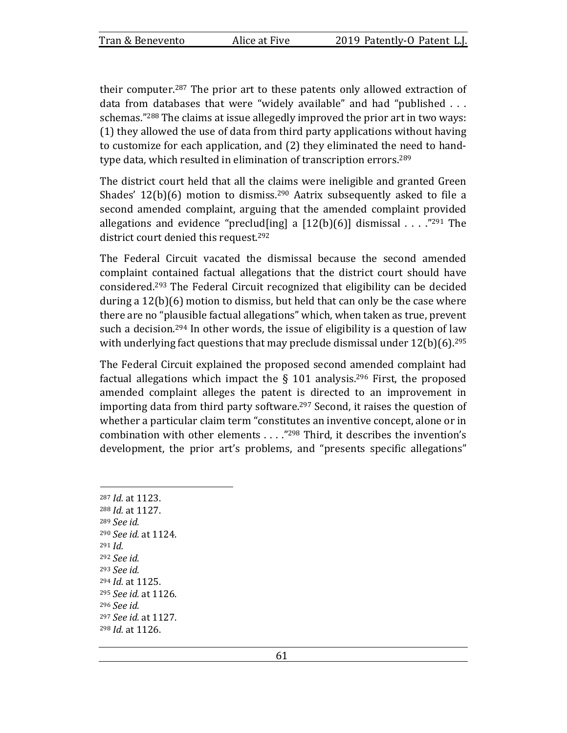their computer.<sup>287</sup> The prior art to these patents only allowed extraction of data from databases that were "widely available" and had "published  $\dots$ schemas."<sup>288</sup> The claims at issue allegedly improved the prior art in two ways:  $(1)$  they allowed the use of data from third party applications without having to customize for each application, and (2) they eliminated the need to handtype data, which resulted in elimination of transcription errors.<sup>289</sup>

The district court held that all the claims were ineligible and granted Green Shades'  $12(b)(6)$  motion to dismiss.<sup>290</sup> Aatrix subsequently asked to file a second amended complaint, arguing that the amended complaint provided allegations and evidence "preclud[ing] a  $[12(b)(6)]$  dismissal . . . . ."<sup>291</sup> The district court denied this request.<sup>292</sup>

The Federal Circuit vacated the dismissal because the second amended complaint contained factual allegations that the district court should have considered.<sup>293</sup> The Federal Circuit recognized that eligibility can be decided during a  $12(b)(6)$  motion to dismiss, but held that can only be the case where there are no "plausible factual allegations" which, when taken as true, prevent such a decision.<sup>294</sup> In other words, the issue of eligibility is a question of law with underlying fact questions that may preclude dismissal under  $12(b)(6)$ .<sup>295</sup>

The Federal Circuit explained the proposed second amended complaint had factual allegations which impact the  $\S$  101 analysis.<sup>296</sup> First, the proposed amended complaint alleges the patent is directed to an improvement in importing data from third party software.<sup>297</sup> Second, it raises the question of whether a particular claim term "constitutes an inventive concept, alone or in combination with other elements  $\dots$ ."<sup>298</sup> Third, it describes the invention's development, the prior art's problems, and "presents specific allegations"

287 *Id.* at 1123. 288 *Id.* at 1127. <sup>289</sup> *See id.* <sup>290</sup> *See id.* at 1124. <sup>291</sup> *Id.* <sup>292</sup> *See id.* <sup>293</sup> *See id.* 294 *Id.* at 1125. <sup>295</sup> *See id.* at 1126. <sup>296</sup> *See id.* <sup>297</sup> *See id.* at 1127. 298 *Id.* at 1126.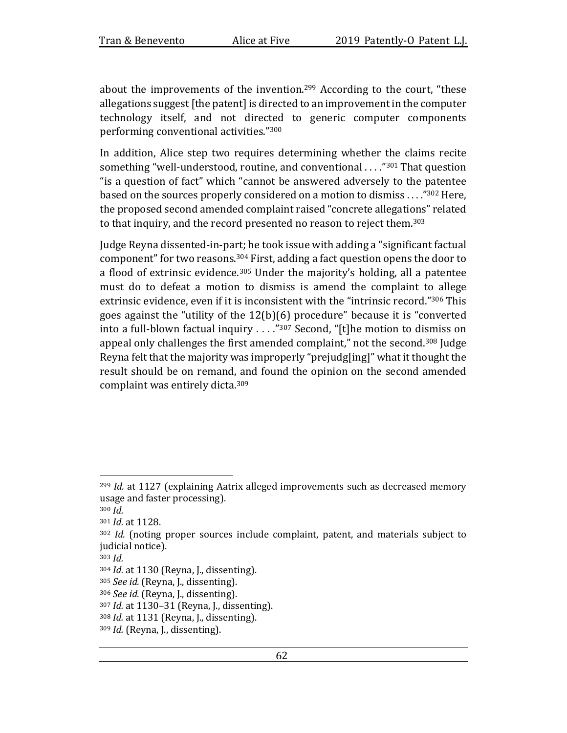about the improvements of the invention.<sup>299</sup> According to the court, "these allegations suggest [the patent] is directed to an improvement in the computer technology itself, and not directed to generic computer components performing conventional activities."<sup>300</sup>

In addition, Alice step two requires determining whether the claims recite something "well-understood, routine, and conventional . . . .<sup>"301</sup> That question "is a question of fact" which "cannot be answered adversely to the patentee based on the sources properly considered on a motion to dismiss  $\ldots$ ."<sup>302</sup> Here, the proposed second amended complaint raised "concrete allegations" related to that inquiry, and the record presented no reason to reject them.<sup>303</sup>

Judge Reyna dissented-in-part; he took issue with adding a "significant factual component" for two reasons.<sup>304</sup> First, adding a fact question opens the door to a flood of extrinsic evidence.<sup>305</sup> Under the majority's holding, all a patentee must do to defeat a motion to dismiss is amend the complaint to allege extrinsic evidence, even if it is inconsistent with the "intrinsic record."<sup>306</sup> This goes against the "utility of the  $12(b)(6)$  procedure" because it is "converted into a full-blown factual inquiry  $\ldots$ ."<sup>307</sup> Second, "[t]he motion to dismiss on appeal only challenges the first amended complaint," not the second.<sup>308</sup> Judge Reyna felt that the majority was improperly "prejudg[ing]" what it thought the result should be on remand, and found the opinion on the second amended complaint was entirely dicta.<sup>309</sup>

 $299$  *Id.* at 1127 (explaining Aatrix alleged improvements such as decreased memory usage and faster processing).

<sup>300</sup> *Id.*

<sup>301</sup> *Id.* at 1128.

<sup>302</sup> *Id.* (noting proper sources include complaint, patent, and materials subject to judicial notice).

<sup>303</sup> *Id.*

<sup>304</sup> *Id.* at 1130 (Reyna, J., dissenting).

<sup>&</sup>lt;sup>305</sup> *See id.* (Reyna, J., dissenting).

<sup>306</sup> *See id.* (Reyna, J., dissenting).

<sup>307</sup> *Id.* at 1130–31 (Reyna, J., dissenting).

<sup>308</sup> *Id.* at 1131 (Reyna, J., dissenting).

<sup>&</sup>lt;sup>309</sup> *Id.* (Reyna, J., dissenting).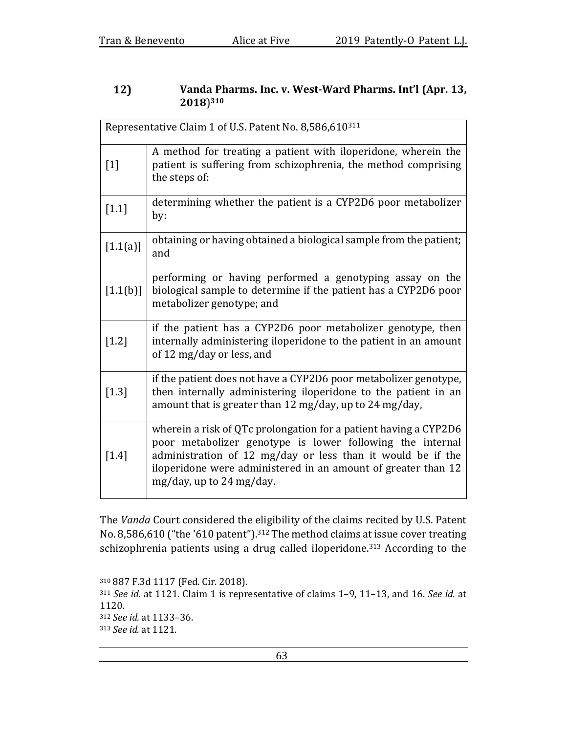### 12) Vanda Pharms. Inc. v. West-Ward Pharms. Int'l (Apr. 13, **2018**)**<sup>310</sup>**

|            | Representative Claim 1 of U.S. Patent No. 8,586,610311                                                                                                                                                                                                                                    |  |  |
|------------|-------------------------------------------------------------------------------------------------------------------------------------------------------------------------------------------------------------------------------------------------------------------------------------------|--|--|
| $[1]$      | A method for treating a patient with iloperidone, wherein the<br>patient is suffering from schizophrenia, the method comprising<br>the steps of:                                                                                                                                          |  |  |
| $[1.1]$    | determining whether the patient is a CYP2D6 poor metabolizer<br>by:                                                                                                                                                                                                                       |  |  |
| $[1.1(a)]$ | obtaining or having obtained a biological sample from the patient;<br>and                                                                                                                                                                                                                 |  |  |
| [1.1(b)]   | performing or having performed a genotyping assay on the<br>biological sample to determine if the patient has a CYP2D6 poor<br>metabolizer genotype; and                                                                                                                                  |  |  |
| $[1.2]$    | if the patient has a CYP2D6 poor metabolizer genotype, then<br>internally administering iloperidone to the patient in an amount<br>of 12 mg/day or less, and                                                                                                                              |  |  |
| $[1.3]$    | if the patient does not have a CYP2D6 poor metabolizer genotype,<br>then internally administering iloperidone to the patient in an<br>amount that is greater than 12 mg/day, up to 24 mg/day,                                                                                             |  |  |
| $[1.4]$    | wherein a risk of QTc prolongation for a patient having a CYP2D6<br>poor metabolizer genotype is lower following the internal<br>administration of 12 mg/day or less than it would be if the<br>iloperidone were administered in an amount of greater than 12<br>mg/day, up to 24 mg/day. |  |  |

The *Vanda* Court considered the eligibility of the claims recited by U.S. Patent No. 8,586,610 ("the '610 patent").<sup>312</sup> The method claims at issue cover treating schizophrenia patients using a drug called iloperidone.<sup>313</sup> According to the

<sup>310 887</sup> F.3d 1117 (Fed. Cir. 2018).

<sup>&</sup>lt;sup>311</sup> See id. at 1121. Claim 1 is representative of claims 1-9, 11-13, and 16. See id. at 1120.

<sup>312</sup> *See id.* at 1133–36.

<sup>313</sup> *See id.* at 1121.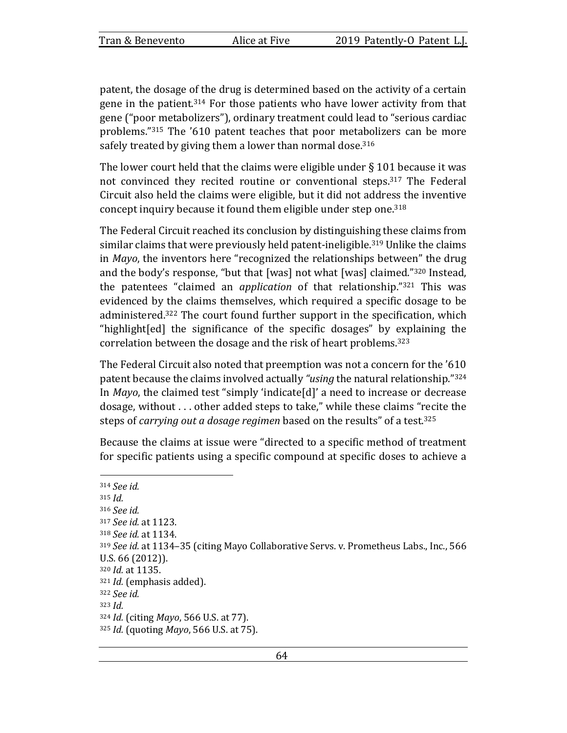patent, the dosage of the drug is determined based on the activity of a certain gene in the patient.<sup>314</sup> For those patients who have lower activity from that gene ("poor metabolizers"), ordinary treatment could lead to "serious cardiac problems."<sup>315</sup> The '610 patent teaches that poor metabolizers can be more safely treated by giving them a lower than normal dose.<sup>316</sup>

The lower court held that the claims were eligible under  $\S$  101 because it was not convinced they recited routine or conventional steps.<sup>317</sup> The Federal Circuit also held the claims were eligible, but it did not address the inventive concept inquiry because it found them eligible under step one.<sup>318</sup>

The Federal Circuit reached its conclusion by distinguishing these claims from similar claims that were previously held patent-ineligible.<sup>319</sup> Unlike the claims in *Mayo*, the inventors here "recognized the relationships between" the drug and the body's response, "but that  $[was]$  not what  $[was]$  claimed."<sup>320</sup> Instead, the patentees "claimed an *application* of that relationship."<sup>321</sup> This was evidenced by the claims themselves, which required a specific dosage to be administered.<sup>322</sup> The court found further support in the specification, which "highlight[ed] the significance of the specific dosages" by explaining the correlation between the dosage and the risk of heart problems.<sup>323</sup>

The Federal Circuit also noted that preemption was not a concern for the '610 patent because the claims involved actually "*using* the natural relationship."<sup>324</sup> In *Mayo*, the claimed test "simply 'indicate[d]' a need to increase or decrease dosage, without . . . other added steps to take," while these claims "recite the steps of *carrying out a dosage regimen* based on the results" of a test.<sup>325</sup>

Because the claims at issue were "directed to a specific method of treatment for specific patients using a specific compound at specific doses to achieve a

<sup>314</sup> *See id.*   $315$  *Id.* <sup>316</sup> *See id.*  317 *See id.* at 1123. 318 *See id.* at 1134. 319 *See id.* at 1134–35 (citing Mayo Collaborative Servs. v. Prometheus Labs., Inc., 566 U.S. 66 (2012)). 320 *Id.* at 1135. <sup>321</sup> *Id.* (emphasis added). <sup>322</sup> *See id.*  $323$  *Id.* 324 *Id.* (citing *Mayo*, 566 U.S. at 77). 325 *Id.* (quoting *Mayo*, 566 U.S. at 75).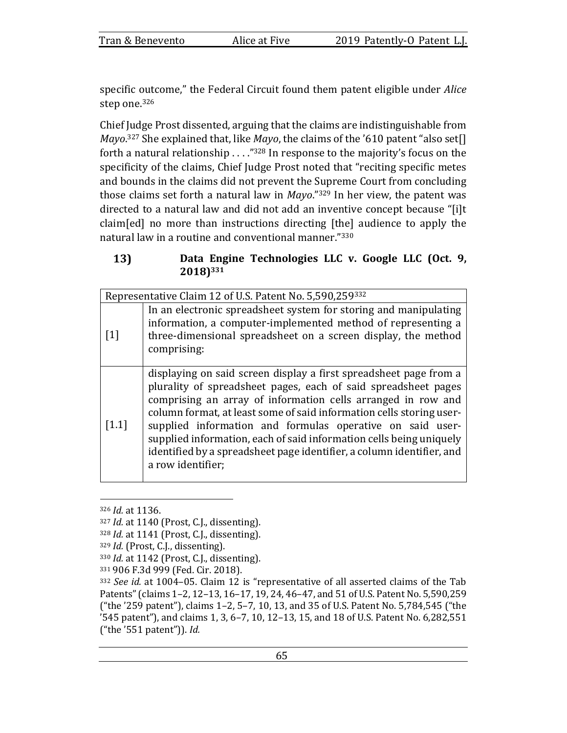specific outcome," the Federal Circuit found them patent eligible under *Alice* step one.<sup>326</sup>

Chief Judge Prost dissented, arguing that the claims are indistinguishable from *Mayo*.<sup>327</sup> She explained that, like *Mayo*, the claims of the '610 patent "also set[] forth a natural relationship  $\ldots$ ."<sup>328</sup> In response to the majority's focus on the specificity of the claims, Chief Judge Prost noted that "reciting specific metes and bounds in the claims did not prevent the Supreme Court from concluding those claims set forth a natural law in  $Mayo$ ."<sup>329</sup> In her view, the patent was directed to a natural law and did not add an inventive concept because "[i]t  $claim[ed]$  no more than instructions directing  $[the]$  audience to apply the natural law in a routine and conventional manner."330

## 13) Data Engine Technologies LLC v. Google LLC (Oct. 9, **2018)331**

|                   | Representative Claim 12 of U.S. Patent No. 5,590,259332                                                                                                                                                                                                                                                                                                                                                                                                                                                       |  |
|-------------------|---------------------------------------------------------------------------------------------------------------------------------------------------------------------------------------------------------------------------------------------------------------------------------------------------------------------------------------------------------------------------------------------------------------------------------------------------------------------------------------------------------------|--|
| $\lceil 1 \rceil$ | In an electronic spreadsheet system for storing and manipulating<br>information, a computer-implemented method of representing a<br>three-dimensional spreadsheet on a screen display, the method<br>comprising:                                                                                                                                                                                                                                                                                              |  |
| [1.1]             | displaying on said screen display a first spreadsheet page from a<br>plurality of spreadsheet pages, each of said spreadsheet pages<br>comprising an array of information cells arranged in row and<br>column format, at least some of said information cells storing user-<br>supplied information and formulas operative on said user-<br>supplied information, each of said information cells being uniquely<br>identified by a spreadsheet page identifier, a column identifier, and<br>a row identifier; |  |

<sup>326</sup> *Id.* at 1136.

<sup>327</sup> *Id.* at 1140 (Prost, C.J., dissenting).

<sup>328</sup> *Id.* at 1141 (Prost, C.J., dissenting).

<sup>&</sup>lt;sup>329</sup> *Id.* (Prost, C.J., dissenting).

<sup>330</sup> *Id.* at 1142 (Prost, C.J., dissenting).

<sup>331 906</sup> F.3d 999 (Fed. Cir. 2018).

<sup>332</sup> *See id.* at 1004–05. Claim 12 is "representative of all asserted claims of the Tab Patents" (claims 1-2, 12-13, 16-17, 19, 24, 46-47, and 51 of U.S. Patent No. 5,590,259 ("the '259 patent"), claims 1-2, 5-7, 10, 13, and 35 of U.S. Patent No. 5,784,545 ("the '545 patent"), and claims 1, 3, 6-7, 10, 12-13, 15, and 18 of U.S. Patent No. 6,282,551 ("the '551 patent")). *Id.*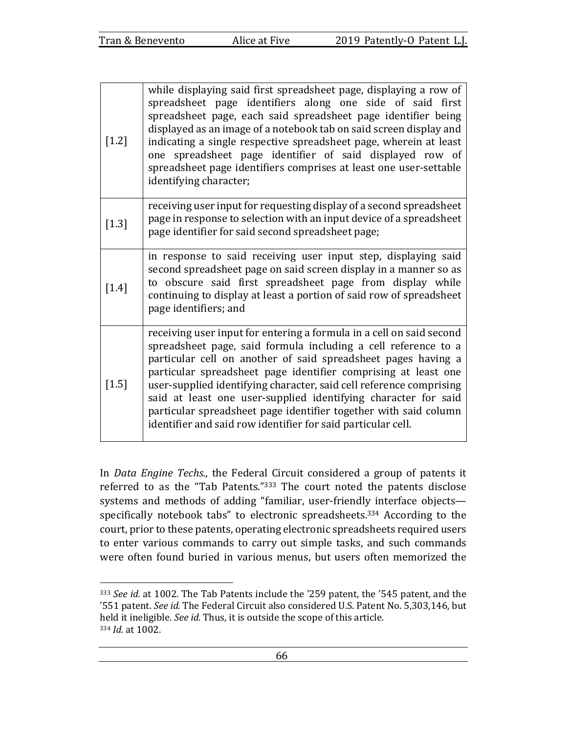| $[1.2]$ | while displaying said first spreadsheet page, displaying a row of<br>spreadsheet page identifiers along one side of said first<br>spreadsheet page, each said spreadsheet page identifier being<br>displayed as an image of a notebook tab on said screen display and<br>indicating a single respective spreadsheet page, wherein at least<br>one spreadsheet page identifier of said displayed row of<br>spreadsheet page identifiers comprises at least one user-settable<br>identifying character;                                                  |
|---------|--------------------------------------------------------------------------------------------------------------------------------------------------------------------------------------------------------------------------------------------------------------------------------------------------------------------------------------------------------------------------------------------------------------------------------------------------------------------------------------------------------------------------------------------------------|
| $[1.3]$ | receiving user input for requesting display of a second spreadsheet<br>page in response to selection with an input device of a spreadsheet<br>page identifier for said second spreadsheet page;                                                                                                                                                                                                                                                                                                                                                        |
| $[1.4]$ | in response to said receiving user input step, displaying said<br>second spreadsheet page on said screen display in a manner so as<br>to obscure said first spreadsheet page from display while<br>continuing to display at least a portion of said row of spreadsheet<br>page identifiers; and                                                                                                                                                                                                                                                        |
| $[1.5]$ | receiving user input for entering a formula in a cell on said second<br>spreadsheet page, said formula including a cell reference to a<br>particular cell on another of said spreadsheet pages having a<br>particular spreadsheet page identifier comprising at least one<br>user-supplied identifying character, said cell reference comprising<br>said at least one user-supplied identifying character for said<br>particular spreadsheet page identifier together with said column<br>identifier and said row identifier for said particular cell. |

In *Data Engine Techs.*, the Federal Circuit considered a group of patents it referred to as the "Tab Patents."<sup>333</sup> The court noted the patents disclose systems and methods of adding "familiar, user-friendly interface objectsspecifically notebook tabs" to electronic spreadsheets. $334$  According to the court, prior to these patents, operating electronic spreadsheets required users to enter various commands to carry out simple tasks, and such commands were often found buried in various menus, but users often memorized the

<sup>&</sup>lt;sup>333</sup> *See id.* at 1002. The Tab Patents include the '259 patent, the '545 patent, and the '551 patent. See id. The Federal Circuit also considered U.S. Patent No. 5,303,146, but held it ineligible. See id. Thus, it is outside the scope of this article. 334 *Id.* at 1002.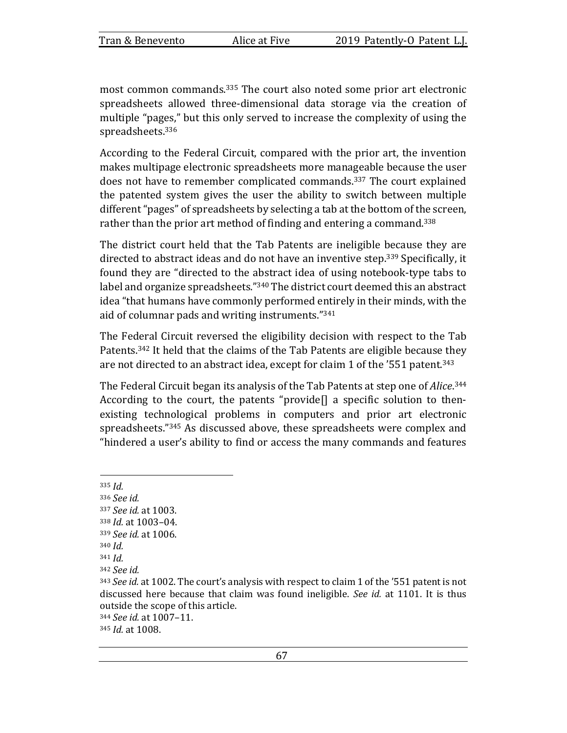most common commands.<sup>335</sup> The court also noted some prior art electronic spreadsheets allowed three-dimensional data storage via the creation of multiple "pages," but this only served to increase the complexity of using the spreadsheets.<sup>336</sup>

According to the Federal Circuit, compared with the prior art, the invention makes multipage electronic spreadsheets more manageable because the user does not have to remember complicated commands.<sup>337</sup> The court explained the patented system gives the user the ability to switch between multiple different "pages" of spreadsheets by selecting a tab at the bottom of the screen, rather than the prior art method of finding and entering a command.<sup>338</sup>

The district court held that the Tab Patents are ineligible because they are directed to abstract ideas and do not have an inventive step.<sup>339</sup> Specifically, it found they are "directed to the abstract idea of using notebook-type tabs to label and organize spreadsheets."<sup>340</sup> The district court deemed this an abstract idea "that humans have commonly performed entirely in their minds, with the aid of columnar pads and writing instruments."<sup>341</sup>

The Federal Circuit reversed the eligibility decision with respect to the Tab Patents.<sup>342</sup> It held that the claims of the Tab Patents are eligible because they are not directed to an abstract idea, except for claim 1 of the '551 patent.<sup>343</sup>

The Federal Circuit began its analysis of the Tab Patents at step one of *Alice*.<sup>344</sup> According to the court, the patents "provide $[]$  a specific solution to thenexisting technological problems in computers and prior art electronic spreadsheets."<sup>345</sup> As discussed above, these spreadsheets were complex and "hindered a user's ability to find or access the many commands and features

 $335$  *Id.* <sup>336</sup> *See id.*  <sup>337</sup> *See id.* at 1003. 338 *Id.* at 1003-04. 339 *See id.* at 1006. 340 *Id.*  $341$  *Id.* 342 *See id.* <sup>343</sup> See id. at 1002. The court's analysis with respect to claim 1 of the '551 patent is not discussed here because that claim was found ineligible. *See id.* at 1101. It is thus outside the scope of this article. <sup>344</sup> *See id.* at 1007–11.

345 *Id.* at 1008.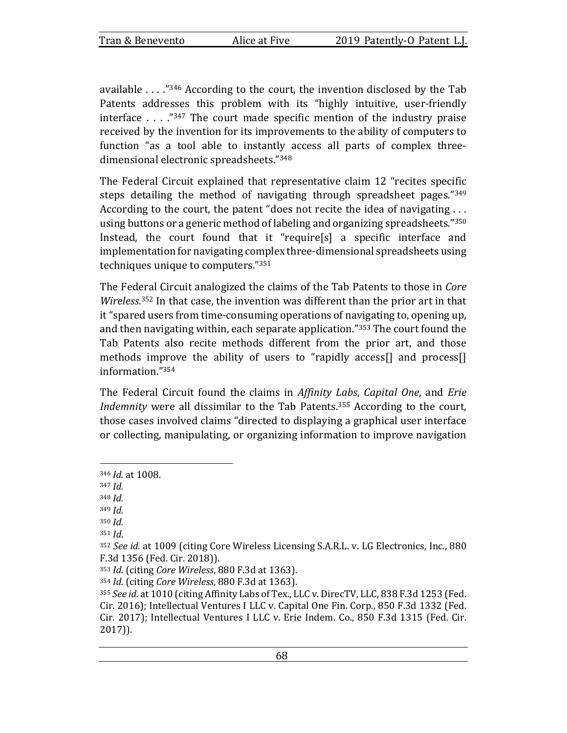available  $\ldots$  ."346 According to the court, the invention disclosed by the Tab Patents addresses this problem with its "highly intuitive, user-friendly interface  $\ldots$  ."347 The court made specific mention of the industry praise received by the invention for its improvements to the ability of computers to function "as a tool able to instantly access all parts of complex threedimensional electronic spreadsheets."348

The Federal Circuit explained that representative claim 12 "recites specific steps detailing the method of navigating through spreadsheet pages." $349$ According to the court, the patent "does not recite the idea of navigating  $\dots$ using buttons or a generic method of labeling and organizing spreadsheets."<sup>350</sup> Instead, the court found that it "require[s] a specific interface and implementation for navigating complex three-dimensional spreadsheets using techniques unique to computers. $"351"$ 

The Federal Circuit analogized the claims of the Tab Patents to those in *Core* Wireless.<sup>352</sup> In that case, the invention was different than the prior art in that it "spared users from time-consuming operations of navigating to, opening up, and then navigating within, each separate application." $353$  The court found the Tab Patents also recite methods different from the prior art, and those methods improve the ability of users to "rapidly access[] and process[] information."354

The Federal Circuit found the claims in *Affinity Labs*, *Capital One*, and *Erie* Indemnity were all dissimilar to the Tab Patents.<sup>355</sup> According to the court, those cases involved claims "directed to displaying a graphical user interface or collecting, manipulating, or organizing information to improve navigation

<sup>346</sup> *Id.* at 1008.

<sup>347</sup> *Id.*

 $348$  *Id.* 

 $349$  *Id.* 

 $350$  *Id.* 

 $351$  *Id.* 

<sup>352</sup> See id. at 1009 (citing Core Wireless Licensing S.A.R.L. v. LG Electronics, Inc., 880 F.3d 1356 (Fed. Cir. 2018)).

<sup>353</sup> *Id.* (citing *Core Wireless*, 880 F.3d at 1363).

<sup>354</sup> *Id.* (citing *Core Wireless*, 880 F.3d at 1363).

<sup>355</sup> *See id.* at 1010 (citing Affinity Labs of Tex., LLC v. DirecTV, LLC, 838 F.3d 1253 (Fed. Cir. 2016); Intellectual Ventures I LLC v. Capital One Fin. Corp., 850 F.3d 1332 (Fed. Cir. 2017); Intellectual Ventures I LLC v. Erie Indem. Co., 850 F.3d 1315 (Fed. Cir. 2017)).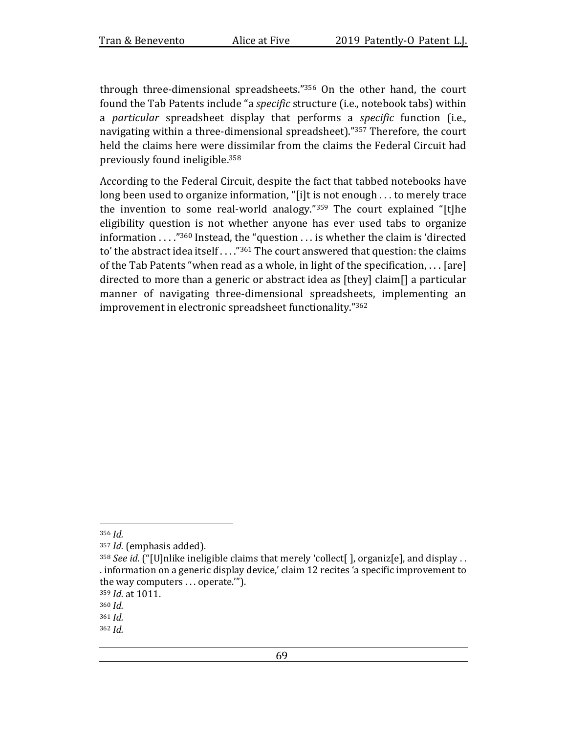through three-dimensional spreadsheets."<sup>356</sup> On the other hand, the court found the Tab Patents include "a *specific* structure (i.e., notebook tabs) within a *particular* spreadsheet display that performs a *specific* function (i.e., navigating within a three-dimensional spreadsheet)."<sup>357</sup> Therefore, the court held the claims here were dissimilar from the claims the Federal Circuit had previously found ineligible.<sup>358</sup>

According to the Federal Circuit, despite the fact that tabbed notebooks have long been used to organize information, "[i]t is not enough  $\dots$  to merely trace the invention to some real-world analogy." $359$  The court explained "[t]he eligibility question is not whether anyone has ever used tabs to organize information  $\ldots$ ."<sup>360</sup> Instead, the "question  $\ldots$  is whether the claim is 'directed to' the abstract idea itself  $\ldots$ ."<sup>361</sup> The court answered that question: the claims of the Tab Patents "when read as a whole, in light of the specification, ... [are] directed to more than a generic or abstract idea as  $[$ they $]$  claim $[$ ] a particular manner of navigating three-dimensional spreadsheets, implementing an improvement in electronic spreadsheet functionality."<sup>362</sup>

<sup>356</sup> *Id.* 

<sup>&</sup>lt;sup>357</sup> *Id.* (emphasis added).

<sup>&</sup>lt;sup>358</sup> See id. ("[U]nlike ineligible claims that merely 'collect[ ], organiz[e], and display . . . information on a generic display device,' claim 12 recites 'a specific improvement to the way computers  $\dots$  operate.").

<sup>359</sup> *Id.* at 1011.

<sup>360</sup> *Id.* 

 $361$  *Id.*  $362$  *Id.*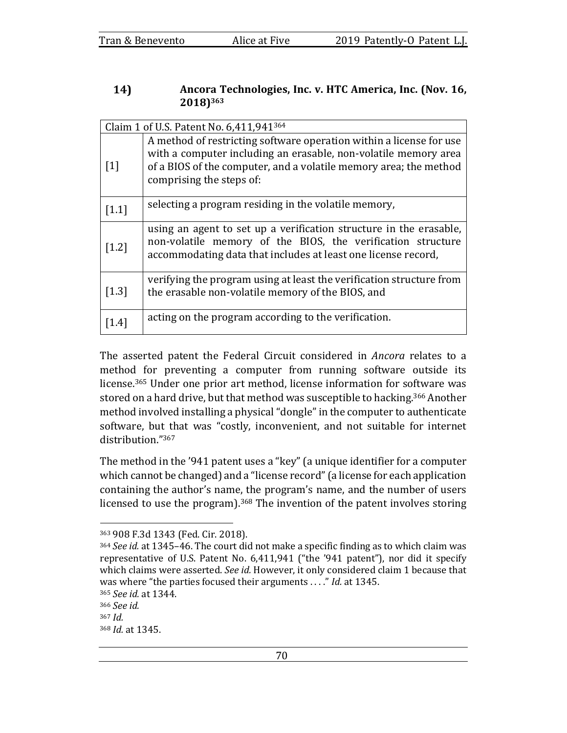### 14) Ancora Technologies, Inc. v. HTC America, Inc. (Nov. 16, **2018)363**

| Claim 1 of U.S. Patent No. 6,411,941364 |                                                                                                                                                                                                                                         |
|-----------------------------------------|-----------------------------------------------------------------------------------------------------------------------------------------------------------------------------------------------------------------------------------------|
| $\lceil 1 \rceil$                       | A method of restricting software operation within a license for use<br>with a computer including an erasable, non-volatile memory area<br>of a BIOS of the computer, and a volatile memory area; the method<br>comprising the steps of: |
| $[1.1]$                                 | selecting a program residing in the volatile memory,                                                                                                                                                                                    |
| $[1.2]$                                 | using an agent to set up a verification structure in the erasable,<br>non-volatile memory of the BIOS, the verification structure<br>accommodating data that includes at least one license record,                                      |
| $\left[1.3\right]$                      | verifying the program using at least the verification structure from<br>the erasable non-volatile memory of the BIOS, and                                                                                                               |
| $\left[1.4\right]$                      | acting on the program according to the verification.                                                                                                                                                                                    |

The asserted patent the Federal Circuit considered in *Ancora* relates to a method for preventing a computer from running software outside its license.<sup>365</sup> Under one prior art method, license information for software was stored on a hard drive, but that method was susceptible to hacking.<sup>366</sup> Another method involved installing a physical "dongle" in the computer to authenticate software, but that was "costly, inconvenient, and not suitable for internet distribution."367

The method in the '941 patent uses a "key" (a unique identifier for a computer which cannot be changed) and a "license record" (a license for each application containing the author's name, the program's name, and the number of users licensed to use the program).<sup>368</sup> The invention of the patent involves storing

<sup>363 908</sup> F.3d 1343 (Fed. Cir. 2018).

<sup>364</sup> *See id.* at 1345–46. The court did not make a specific finding as to which claim was representative of U.S. Patent No. 6,411,941 ("the '941 patent"), nor did it specify which claims were asserted. See id. However, it only considered claim 1 because that was where "the parties focused their arguments . . . ." *Id.* at 1345.

<sup>365</sup> *See id.* at 1344.

<sup>366</sup> *See id.*   $367$  *Id.* 368 *Id.* at 1345.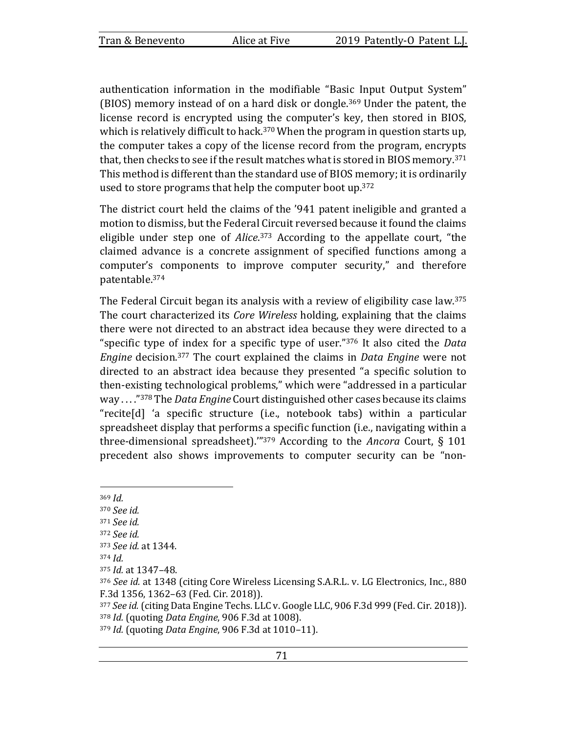authentication information in the modifiable "Basic Input Output System" (BIOS) memory instead of on a hard disk or dongle.<sup>369</sup> Under the patent, the license record is encrypted using the computer's key, then stored in BIOS, which is relatively difficult to hack.<sup>370</sup> When the program in question starts up, the computer takes a copy of the license record from the program, encrypts that, then checks to see if the result matches what is stored in BIOS memory.<sup>371</sup> This method is different than the standard use of BIOS memory; it is ordinarily used to store programs that help the computer boot up.<sup>372</sup>

The district court held the claims of the '941 patent ineligible and granted a motion to dismiss, but the Federal Circuit reversed because it found the claims eligible under step one of *Alice*.<sup>373</sup> According to the appellate court, "the claimed advance is a concrete assignment of specified functions among a computer's components to improve computer security," and therefore patentable.374

The Federal Circuit began its analysis with a review of eligibility case law.<sup>375</sup> The court characterized its *Core Wireless* holding, explaining that the claims there were not directed to an abstract idea because they were directed to a "specific type of index for a specific type of user."<sup>376</sup> It also cited the *Data Engine* decision.<sup>377</sup> The court explained the claims in *Data Engine* were not directed to an abstract idea because they presented "a specific solution to then-existing technological problems," which were "addressed in a particular way ....<sup>"378</sup> The *Data Engine* Court distinguished other cases because its claims "recite $[d]$  'a specific structure (i.e., notebook tabs) within a particular spreadsheet display that performs a specific function (i.e., navigating within a three-dimensional spreadsheet).<sup>"379</sup> According to the *Ancora* Court,  $\S$  101 precedent also shows improvements to computer security can be "non-

<sup>369</sup> *Id.*  <sup>370</sup> *See id.*  <sup>371</sup> *See id.*  372 *See id.* 373 *See id.* at 1344.  $374$  *Id.* 375 *Id.* at 1347-48. 376 See id. at 1348 (citing Core Wireless Licensing S.A.R.L. v. LG Electronics, Inc., 880 F.3d 1356, 1362-63 (Fed. Cir. 2018)). <sup>377</sup> See id. (citing Data Engine Techs. LLC v. Google LLC, 906 F.3d 999 (Fed. Cir. 2018)). 378 *Id.* (quoting *Data Engine*, 906 F.3d at 1008).

<sup>379</sup> *Id.* (quoting *Data Engine*, 906 F.3d at 1010-11).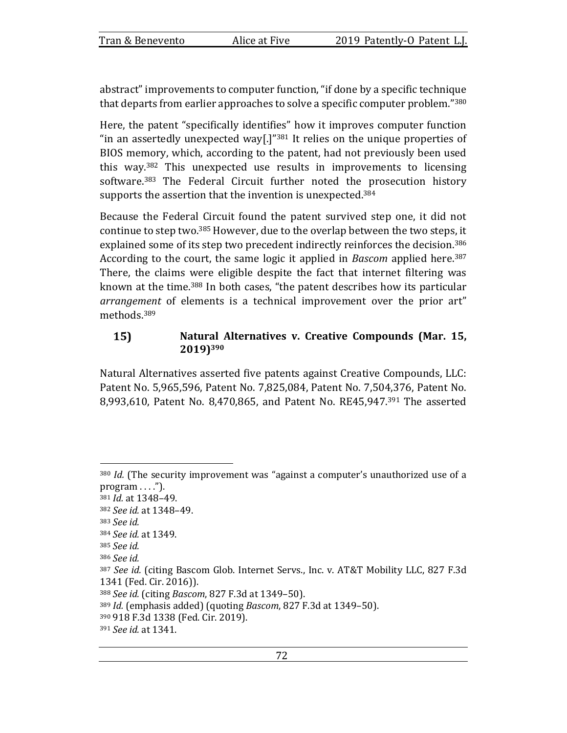abstract" improvements to computer function, "if done by a specific technique that departs from earlier approaches to solve a specific computer problem."<sup>380</sup>

Here, the patent "specifically identifies" how it improves computer function "in an assertedly unexpected way[.]" $381$  It relies on the unique properties of BIOS memory, which, according to the patent, had not previously been used this way.<sup>382</sup> This unexpected use results in improvements to licensing software.<sup>383</sup> The Federal Circuit further noted the prosecution history supports the assertion that the invention is unexpected.<sup>384</sup>

Because the Federal Circuit found the patent survived step one, it did not continue to step two.<sup>385</sup> However, due to the overlap between the two steps, it explained some of its step two precedent indirectly reinforces the decision.<sup>386</sup> According to the court, the same logic it applied in *Bascom* applied here.<sup>387</sup> There, the claims were eligible despite the fact that internet filtering was known at the time.<sup>388</sup> In both cases, "the patent describes how its particular arrangement of elements is a technical improvement over the prior art" methods.389

### $15)$ Natural Alternatives v. Creative Compounds (Mar. 15, **2019)390**

Natural Alternatives asserted five patents against Creative Compounds, LLC: Patent No. 5,965,596, Patent No. 7,825,084, Patent No. 7,504,376, Patent No. 8,993,610, Patent No. 8,470,865, and Patent No. RE45,947.<sup>391</sup> The asserted

<sup>&</sup>lt;sup>380</sup> *Id.* (The security improvement was "against a computer's unauthorized use of a  $program \ldots$ .").

<sup>381</sup> *Id.* at 1348-49.

<sup>382</sup> *See id.* at 1348–49.

<sup>383</sup> *See id.* 

<sup>384</sup> *See id.* at 1349.

<sup>385</sup> *See id.* 

<sup>386</sup> *See id.* 

<sup>387</sup> See id. (citing Bascom Glob. Internet Servs., Inc. v. AT&T Mobility LLC, 827 F.3d 1341 (Fed. Cir. 2016)).

<sup>388</sup> *See id.* (citing *Bascom*, 827 F.3d at 1349-50).

<sup>&</sup>lt;sup>389</sup> *Id.* (emphasis added) (quoting *Bascom*, 827 F.3d at 1349–50).

<sup>390 918</sup> F.3d 1338 (Fed. Cir. 2019).

<sup>391</sup> *See id.* at 1341.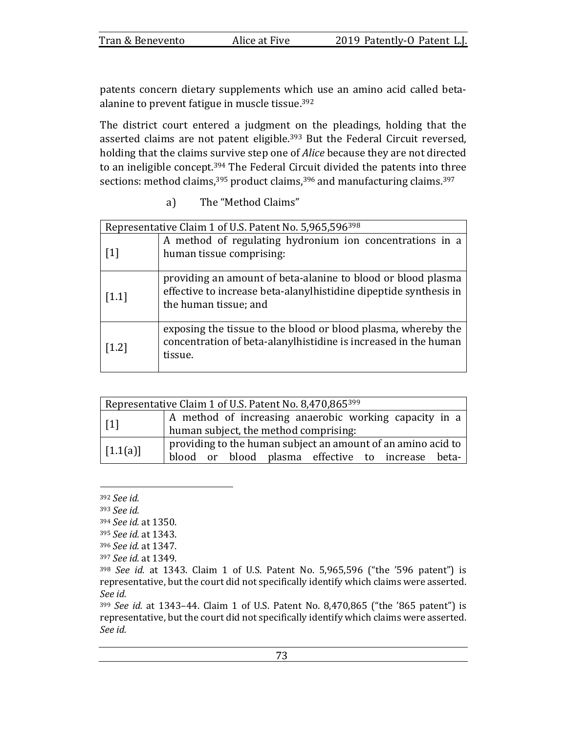patents concern dietary supplements which use an amino acid called betaalanine to prevent fatigue in muscle tissue. $392$ 

The district court entered a judgment on the pleadings, holding that the asserted claims are not patent eligible.<sup>393</sup> But the Federal Circuit reversed, holding that the claims survive step one of *Alice* because they are not directed to an ineligible concept.<sup>394</sup> The Federal Circuit divided the patents into three sections: method claims,  $395$  product claims,  $396$  and manufacturing claims.  $397$ 

a) The "Method Claims"

| Representative Claim 1 of U.S. Patent No. 5,965,596398 |                                                                                                                                                            |
|--------------------------------------------------------|------------------------------------------------------------------------------------------------------------------------------------------------------------|
| $\lceil 1 \rceil$                                      | A method of regulating hydronium ion concentrations in a<br>human tissue comprising:                                                                       |
| $[1.1]$                                                | providing an amount of beta-alanine to blood or blood plasma<br>effective to increase beta-alanylhistidine dipeptide synthesis in<br>the human tissue; and |
| $\left[1.2\right]$                                     | exposing the tissue to the blood or blood plasma, whereby the<br>concentration of beta-alanylhistidine is increased in the human<br>tissue.                |

| Representative Claim 1 of U.S. Patent No. 8,470,865399 |                                                                                                                   |  |
|--------------------------------------------------------|-------------------------------------------------------------------------------------------------------------------|--|
| $\vert$ [1]                                            | A method of increasing anaerobic working capacity in a<br>human subject, the method comprising:                   |  |
| $\vert$ [1.1(a)]                                       | providing to the human subject an amount of an amino acid to<br>blood or blood plasma effective to increase beta- |  |

<sup>392</sup> *See id.* 

<sup>393</sup> *See id.* 

<sup>394</sup> *See id.* at 1350.

<sup>395</sup> *See id.* at 1343.

<sup>396</sup> *See id.* at 1347.

<sup>397</sup> *See id.* at 1349.

<sup>&</sup>lt;sup>398</sup> *See id.* at 1343. Claim 1 of U.S. Patent No. 5,965,596 ("the '596 patent") is representative, but the court did not specifically identify which claims were asserted. *See id.*

<sup>&</sup>lt;sup>399</sup> *See id.* at 1343-44. Claim 1 of U.S. Patent No. 8,470,865 ("the '865 patent") is representative, but the court did not specifically identify which claims were asserted. *See id.*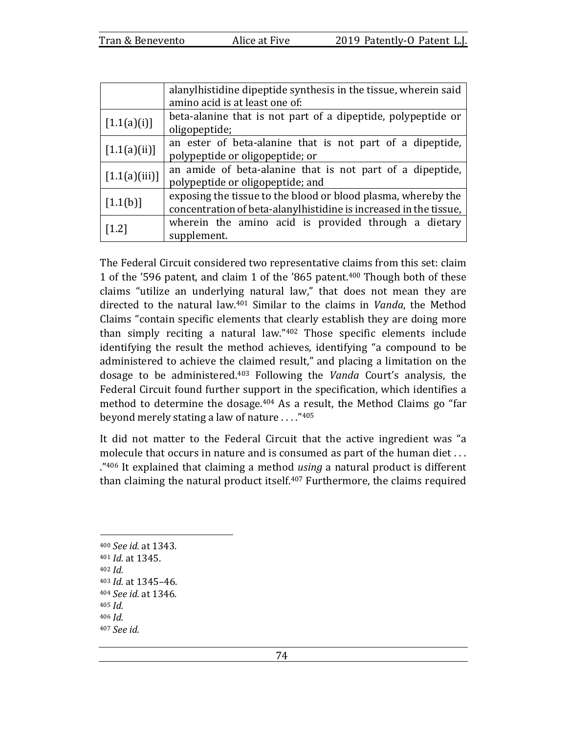|               | alanylhistidine dipeptide synthesis in the tissue, wherein said<br>amino acid is at least one of:                                  |  |
|---------------|------------------------------------------------------------------------------------------------------------------------------------|--|
| [1.1(a)(i)]   | beta-alanine that is not part of a dipeptide, polypeptide or<br>oligopeptide;                                                      |  |
| [1.1(a)(ii)]  | an ester of beta-alanine that is not part of a dipeptide,<br>polypeptide or oligopeptide; or                                       |  |
| [1.1(a)(iii)] | an amide of beta-alanine that is not part of a dipeptide,<br>polypeptide or oligopeptide; and                                      |  |
| [1.1(b)]      | exposing the tissue to the blood or blood plasma, whereby the<br>concentration of beta-alanylhistidine is increased in the tissue, |  |
| $[1.2]$       | wherein the amino acid is provided through a dietary<br>supplement.                                                                |  |

The Federal Circuit considered two representative claims from this set: claim 1 of the '596 patent, and claim 1 of the '865 patent.<sup>400</sup> Though both of these claims "utilize an underlying natural law," that does not mean they are directed to the natural law.<sup>401</sup> Similar to the claims in *Vanda*, the Method Claims "contain specific elements that clearly establish they are doing more than simply reciting a natural law." $402$  Those specific elements include identifying the result the method achieves, identifying "a compound to be administered to achieve the claimed result," and placing a limitation on the dosage to be administered.<sup>403</sup> Following the *Vanda* Court's analysis, the Federal Circuit found further support in the specification, which identifies a method to determine the dosage. $404$  As a result, the Method Claims go "far beyond merely stating a law of nature  $\ldots$ ."<sup>405</sup>

It did not matter to the Federal Circuit that the active ingredient was "a molecule that occurs in nature and is consumed as part of the human diet ... ."406 It explained that claiming a method *using* a natural product is different than claiming the natural product itself. $407$  Furthermore, the claims required

<sup>400</sup> *See id.* at 1343. 401 *Id.* at 1345.  $402$  *Id.* <sup>403</sup> *Id.* at 1345–46. <sup>404</sup> *See id.* at 1346.  $405$  *Id.*  $406$  *Id.* <sup>407</sup> *See id.*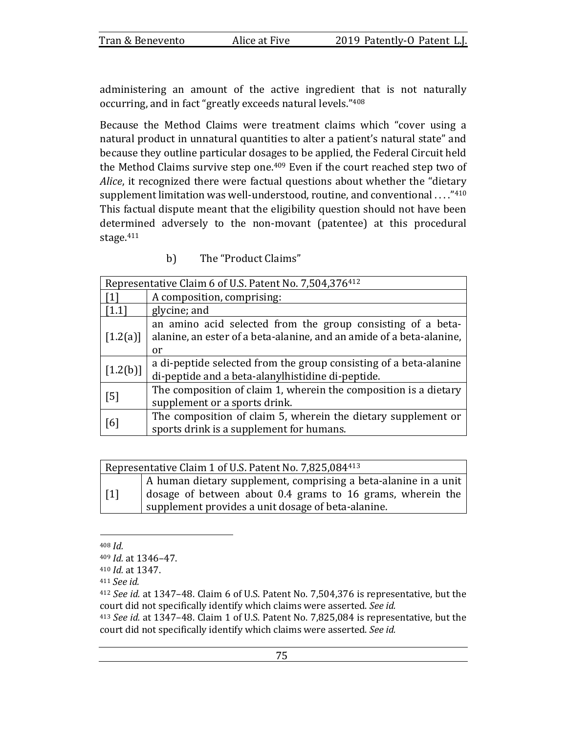administering an amount of the active ingredient that is not naturally occurring, and in fact "greatly exceeds natural levels."408

Because the Method Claims were treatment claims which "cover using a natural product in unnatural quantities to alter a patient's natural state" and because they outline particular dosages to be applied, the Federal Circuit held the Method Claims survive step one.<sup>409</sup> Even if the court reached step two of *Alice*, it recognized there were factual questions about whether the "dietary supplement limitation was well-understood, routine, and conventional ...." $410$ This factual dispute meant that the eligibility question should not have been determined adversely to the non-movant (patentee) at this procedural stage.411

b) The "Product Claims"

| Representative Claim 6 of U.S. Patent No. 7,504,376412 |                                                                      |
|--------------------------------------------------------|----------------------------------------------------------------------|
|                                                        | A composition, comprising:                                           |
| $[1.1]$                                                | glycine; and                                                         |
| $\left[1.2(a)\right]$                                  | an amino acid selected from the group consisting of a beta-          |
|                                                        | alanine, an ester of a beta-alanine, and an amide of a beta-alanine, |
|                                                        | or                                                                   |
| [1.2(b)]                                               | a di-peptide selected from the group consisting of a beta-alanine    |
|                                                        | di-peptide and a beta-alanylhistidine di-peptide.                    |
| [5]                                                    | The composition of claim 1, wherein the composition is a dietary     |
|                                                        | supplement or a sports drink.                                        |
| [6]                                                    | The composition of claim 5, wherein the dietary supplement or        |
|                                                        | sports drink is a supplement for humans.                             |

| Representative Claim 1 of U.S. Patent No. 7,825,084413 |                                                                                                                                                                                     |
|--------------------------------------------------------|-------------------------------------------------------------------------------------------------------------------------------------------------------------------------------------|
| $\lceil 1 \rceil$                                      | A human dietary supplement, comprising a beta-alanine in a unit<br>dosage of between about 0.4 grams to 16 grams, wherein the<br>supplement provides a unit dosage of beta-alanine. |

<sup>408</sup> *Id.* 

<sup>411</sup> *See id.* 

<sup>413</sup> *See id.* at 1347–48. Claim 1 of U.S. Patent No. 7,825,084 is representative, but the court did not specifically identify which claims were asserted. See id.

<sup>409</sup> *Id.* at 1346–47.

<sup>410</sup> *Id.* at 1347.

<sup>&</sup>lt;sup>412</sup> *See id.* at 1347–48. Claim 6 of U.S. Patent No. 7,504,376 is representative, but the court did not specifically identify which claims were asserted. See id.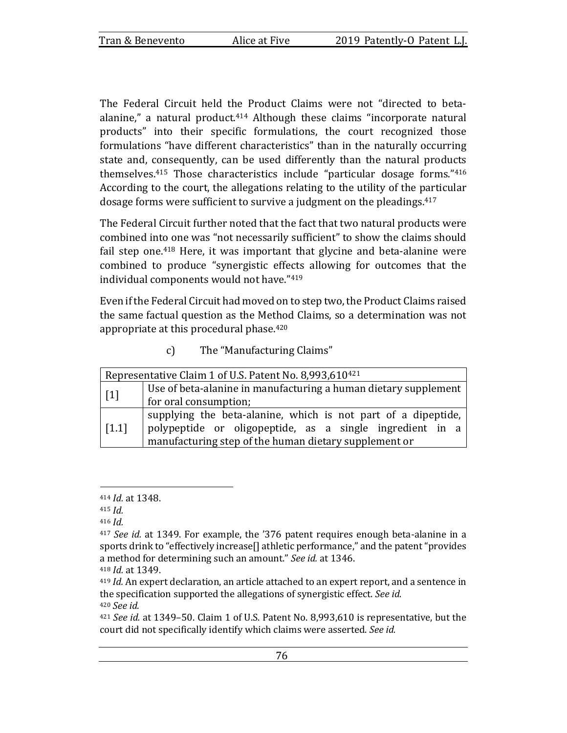The Federal Circuit held the Product Claims were not "directed to betaalanine," a natural product. $414$  Although these claims "incorporate natural products" into their specific formulations, the court recognized those formulations "have different characteristics" than in the naturally occurring state and, consequently, can be used differently than the natural products themselves.<sup>415</sup> Those characteristics include "particular dosage forms." $416$ According to the court, the allegations relating to the utility of the particular dosage forms were sufficient to survive a judgment on the pleadings.<sup>417</sup>

The Federal Circuit further noted that the fact that two natural products were combined into one was "not necessarily sufficient" to show the claims should fail step one.<sup>418</sup> Here, it was important that glycine and beta-alanine were combined to produce "synergistic effects allowing for outcomes that the individual components would not have."419

Even if the Federal Circuit had moved on to step two, the Product Claims raised the same factual question as the Method Claims, so a determination was not appropriate at this procedural phase. $420$ 

| $\mathbf{c}$ | The "Manufacturing Claims" |
|--------------|----------------------------|
|--------------|----------------------------|

| Representative Claim 1 of U.S. Patent No. 8,993,610 <sup>421</sup> |                                                                 |
|--------------------------------------------------------------------|-----------------------------------------------------------------|
| $[1]$                                                              | Use of beta-alanine in manufacturing a human dietary supplement |
|                                                                    | for oral consumption;                                           |
| $\lceil 1.1 \rceil$                                                | supplying the beta-alanine, which is not part of a dipeptide,   |
|                                                                    | polypeptide or oligopeptide, as a single ingredient in a        |
|                                                                    | manufacturing step of the human dietary supplement or           |

<sup>414</sup> *Id.* at 1348.

 $415$  *Id.* 

<sup>416</sup>  $Id$ 

<sup>&</sup>lt;sup>417</sup> *See id.* at 1349. For example, the '376 patent requires enough beta-alanine in a sports drink to "effectively increase<sup>[]</sup> athletic performance," and the patent "provides" a method for determining such an amount." See id. at 1346.

<sup>418</sup> *Id.* at 1349.

<sup>&</sup>lt;sup>419</sup> *Id.* An expert declaration, an article attached to an expert report, and a sentence in the specification supported the allegations of synergistic effect. See id. <sup>420</sup> *See id.* 

<sup>&</sup>lt;sup>421</sup> *See id.* at 1349–50. Claim 1 of U.S. Patent No. 8,993,610 is representative, but the court did not specifically identify which claims were asserted. See id.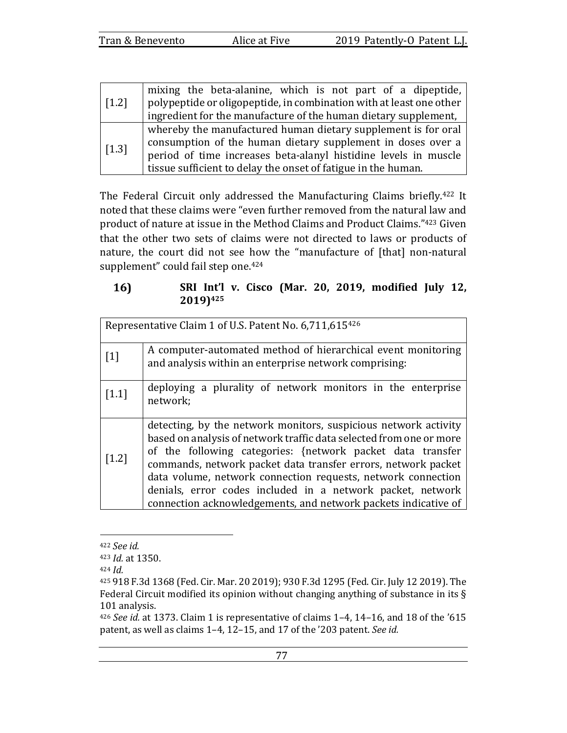| $\begin{bmatrix} 1.2 \end{bmatrix}$ | mixing the beta-alanine, which is not part of a dipeptide,          |
|-------------------------------------|---------------------------------------------------------------------|
|                                     | polypeptide or oligopeptide, in combination with at least one other |
|                                     | ingredient for the manufacture of the human dietary supplement,     |
| $\vert$ [1.3]                       | whereby the manufactured human dietary supplement is for oral       |
|                                     | consumption of the human dietary supplement in doses over a         |
|                                     | period of time increases beta-alanyl histidine levels in muscle     |
|                                     | tissue sufficient to delay the onset of fatigue in the human.       |

The Federal Circuit only addressed the Manufacturing Claims briefly.<sup>422</sup> It noted that these claims were "even further removed from the natural law and product of nature at issue in the Method Claims and Product Claims."423 Given that the other two sets of claims were not directed to laws or products of nature, the court did not see how the "manufacture of [that] non-natural supplement" could fail step one. $424$ 

### $16)$ **SRI** Int'l v. Cisco (Mar. 20, 2019, modified July 12, **2019)425**

| Representative Claim 1 of U.S. Patent No. 6,711,615 <sup>426</sup> |                                                                                                                                                                                                                                                                                                                                                                                                                                                                       |  |
|--------------------------------------------------------------------|-----------------------------------------------------------------------------------------------------------------------------------------------------------------------------------------------------------------------------------------------------------------------------------------------------------------------------------------------------------------------------------------------------------------------------------------------------------------------|--|
| $[1]$                                                              | A computer-automated method of hierarchical event monitoring<br>and analysis within an enterprise network comprising:                                                                                                                                                                                                                                                                                                                                                 |  |
| $[1.1]$                                                            | deploying a plurality of network monitors in the enterprise<br>network;                                                                                                                                                                                                                                                                                                                                                                                               |  |
| $[1.2]$                                                            | detecting, by the network monitors, suspicious network activity<br>based on analysis of network traffic data selected from one or more<br>of the following categories: {network packet data transfer<br>commands, network packet data transfer errors, network packet<br>data volume, network connection requests, network connection<br>denials, error codes included in a network packet, network<br>connection acknowledgements, and network packets indicative of |  |

<sup>422</sup> *See id.* 

<sup>423</sup> *Id.* at 1350.

 $424$  *Id.* 

<sup>425 918</sup> F.3d 1368 (Fed. Cir. Mar. 20 2019); 930 F.3d 1295 (Fed. Cir. July 12 2019). The Federal Circuit modified its opinion without changing anything of substance in its  $\S$ 101 analysis.

 $426$  *See id.* at 1373. Claim 1 is representative of claims  $1-4$ ,  $14-16$ , and 18 of the '615 patent, as well as claims 1-4, 12-15, and 17 of the '203 patent. See id.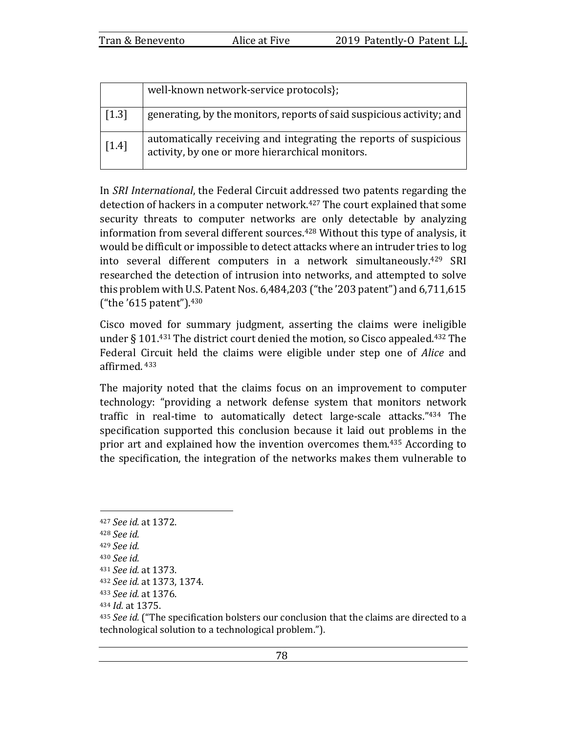|         | well-known network-service protocols};                                                                               |
|---------|----------------------------------------------------------------------------------------------------------------------|
| $[1.3]$ | generating, by the monitors, reports of said suspicious activity; and                                                |
| $[1.4]$ | automatically receiving and integrating the reports of suspicious<br>activity, by one or more hierarchical monitors. |

In *SRI International*, the Federal Circuit addressed two patents regarding the detection of hackers in a computer network.<sup>427</sup> The court explained that some security threats to computer networks are only detectable by analyzing information from several different sources.<sup>428</sup> Without this type of analysis, it would be difficult or impossible to detect attacks where an intruder tries to log into several different computers in a network simultaneously.<sup>429</sup> SRI researched the detection of intrusion into networks, and attempted to solve this problem with U.S. Patent Nos.  $6,484,203$  ("the '203 patent") and  $6,711,615$ ("the  $'615$  patent").  $430$ 

Cisco moved for summary judgment, asserting the claims were ineligible under  $\S$  101.<sup>431</sup> The district court denied the motion, so Cisco appealed.<sup>432</sup> The Federal Circuit held the claims were eligible under step one of *Alice* and affirmed. <sup>433</sup>

The majority noted that the claims focus on an improvement to computer technology: "providing a network defense system that monitors network traffic in real-time to automatically detect large-scale attacks."434 The specification supported this conclusion because it laid out problems in the prior art and explained how the invention overcomes them.<sup>435</sup> According to the specification, the integration of the networks makes them vulnerable to

<sup>427</sup> *See id.* at 1372. <sup>428</sup> *See id.* <sup>429</sup> *See id.*  <sup>430</sup> *See id.*  <sup>431</sup> *See id.* at 1373.

<sup>432</sup> *See id.* at 1373, 1374.

<sup>433</sup> *See id.* at 1376.

<sup>434</sup> *Id.* at 1375.

<sup>&</sup>lt;sup>435</sup> *See id.* ("The specification bolsters our conclusion that the claims are directed to a technological solution to a technological problem.").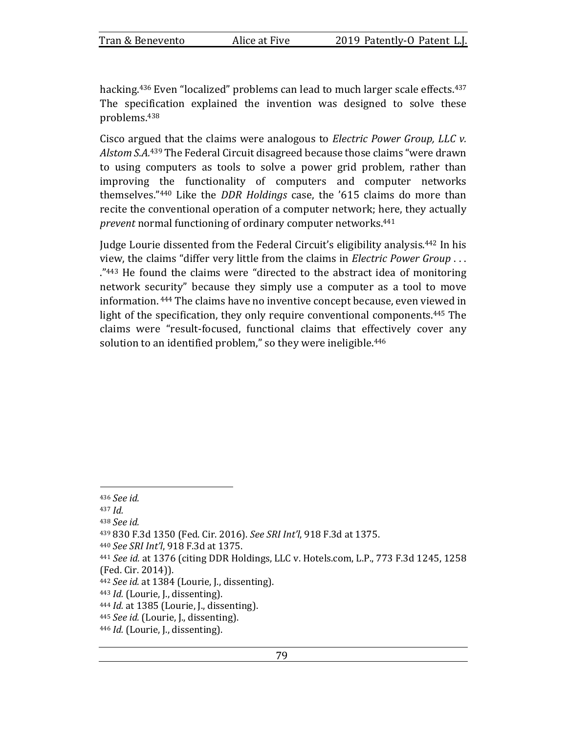hacking.<sup>436</sup> Even "localized" problems can lead to much larger scale effects.<sup>437</sup> The specification explained the invention was designed to solve these problems.438

Cisco argued that the claims were analogous to *Electric Power Group, LLC v.* Alstom S.A.<sup>439</sup> The Federal Circuit disagreed because those claims "were drawn to using computers as tools to solve a power grid problem, rather than improving the functionality of computers and computer networks themselves."<sup>440</sup> Like the *DDR Holdings* case, the '615 claims do more than recite the conventional operation of a computer network; here, they actually prevent normal functioning of ordinary computer networks.<sup>441</sup>

Judge Lourie dissented from the Federal Circuit's eligibility analysis.<sup>442</sup> In his view, the claims "differ very little from the claims in *Electric Power Group* ...  $\cdot$ <sup>"443</sup> He found the claims were "directed to the abstract idea of monitoring network security" because they simply use a computer as a tool to move information. <sup>444</sup> The claims have no inventive concept because, even viewed in light of the specification, they only require conventional components.<sup>445</sup> The claims were "result-focused, functional claims that effectively cover any solution to an identified problem," so they were ineligible.<sup>446</sup>

<sup>436</sup> *See id.* 

 $437$  *Id.* 

<sup>438</sup> *See id.* 

<sup>439</sup> 830 F.3d 1350 (Fed. Cir. 2016). *See SRI Int'l*, 918 F.3d at 1375.

<sup>440</sup> *See SRI Int'l*, 918 F.3d at 1375.

<sup>441</sup> *See id.* at 1376 (citing DDR Holdings, LLC v. Hotels.com, L.P., 773 F.3d 1245, 1258 (Fed. Cir. 2014)).

<sup>&</sup>lt;sup>442</sup> *See id.* at 1384 (Lourie, J., dissenting).

<sup>443</sup> *Id.* (Lourie, J., dissenting).

<sup>444</sup> *Id.* at 1385 (Lourie, J., dissenting).

<sup>445</sup> *See id.* (Lourie, J., dissenting).

<sup>446</sup> *Id.* (Lourie, J., dissenting).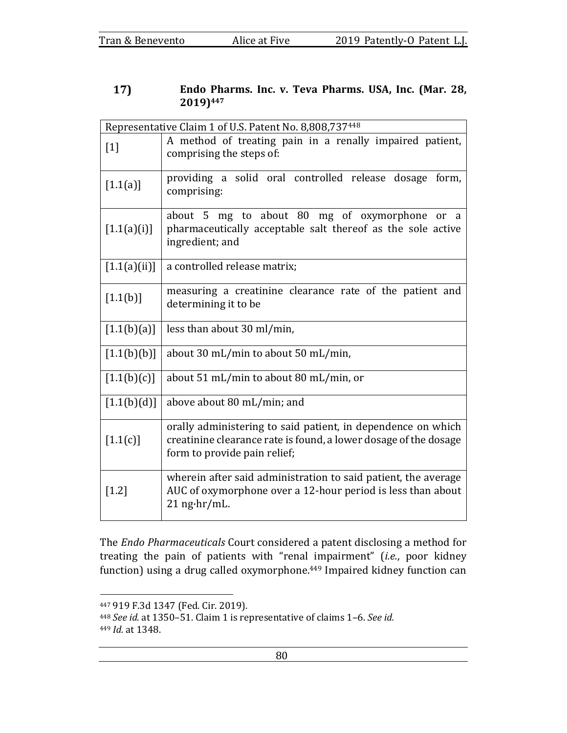## 17) Endo Pharms. Inc. v. Teva Pharms. USA, Inc. (Mar. 28, **2019)447**

| Representative Claim 1 of U.S. Patent No. 8,808,737448 |                                                                                                                                                                  |  |  |  |  |
|--------------------------------------------------------|------------------------------------------------------------------------------------------------------------------------------------------------------------------|--|--|--|--|
| $[1]$                                                  | A method of treating pain in a renally impaired patient,<br>comprising the steps of:                                                                             |  |  |  |  |
| [1.1(a)]                                               | providing a solid oral controlled release dosage form,<br>comprising:                                                                                            |  |  |  |  |
| [1.1(a)(i)]                                            | about 5 mg to about 80 mg of oxymorphone<br>or a<br>pharmaceutically acceptable salt thereof as the sole active<br>ingredient; and                               |  |  |  |  |
| [1.1(a)(ii)]                                           | a controlled release matrix;                                                                                                                                     |  |  |  |  |
| [1.1(b)]                                               | measuring a creatinine clearance rate of the patient and<br>determining it to be                                                                                 |  |  |  |  |
| [1.1(b)(a)]                                            | less than about 30 ml/min,                                                                                                                                       |  |  |  |  |
| [1.1(b)(b)]                                            | about 30 mL/min to about 50 mL/min,                                                                                                                              |  |  |  |  |
| [1.1(b)(c)]                                            | about 51 mL/min to about 80 mL/min, or                                                                                                                           |  |  |  |  |
| [1.1(b)(d)]                                            | above about 80 mL/min; and                                                                                                                                       |  |  |  |  |
| [1.1(c)]                                               | orally administering to said patient, in dependence on which<br>creatinine clearance rate is found, a lower dosage of the dosage<br>form to provide pain relief; |  |  |  |  |
| $[1.2]$                                                | wherein after said administration to said patient, the average<br>AUC of oxymorphone over a 12-hour period is less than about<br>$21$ ng $\cdot$ hr/mL.          |  |  |  |  |

The *Endo Pharmaceuticals* Court considered a patent disclosing a method for treating the pain of patients with "renal impairment" (*i.e.*, poor kidney function) using a drug called oxymorphone.<sup>449</sup> Impaired kidney function can

<sup>447 919</sup> F.3d 1347 (Fed. Cir. 2019).

<sup>448</sup> See id. at 1350-51. Claim 1 is representative of claims 1-6. See id. 449 *Id.* at 1348.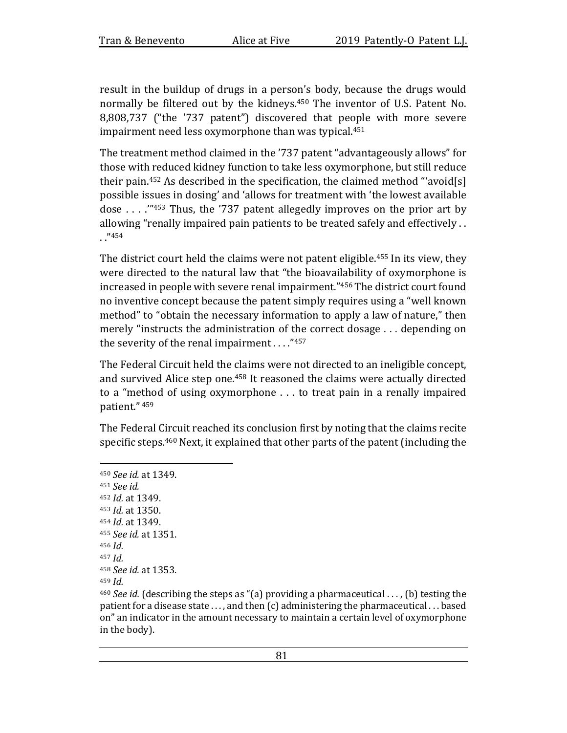result in the buildup of drugs in a person's body, because the drugs would normally be filtered out by the kidneys.<sup>450</sup> The inventor of U.S. Patent No. 8,808,737 ("the '737 patent") discovered that people with more severe impairment need less oxymorphone than was typical. $451$ 

The treatment method claimed in the '737 patent "advantageously allows" for those with reduced kidney function to take less oxymorphone, but still reduce their pain.<sup>452</sup> As described in the specification, the claimed method "'avoid[s] possible issues in dosing' and 'allows for treatment with 'the lowest available dose . . . .'"453 Thus, the '737 patent allegedly improves on the prior art by allowing "renally impaired pain patients to be treated safely and effectively .. . ."454

The district court held the claims were not patent eligible.<sup>455</sup> In its view, they were directed to the natural law that "the bioavailability of oxymorphone is increased in people with severe renal impairment."456 The district court found no inventive concept because the patent simply requires using a "well known method" to "obtain the necessary information to apply a law of nature," then merely "instructs the administration of the correct dosage  $\dots$  depending on the severity of the renal impairment  $\ldots$ ."457

The Federal Circuit held the claims were not directed to an ineligible concept, and survived Alice step one.<sup>458</sup> It reasoned the claims were actually directed to a "method of using oxymorphone  $\ldots$  to treat pain in a renally impaired patient." <sup>459</sup>

The Federal Circuit reached its conclusion first by noting that the claims recite specific steps.<sup>460</sup> Next, it explained that other parts of the patent (including the

<sup>450</sup> *See id.* at 1349. <sup>451</sup> *See id.*  452 *Id.* at 1349. <sup>453</sup> *Id.* at 1350. 454 *Id.* at 1349. 455 *See id.* at 1351. 456 *Id.*  $457$  *Id.* <sup>458</sup> *See id.* at 1353.  $459$  *Id.* 

<sup>460</sup> *See id.* (describing the steps as "(a) providing a pharmaceutical ..., (b) testing the patient for a disease state  $\dots$ , and then  $(c)$  administering the pharmaceutical  $\dots$  based on" an indicator in the amount necessary to maintain a certain level of oxymorphone in the body).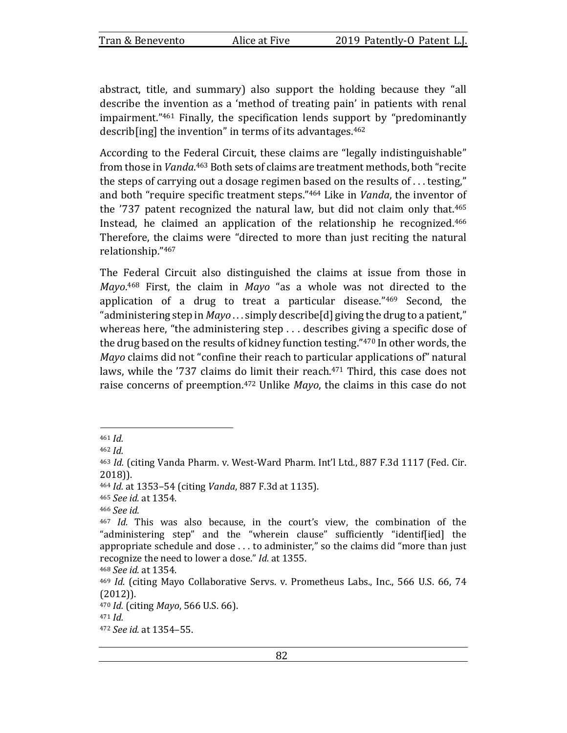abstract, title, and summary) also support the holding because they "all describe the invention as a 'method of treating pain' in patients with renal impairment." $461$  Finally, the specification lends support by "predominantly describ[ing] the invention" in terms of its advantages. $462$ 

According to the Federal Circuit, these claims are "legally indistinguishable" from those in *Vanda*.<sup>463</sup> Both sets of claims are treatment methods, both "recite the steps of carrying out a dosage regimen based on the results of  $\dots$  testing," and both "require specific treatment steps."<sup>464</sup> Like in *Vanda*, the inventor of the  $'737$  patent recognized the natural law, but did not claim only that.<sup>465</sup> Instead, he claimed an application of the relationship he recognized.<sup>466</sup> Therefore, the claims were "directed to more than just reciting the natural relationship."467

The Federal Circuit also distinguished the claims at issue from those in Mayo.<sup>468</sup> First, the claim in Mayo "as a whole was not directed to the application of a drug to treat a particular disease." $469$  Second, the "administering step in *Mayo* ... simply describe[d] giving the drug to a patient," whereas here, "the administering step  $\dots$  describes giving a specific dose of the drug based on the results of kidney function testing."470 In other words, the *Mayo* claims did not "confine their reach to particular applications of" natural laws, while the '737 claims do limit their reach. $471$  Third, this case does not raise concerns of preemption.<sup>472</sup> Unlike *Mayo*, the claims in this case do not

464 *Id.* at 1353-54 (citing *Vanda*, 887 F.3d at 1135).

<sup>465</sup> *See id.* at 1354.

<sup>468</sup> *See id.* at 1354.

<sup>461</sup> *Id.* 

<sup>462</sup>  $Id$ .

<sup>&</sup>lt;sup>463</sup> *Id.* (citing Vanda Pharm. v. West-Ward Pharm. Int'l Ltd., 887 F.3d 1117 (Fed. Cir. 2018)).

<sup>466</sup> *See id.* 

<sup>&</sup>lt;sup>467</sup> *Id.* This was also because, in the court's view, the combination of the "administering step" and the "wherein clause" sufficiently "identif[ied] the appropriate schedule and dose  $\dots$  to administer," so the claims did "more than just recognize the need to lower a dose." *Id.* at 1355.

<sup>&</sup>lt;sup>469</sup> *Id.* (citing Mayo Collaborative Servs. v. Prometheus Labs., Inc., 566 U.S. 66, 74 (2012)).

<sup>470</sup> *Id.* (citing *Mayo*, 566 U.S. 66).

 $471$  *Id.* 

<sup>472</sup> *See id.* at 1354–55.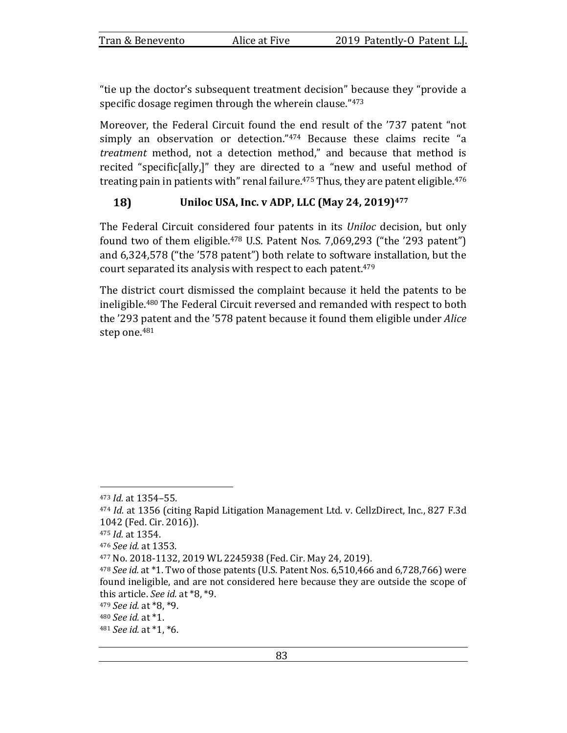"tie up the doctor's subsequent treatment decision" because they "provide a specific dosage regimen through the wherein clause." $473$ 

Moreover, the Federal Circuit found the end result of the '737 patent "not simply an observation or detection." $474$  Because these claims recite "a *treatment* method, not a detection method," and because that method is recited "specific[ally,]" they are directed to a "new and useful method of treating pain in patients with" renal failure.<sup>475</sup> Thus, they are patent eligible.<sup>476</sup>

#### 18) Uniloc USA, Inc. v ADP, LLC (May 24, 2019)<sup>477</sup>

The Federal Circuit considered four patents in its *Uniloc* decision, but only found two of them eligible.<sup>478</sup> U.S. Patent Nos. 7,069,293 ("the '293 patent") and 6,324,578 ("the '578 patent") both relate to software installation, but the court separated its analysis with respect to each patent.<sup>479</sup>

The district court dismissed the complaint because it held the patents to be ineligible.<sup>480</sup> The Federal Circuit reversed and remanded with respect to both the '293 patent and the '578 patent because it found them eligible under *Alice* step one.<sup>481</sup>

<sup>473</sup> *Id.* at 1354–55.

<sup>&</sup>lt;sup>474</sup> *Id.* at 1356 (citing Rapid Litigation Management Ltd. v. CellzDirect, Inc., 827 F.3d 1042 (Fed. Cir. 2016)).

<sup>475</sup> *Id.* at 1354.

<sup>476</sup> *See id.* at 1353.

<sup>477</sup> No. 2018-1132, 2019 WL 2245938 (Fed. Cir. May 24, 2019).

<sup>&</sup>lt;sup>478</sup> *See id.* at \*1. Two of those patents (U.S. Patent Nos. 6,510,466 and 6,728,766) were found ineligible, and are not considered here because they are outside the scope of this article. *See id.* at \*8, \*9.

<sup>479</sup> *See id.* at \*8, \*9.

<sup>480</sup> *See id.* at \*1.

<sup>481</sup> *See id.* at \*1, \*6.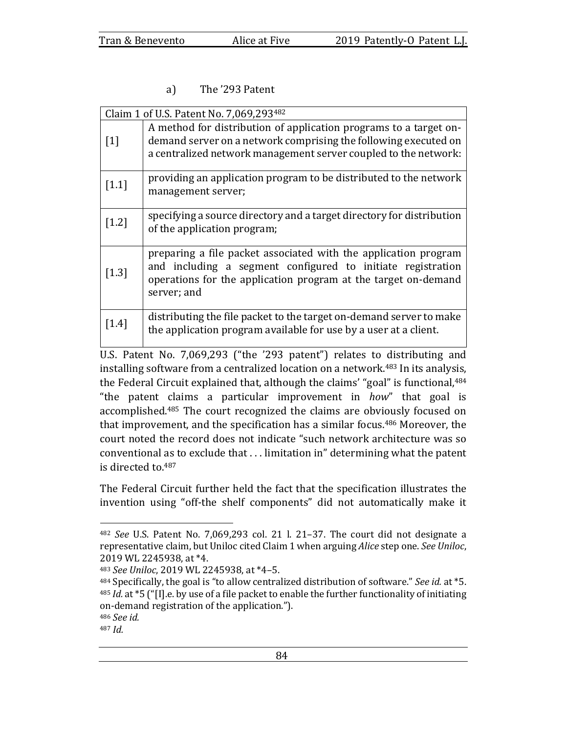# a) The '293 Patent

| Claim 1 of U.S. Patent No. 7,069,293482 |                                                                                                                                                                                                                 |  |  |
|-----------------------------------------|-----------------------------------------------------------------------------------------------------------------------------------------------------------------------------------------------------------------|--|--|
| $[1]$                                   | A method for distribution of application programs to a target on-<br>demand server on a network comprising the following executed on<br>a centralized network management server coupled to the network:         |  |  |
| $[1.1]$                                 | providing an application program to be distributed to the network<br>management server;                                                                                                                         |  |  |
| $[1.2]$                                 | specifying a source directory and a target directory for distribution<br>of the application program;                                                                                                            |  |  |
| $[1.3]$                                 | preparing a file packet associated with the application program<br>and including a segment configured to initiate registration<br>operations for the application program at the target on-demand<br>server; and |  |  |
| $\left[1.4\right]$                      | distributing the file packet to the target on-demand server to make<br>the application program available for use by a user at a client.                                                                         |  |  |

U.S. Patent No. 7,069,293 ("the '293 patent") relates to distributing and installing software from a centralized location on a network.<sup>483</sup> In its analysis, the Federal Circuit explained that, although the claims' "goal" is functional, $484$ "the patent claims a particular improvement in *how*" that goal is accomplished.<sup>485</sup> The court recognized the claims are obviously focused on that improvement, and the specification has a similar focus.<sup>486</sup> Moreover, the court noted the record does not indicate "such network architecture was so conventional as to exclude that  $\dots$  limitation in" determining what the patent is directed to.<sup>487</sup>

The Federal Circuit further held the fact that the specification illustrates the invention using "off-the shelf components" did not automatically make it

<sup>&</sup>lt;sup>482</sup> *See* U.S. Patent No. 7,069,293 col. 21 l. 21-37. The court did not designate a representative claim, but Uniloc cited Claim 1 when arguing *Alice* step one. See Uniloc, 2019 WL 2245938, at \*4.

<sup>483</sup> *See Uniloc*, 2019 WL 2245938, at \*4-5.

<sup>484</sup> Specifically, the goal is "to allow centralized distribution of software." *See id.* at \*5. <sup>485</sup> *Id.* at \*5 ("[I].e. by use of a file packet to enable the further functionality of initiating on-demand registration of the application.").

<sup>486</sup> *See id.* 

 $487$  *Id.*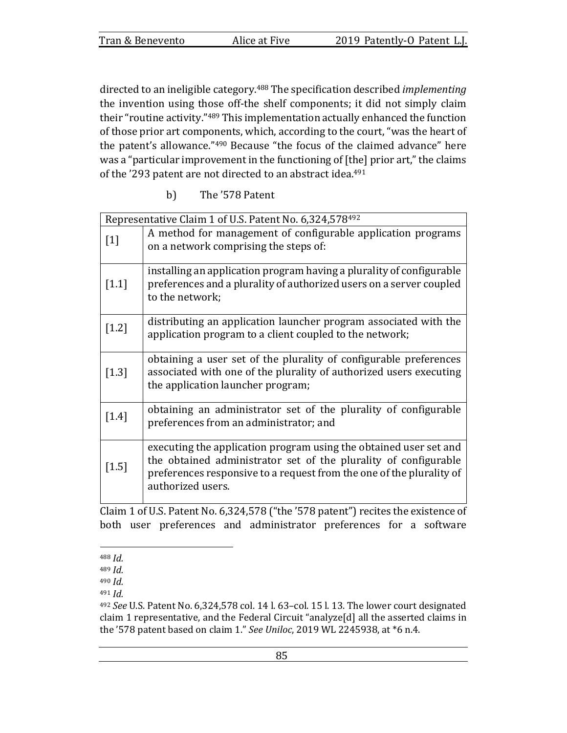|  | Tran & Benevento |
|--|------------------|
|--|------------------|

directed to an ineligible category.<sup>488</sup> The specification described *implementing* the invention using those off-the shelf components; it did not simply claim their "routine activity."<sup>489</sup> This implementation actually enhanced the function of those prior art components, which, according to the court, "was the heart of the patent's allowance."<sup>490</sup> Because "the focus of the claimed advance" here was a "particular improvement in the functioning of  $[$ the $]$  prior art," the claims of the '293 patent are not directed to an abstract idea.<sup>491</sup>

b) The '578 Patent

| Representative Claim 1 of U.S. Patent No. 6,324,578492 |                                                                                                                                                                                                                                   |  |  |
|--------------------------------------------------------|-----------------------------------------------------------------------------------------------------------------------------------------------------------------------------------------------------------------------------------|--|--|
| $[1]$                                                  | A method for management of configurable application programs<br>on a network comprising the steps of:                                                                                                                             |  |  |
| $[1.1]$                                                | installing an application program having a plurality of configurable<br>preferences and a plurality of authorized users on a server coupled<br>to the network;                                                                    |  |  |
| $[1.2]$                                                | distributing an application launcher program associated with the<br>application program to a client coupled to the network;                                                                                                       |  |  |
| $[1.3]$                                                | obtaining a user set of the plurality of configurable preferences<br>associated with one of the plurality of authorized users executing<br>the application launcher program;                                                      |  |  |
| $[1.4]$                                                | obtaining an administrator set of the plurality of configurable<br>preferences from an administrator; and                                                                                                                         |  |  |
| $[1.5]$                                                | executing the application program using the obtained user set and<br>the obtained administrator set of the plurality of configurable<br>preferences responsive to a request from the one of the plurality of<br>authorized users. |  |  |

Claim 1 of U.S. Patent No.  $6,324,578$  ("the '578 patent") recites the existence of both user preferences and administrator preferences for a software

 $488$  *Id.* 

<sup>489</sup> *Id.* 

 $490$  *Id.* 

 $491$  *Id.* 

<sup>&</sup>lt;sup>492</sup> See U.S. Patent No. 6,324,578 col. 14 l. 63-col. 15 l. 13. The lower court designated claim 1 representative, and the Federal Circuit "analyze[d] all the asserted claims in the '578 patent based on claim 1." See Uniloc, 2019 WL 2245938, at \*6 n.4.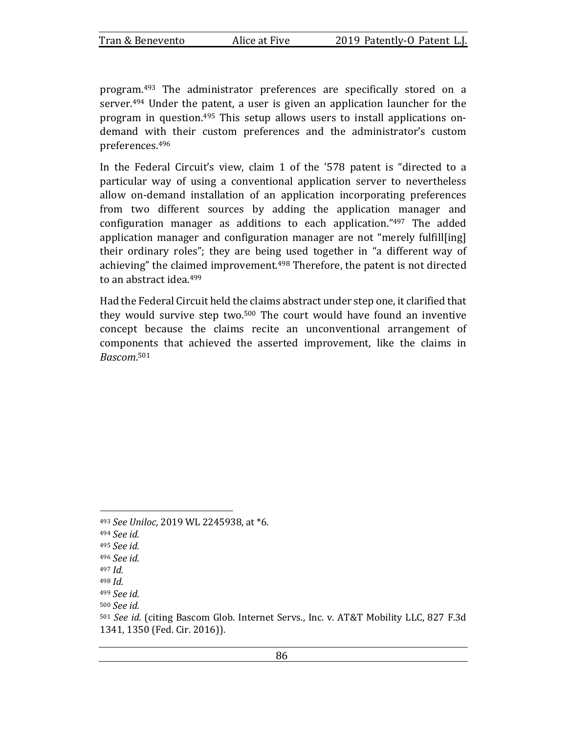program.<sup>493</sup> The administrator preferences are specifically stored on a server.<sup>494</sup> Under the patent, a user is given an application launcher for the program in question.<sup>495</sup> This setup allows users to install applications ondemand with their custom preferences and the administrator's custom preferences.496

In the Federal Circuit's view, claim 1 of the '578 patent is "directed to a particular way of using a conventional application server to nevertheless allow on-demand installation of an application incorporating preferences from two different sources by adding the application manager and configuration manager as additions to each application." $497$  The added application manager and configuration manager are not "merely fulfill[ing] their ordinary roles"; they are being used together in "a different way of achieving" the claimed improvement.<sup>498</sup> Therefore, the patent is not directed to an abstract idea.<sup>499</sup>

Had the Federal Circuit held the claims abstract under step one, it clarified that they would survive step two. $500$  The court would have found an inventive concept because the claims recite an unconventional arrangement of components that achieved the asserted improvement, like the claims in *Bascom*. 501

<sup>493</sup> *See Uniloc*, 2019 WL 2245938, at \*6.

<sup>494</sup> *See id.*

<sup>495</sup> *See id.* 

<sup>496</sup> *See id.* 

<sup>497</sup> *Id.* 

 $498$  *Id.* 

<sup>499</sup> *See id.* 

<sup>500</sup> *See id.* 

<sup>501</sup> See id. (citing Bascom Glob. Internet Servs., Inc. v. AT&T Mobility LLC, 827 F.3d 1341, 1350 (Fed. Cir. 2016)).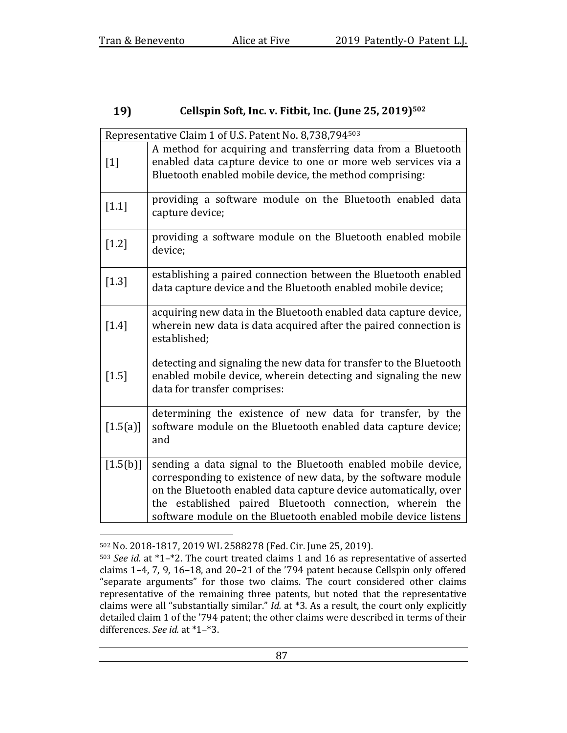#### 19) **Cellspin Soft, Inc. v. Fitbit, Inc. (June 25, 2019)502**

| Representative Claim 1 of U.S. Patent No. 8,738,794 <sup>503</sup> |                                                                                                                                                                                                                                                                                                                                   |  |  |
|--------------------------------------------------------------------|-----------------------------------------------------------------------------------------------------------------------------------------------------------------------------------------------------------------------------------------------------------------------------------------------------------------------------------|--|--|
| $[1]$                                                              | A method for acquiring and transferring data from a Bluetooth<br>enabled data capture device to one or more web services via a<br>Bluetooth enabled mobile device, the method comprising:                                                                                                                                         |  |  |
| $[1.1]$                                                            | providing a software module on the Bluetooth enabled data<br>capture device;                                                                                                                                                                                                                                                      |  |  |
| $[1.2]$                                                            | providing a software module on the Bluetooth enabled mobile<br>device;                                                                                                                                                                                                                                                            |  |  |
| $[1.3]$                                                            | establishing a paired connection between the Bluetooth enabled<br>data capture device and the Bluetooth enabled mobile device;                                                                                                                                                                                                    |  |  |
| $[1.4]$                                                            | acquiring new data in the Bluetooth enabled data capture device,<br>wherein new data is data acquired after the paired connection is<br>established;                                                                                                                                                                              |  |  |
| $[1.5]$                                                            | detecting and signaling the new data for transfer to the Bluetooth<br>enabled mobile device, wherein detecting and signaling the new<br>data for transfer comprises:                                                                                                                                                              |  |  |
| [1.5(a)]                                                           | determining the existence of new data for transfer, by the<br>software module on the Bluetooth enabled data capture device;<br>and                                                                                                                                                                                                |  |  |
| [1.5(b)]                                                           | sending a data signal to the Bluetooth enabled mobile device,<br>corresponding to existence of new data, by the software module<br>on the Bluetooth enabled data capture device automatically, over<br>the established paired Bluetooth connection, wherein the<br>software module on the Bluetooth enabled mobile device listens |  |  |

<sup>502</sup> No. 2018-1817, 2019 WL 2588278 (Fed. Cir. June 25, 2019).

<sup>503</sup> *See id.* at \*1-\*2. The court treated claims 1 and 16 as representative of asserted claims 1-4, 7, 9, 16-18, and 20-21 of the '794 patent because Cellspin only offered "separate arguments" for those two claims. The court considered other claims representative of the remaining three patents, but noted that the representative claims were all "substantially similar." *Id.* at \*3. As a result, the court only explicitly detailed claim 1 of the '794 patent; the other claims were described in terms of their differences. See id. at \*1-\*3.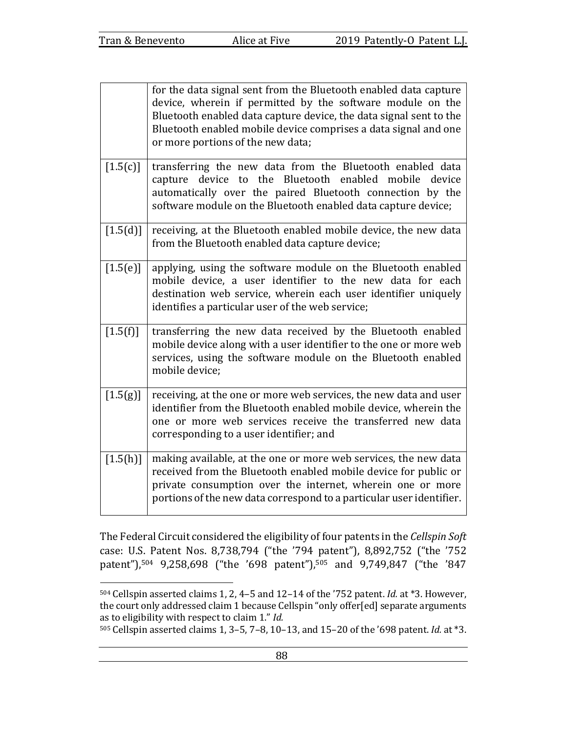|          | for the data signal sent from the Bluetooth enabled data capture<br>device, wherein if permitted by the software module on the<br>Bluetooth enabled data capture device, the data signal sent to the<br>Bluetooth enabled mobile device comprises a data signal and one<br>or more portions of the new data; |
|----------|--------------------------------------------------------------------------------------------------------------------------------------------------------------------------------------------------------------------------------------------------------------------------------------------------------------|
| [1.5(c)] | transferring the new data from the Bluetooth enabled data<br>capture device to the Bluetooth enabled mobile<br>device<br>automatically over the paired Bluetooth connection by the<br>software module on the Bluetooth enabled data capture device;                                                          |
| [1.5(d)] | receiving, at the Bluetooth enabled mobile device, the new data<br>from the Bluetooth enabled data capture device;                                                                                                                                                                                           |
| [1.5(e)] | applying, using the software module on the Bluetooth enabled<br>mobile device, a user identifier to the new data for each<br>destination web service, wherein each user identifier uniquely<br>identifies a particular user of the web service;                                                              |
| [1.5(f)] | transferring the new data received by the Bluetooth enabled<br>mobile device along with a user identifier to the one or more web<br>services, using the software module on the Bluetooth enabled<br>mobile device;                                                                                           |
| [1.5(g)] | receiving, at the one or more web services, the new data and user<br>identifier from the Bluetooth enabled mobile device, wherein the<br>one or more web services receive the transferred new data<br>corresponding to a user identifier; and                                                                |
| [1.5(h)] | making available, at the one or more web services, the new data<br>received from the Bluetooth enabled mobile device for public or<br>private consumption over the internet, wherein one or more<br>portions of the new data correspond to a particular user identifier.                                     |

The Federal Circuit considered the eligibility of four patents in the *Cellspin Soft* case: U.S. Patent Nos. 8,738,794 ("the '794 patent"), 8,892,752 ("the '752 patent"),<sup>504</sup> 9,258,698 ("the '698 patent"),<sup>505</sup> and 9,749,847 ("the '847

<sup>504</sup> Cellspin asserted claims 1, 2, 4-5 and 12-14 of the '752 patent. *Id.* at \*3. However, the court only addressed claim 1 because Cellspin "only offer[ed] separate arguments as to eligibility with respect to claim 1." *Id.* 

<sup>505</sup> Cellspin asserted claims 1, 3-5, 7-8, 10-13, and 15-20 of the '698 patent. *Id.* at \*3.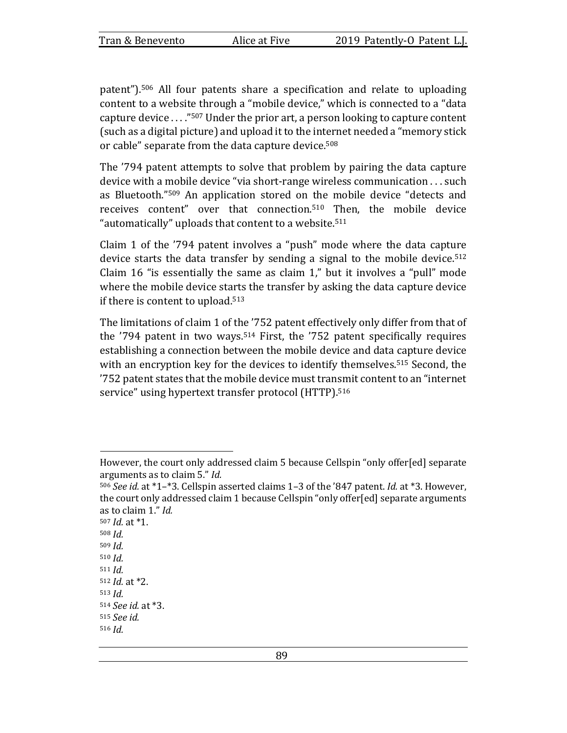patent").<sup>506</sup> All four patents share a specification and relate to uploading content to a website through a "mobile device," which is connected to a "data capture device  $\ldots$ "<sup>507</sup> Under the prior art, a person looking to capture content (such as a digital picture) and upload it to the internet needed a "memory stick or cable" separate from the data capture device.<sup>508</sup>

The '794 patent attempts to solve that problem by pairing the data capture device with a mobile device "via short-range wireless communication . . . such as Bluetooth."<sup>509</sup> An application stored on the mobile device "detects and receives content" over that connection.<sup>510</sup> Then, the mobile device "automatically" uploads that content to a website.<sup>511</sup>

Claim 1 of the  $'794$  patent involves a "push" mode where the data capture device starts the data transfer by sending a signal to the mobile device.<sup>512</sup> Claim 16 "is essentially the same as claim  $1$ ," but it involves a "pull" mode where the mobile device starts the transfer by asking the data capture device if there is content to upload. $513$ 

The limitations of claim 1 of the '752 patent effectively only differ from that of the  $'794$  patent in two ways.<sup>514</sup> First, the  $'752$  patent specifically requires establishing a connection between the mobile device and data capture device with an encryption key for the devices to identify themselves.<sup>515</sup> Second, the '752 patent states that the mobile device must transmit content to an "internet" service" using hypertext transfer protocol (HTTP).<sup>516</sup>

<sup>507</sup> *Id.* at \*1.  $508$  *Id.* <sup>509</sup> *Id.*   $510$  *Id.*  $511$  *Id.* <sup>512</sup> *Id.* at \*2. 513  $Id$ <sup>514</sup> *See id.* at \*3. <sup>515</sup> *See id.*   $516$  *Id.* 

However, the court only addressed claim 5 because Cellspin "only offer[ed] separate arguments as to claim 5." *Id.* 

<sup>506</sup> *See id.* at \*1–\*3. Cellspin asserted claims 1–3 of the '847 patent. *Id.* at \*3. However, the court only addressed claim 1 because Cellspin "only offer[ed] separate arguments as to claim 1." Id.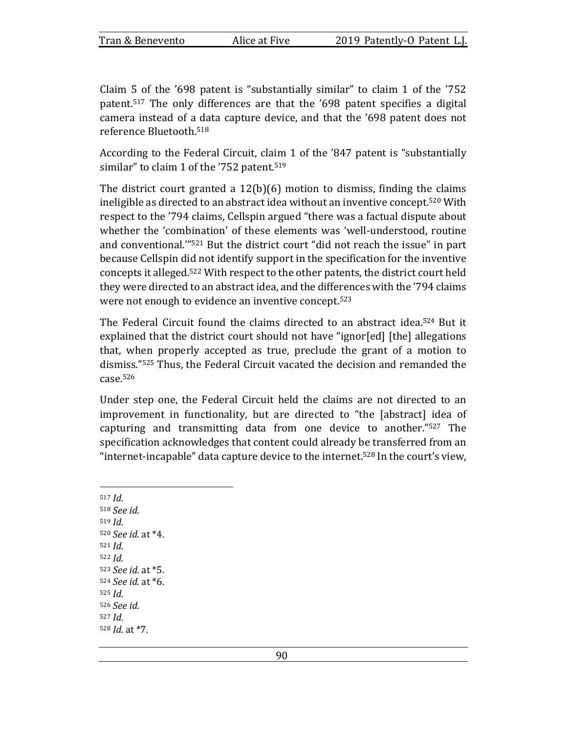Claim 5 of the  $'698$  patent is "substantially similar" to claim 1 of the  $'752$ patent.<sup>517</sup> The only differences are that the  $'698$  patent specifies a digital camera instead of a data capture device, and that the '698 patent does not reference Bluetooth.<sup>518</sup>

According to the Federal Circuit, claim 1 of the '847 patent is "substantially similar" to claim 1 of the '752 patent.<sup>519</sup>

The district court granted a  $12(b)(6)$  motion to dismiss, finding the claims ineligible as directed to an abstract idea without an inventive concept.<sup>520</sup> With respect to the '794 claims, Cellspin argued "there was a factual dispute about whether the 'combination' of these elements was 'well-understood, routine and conventional."<sup>521</sup> But the district court "did not reach the issue" in part because Cellspin did not identify support in the specification for the inventive concepts it alleged.<sup>522</sup> With respect to the other patents, the district court held they were directed to an abstract idea, and the differences with the '794 claims were not enough to evidence an inventive concept.<sup>523</sup>

The Federal Circuit found the claims directed to an abstract idea.<sup>524</sup> But it explained that the district court should not have "ignor[ed] [the] allegations that, when properly accepted as true, preclude the grant of a motion to dismiss."<sup>525</sup> Thus, the Federal Circuit vacated the decision and remanded the case.526

Under step one, the Federal Circuit held the claims are not directed to an improvement in functionality, but are directed to "the [abstract] idea of capturing and transmitting data from one device to another." $527$  The specification acknowledges that content could already be transferred from an "internet-incapable" data capture device to the internet.<sup>528</sup> In the court's view,

 $517$  *Id.* <sup>518</sup> *See id.*   $519$  *Id.* <sup>520</sup> *See id.* at \*4. 521 *Id.* <sup>522</sup> *Id.* <sup>523</sup> *See id.* at \*5. <sup>524</sup> *See id.* at \*6. 525 *Id.* <sup>526</sup> *See id.*  527  $Id.$ <sup>528</sup> *Id.* at \*7.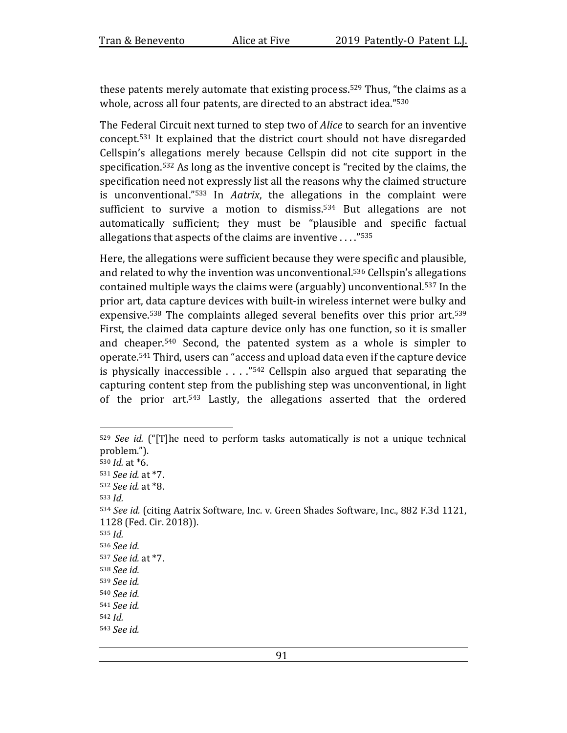these patents merely automate that existing process.<sup>529</sup> Thus, "the claims as a whole, across all four patents, are directed to an abstract idea."<sup>530</sup>

The Federal Circuit next turned to step two of *Alice* to search for an inventive concept.<sup>531</sup> It explained that the district court should not have disregarded Cellspin's allegations merely because Cellspin did not cite support in the specification.<sup>532</sup> As long as the inventive concept is "recited by the claims, the specification need not expressly list all the reasons why the claimed structure is unconventional.<sup>"533</sup> In *Aatrix*, the allegations in the complaint were sufficient to survive a motion to dismiss.<sup>534</sup> But allegations are not automatically sufficient; they must be "plausible and specific factual allegations that aspects of the claims are inventive  $\ldots$ ."<sup>535</sup>

Here, the allegations were sufficient because they were specific and plausible, and related to why the invention was unconventional.<sup>536</sup> Cellspin's allegations contained multiple ways the claims were (arguably) unconventional.<sup>537</sup> In the prior art, data capture devices with built-in wireless internet were bulky and expensive.<sup>538</sup> The complaints alleged several benefits over this prior art.<sup>539</sup> First, the claimed data capture device only has one function, so it is smaller and cheaper.<sup>540</sup> Second, the patented system as a whole is simpler to operate.<sup>541</sup> Third, users can "access and upload data even if the capture device is physically inaccessible  $\ldots$  ."<sup>542</sup> Cellspin also argued that separating the capturing content step from the publishing step was unconventional, in light of the prior art.<sup>543</sup> Lastly, the allegations asserted that the ordered

<sup>&</sup>lt;sup>529</sup> See id. ("[T]he need to perform tasks automatically is not a unique technical problem."). <sup>530</sup> *Id.* at \*6. <sup>531</sup> *See id.* at \*7. <sup>532</sup> *See id.* at \*8. 533  $Id$ . 534 See id. (citing Aatrix Software, Inc. v. Green Shades Software, Inc., 882 F.3d 1121, 1128 (Fed. Cir. 2018)). 535  $Id.$ <sup>536</sup> *See id.*  <sup>537</sup> *See id.* at \*7. <sup>538</sup> *See id.*  <sup>539</sup> *See id.*  <sup>540</sup> *See id.*  <sup>541</sup> *See id.*  <sup>542</sup> *Id.* <sup>543</sup> *See id.*